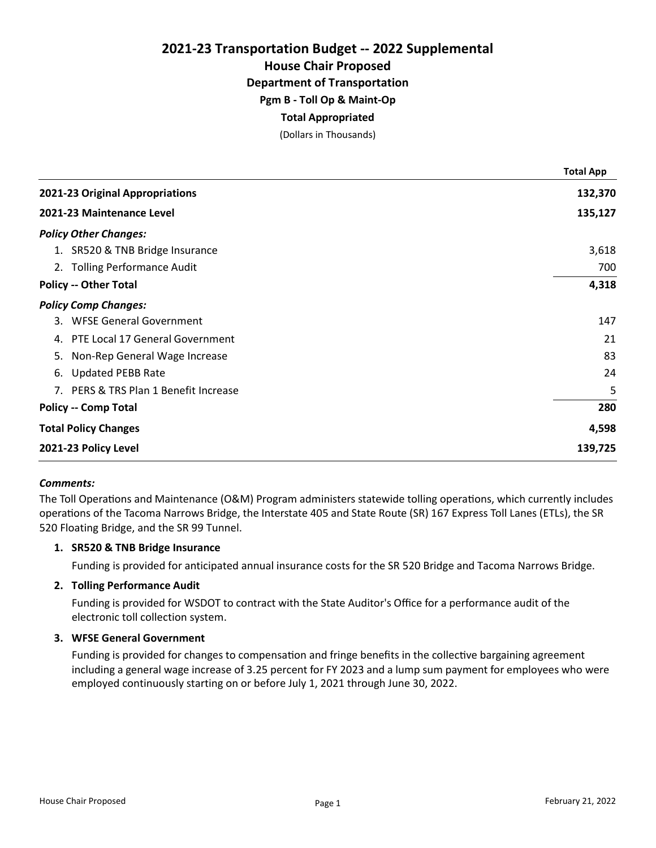House Chair Proposed

Department of Transportation

Pgm B - Toll Op & Maint-Op

## Total Appropriated

(Dollars in Thousands)

|                              |                                       | <b>Total App</b> |
|------------------------------|---------------------------------------|------------------|
|                              | 2021-23 Original Appropriations       | 132,370          |
| 2021-23 Maintenance Level    |                                       | 135,127          |
| <b>Policy Other Changes:</b> |                                       |                  |
|                              | 1. SR520 & TNB Bridge Insurance       | 3,618            |
|                              | 2. Tolling Performance Audit          | 700              |
| <b>Policy -- Other Total</b> |                                       | 4,318            |
| <b>Policy Comp Changes:</b>  |                                       |                  |
|                              | 3. WFSE General Government            | 147              |
| 4.                           | PTE Local 17 General Government       | 21               |
|                              | 5. Non-Rep General Wage Increase      | 83               |
| 6.                           | <b>Updated PEBB Rate</b>              | 24               |
|                              | 7. PERS & TRS Plan 1 Benefit Increase | 5                |
| <b>Policy -- Comp Total</b>  |                                       | 280              |
| <b>Total Policy Changes</b>  |                                       | 4,598            |
| 2021-23 Policy Level         |                                       | 139,725          |

## Comments:

The Toll Operations and Maintenance (O&M) Program administers statewide tolling operations, which currently includes operations of the Tacoma Narrows Bridge, the Interstate 405 and State Route (SR) 167 Express Toll Lanes (ETLs), the SR 520 Floating Bridge, and the SR 99 Tunnel.

## 1. SR520 & TNB Bridge Insurance

Funding is provided for anticipated annual insurance costs for the SR 520 Bridge and Tacoma Narrows Bridge.

## 2. Tolling Performance Audit

Funding is provided for WSDOT to contract with the State Auditor's Office for a performance audit of the electronic toll collection system.

## 3. WFSE General Government

Funding is provided for changes to compensation and fringe benefits in the collective bargaining agreement including a general wage increase of 3.25 percent for FY 2023 and a lump sum payment for employees who were employed continuously starting on or before July 1, 2021 through June 30, 2022.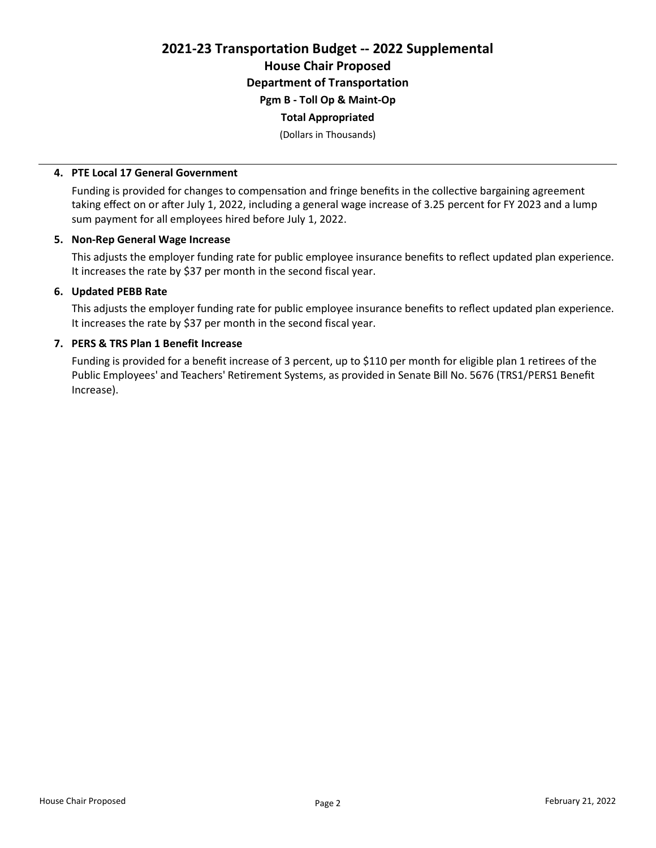## 2021-23 Transportation Budget -- 2022 Supplemental House Chair Proposed Department of Transportation Pgm B - Toll Op & Maint-Op Total Appropriated

(Dollars in Thousands)

## 4. PTE Local 17 General Government

Funding is provided for changes to compensation and fringe benefits in the collective bargaining agreement taking effect on or after July 1, 2022, including a general wage increase of 3.25 percent for FY 2023 and a lump sum payment for all employees hired before July 1, 2022.

## 5. Non-Rep General Wage Increase

This adjusts the employer funding rate for public employee insurance benefits to reflect updated plan experience. It increases the rate by \$37 per month in the second fiscal year.

## 6. Updated PEBB Rate

This adjusts the employer funding rate for public employee insurance benefits to reflect updated plan experience. It increases the rate by \$37 per month in the second fiscal year.

## 7. PERS & TRS Plan 1 Benefit Increase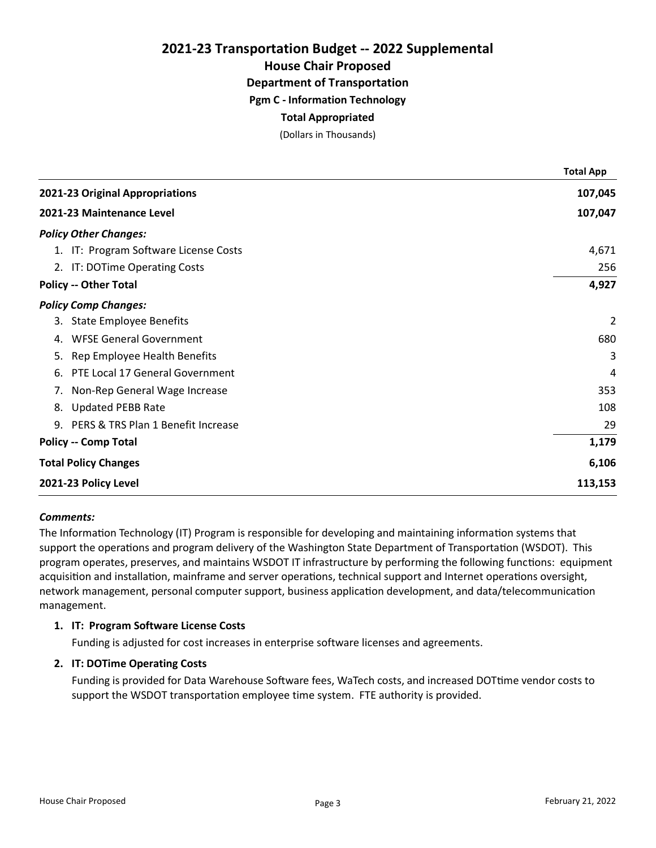House Chair Proposed

Department of Transportation

Pgm C - Information Technology

## Total Appropriated

(Dollars in Thousands)

|                                       | <b>Total App</b> |
|---------------------------------------|------------------|
| 2021-23 Original Appropriations       | 107,045          |
| 2021-23 Maintenance Level             | 107,047          |
| <b>Policy Other Changes:</b>          |                  |
| 1. IT: Program Software License Costs | 4,671            |
| 2. IT: DOTime Operating Costs         | 256              |
| <b>Policy -- Other Total</b>          | 4,927            |
| <b>Policy Comp Changes:</b>           |                  |
| 3. State Employee Benefits            | 2                |
| <b>WFSE General Government</b><br>4.  | 680              |
| 5. Rep Employee Health Benefits       | 3                |
| PTE Local 17 General Government<br>6. | 4                |
| 7. Non-Rep General Wage Increase      | 353              |
| 8. Updated PEBB Rate                  | 108              |
| 9. PERS & TRS Plan 1 Benefit Increase | 29               |
| <b>Policy -- Comp Total</b>           | 1,179            |
| <b>Total Policy Changes</b>           | 6,106            |
| 2021-23 Policy Level                  | 113,153          |

#### Comments:

The Information Technology (IT) Program is responsible for developing and maintaining information systems that support the operations and program delivery of the Washington State Department of Transportation (WSDOT). This program operates, preserves, and maintains WSDOT IT infrastructure by performing the following functions: equipment acquisition and installation, mainframe and server operations, technical support and Internet operations oversight, network management, personal computer support, business application development, and data/telecommunication management.

## 1. IT: Program Software License Costs

Funding is adjusted for cost increases in enterprise software licenses and agreements.

## 2. IT: DOTime Operating Costs

Funding is provided for Data Warehouse Software fees, WaTech costs, and increased DOTtime vendor costs to support the WSDOT transportation employee time system. FTE authority is provided.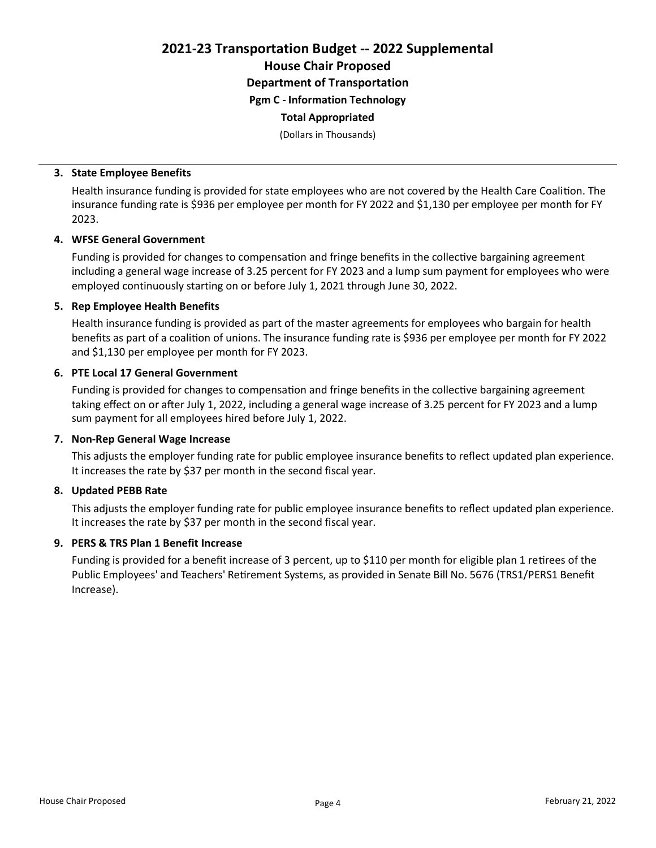House Chair Proposed

Department of Transportation

Pgm C - Information Technology

## Total Appropriated

(Dollars in Thousands)

## 3. State Employee Benefits

Health insurance funding is provided for state employees who are not covered by the Health Care Coalition. The insurance funding rate is \$936 per employee per month for FY 2022 and \$1,130 per employee per month for FY 2023.

## 4. WFSE General Government

Funding is provided for changes to compensation and fringe benefits in the collective bargaining agreement including a general wage increase of 3.25 percent for FY 2023 and a lump sum payment for employees who were employed continuously starting on or before July 1, 2021 through June 30, 2022.

## 5. Rep Employee Health Benefits

Health insurance funding is provided as part of the master agreements for employees who bargain for health benefits as part of a coalition of unions. The insurance funding rate is \$936 per employee per month for FY 2022 and \$1,130 per employee per month for FY 2023.

## 6. PTE Local 17 General Government

Funding is provided for changes to compensation and fringe benefits in the collective bargaining agreement taking effect on or after July 1, 2022, including a general wage increase of 3.25 percent for FY 2023 and a lump sum payment for all employees hired before July 1, 2022.

## 7. Non-Rep General Wage Increase

This adjusts the employer funding rate for public employee insurance benefits to reflect updated plan experience. It increases the rate by \$37 per month in the second fiscal year.

## 8. Updated PEBB Rate

This adjusts the employer funding rate for public employee insurance benefits to reflect updated plan experience. It increases the rate by \$37 per month in the second fiscal year.

## 9. PERS & TRS Plan 1 Benefit Increase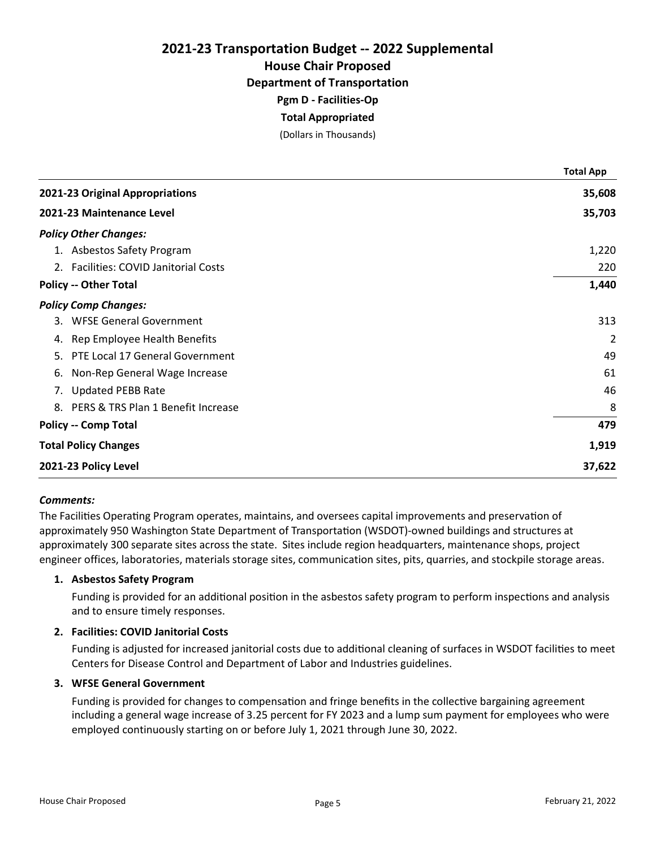House Chair Proposed

Department of Transportation

Pgm D - Facilities-Op

## Total Appropriated

(Dollars in Thousands)

|                                       | <b>Total App</b> |
|---------------------------------------|------------------|
| 2021-23 Original Appropriations       | 35,608           |
| 2021-23 Maintenance Level             | 35,703           |
| <b>Policy Other Changes:</b>          |                  |
| 1. Asbestos Safety Program            | 1,220            |
| 2. Facilities: COVID Janitorial Costs | 220              |
| <b>Policy -- Other Total</b>          | 1,440            |
| <b>Policy Comp Changes:</b>           |                  |
| 3. WFSE General Government            | 313              |
| 4. Rep Employee Health Benefits       | 2                |
| 5. PTE Local 17 General Government    | 49               |
| Non-Rep General Wage Increase<br>6.   | 61               |
| 7. Updated PEBB Rate                  | 46               |
| 8. PERS & TRS Plan 1 Benefit Increase | 8                |
| <b>Policy -- Comp Total</b>           | 479              |
| <b>Total Policy Changes</b>           | 1,919            |
| 2021-23 Policy Level                  | 37,622           |

#### Comments:

The Facilities Operating Program operates, maintains, and oversees capital improvements and preservation of approximately 950 Washington State Department of Transportation (WSDOT)-owned buildings and structures at approximately 300 separate sites across the state. Sites include region headquarters, maintenance shops, project engineer offices, laboratories, materials storage sites, communication sites, pits, quarries, and stockpile storage areas.

### 1. Asbestos Safety Program

Funding is provided for an additional position in the asbestos safety program to perform inspections and analysis and to ensure timely responses.

## 2. Facilities: COVID Janitorial Costs

Funding is adjusted for increased janitorial costs due to additional cleaning of surfaces in WSDOT facilities to meet Centers for Disease Control and Department of Labor and Industries guidelines.

## 3. WFSE General Government

Funding is provided for changes to compensation and fringe benefits in the collective bargaining agreement including a general wage increase of 3.25 percent for FY 2023 and a lump sum payment for employees who were employed continuously starting on or before July 1, 2021 through June 30, 2022.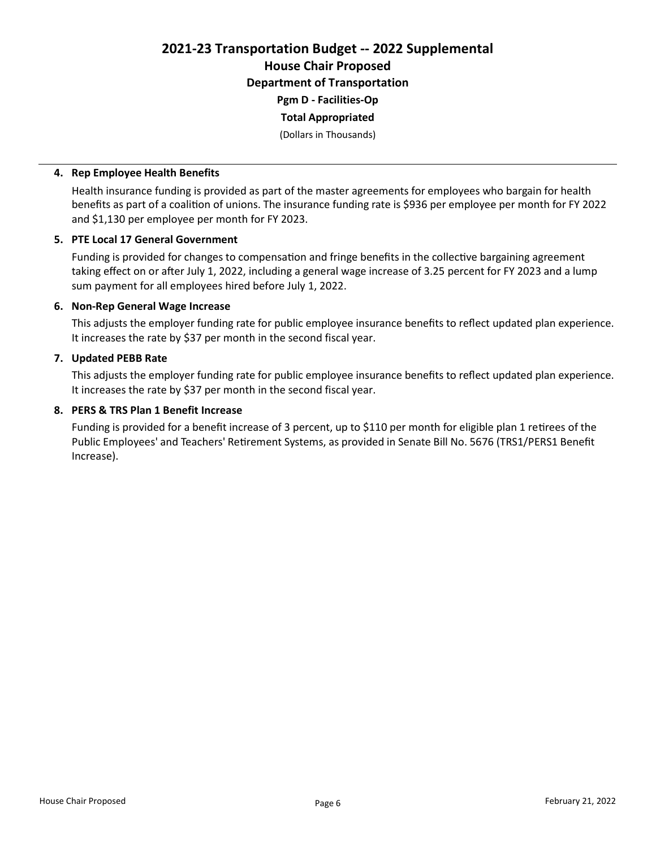2021-23 Transportation Budget -- 2022 Supplemental House Chair Proposed Department of Transportation Pgm D - Facilities-Op Total Appropriated

(Dollars in Thousands)

#### 4. Rep Employee Health Benefits

Health insurance funding is provided as part of the master agreements for employees who bargain for health benefits as part of a coalition of unions. The insurance funding rate is \$936 per employee per month for FY 2022 and \$1,130 per employee per month for FY 2023.

#### 5. PTE Local 17 General Government

Funding is provided for changes to compensation and fringe benefits in the collective bargaining agreement taking effect on or after July 1, 2022, including a general wage increase of 3.25 percent for FY 2023 and a lump sum payment for all employees hired before July 1, 2022.

## 6. Non-Rep General Wage Increase

This adjusts the employer funding rate for public employee insurance benefits to reflect updated plan experience. It increases the rate by \$37 per month in the second fiscal year.

## 7. Updated PEBB Rate

This adjusts the employer funding rate for public employee insurance benefits to reflect updated plan experience. It increases the rate by \$37 per month in the second fiscal year.

## 8. PERS & TRS Plan 1 Benefit Increase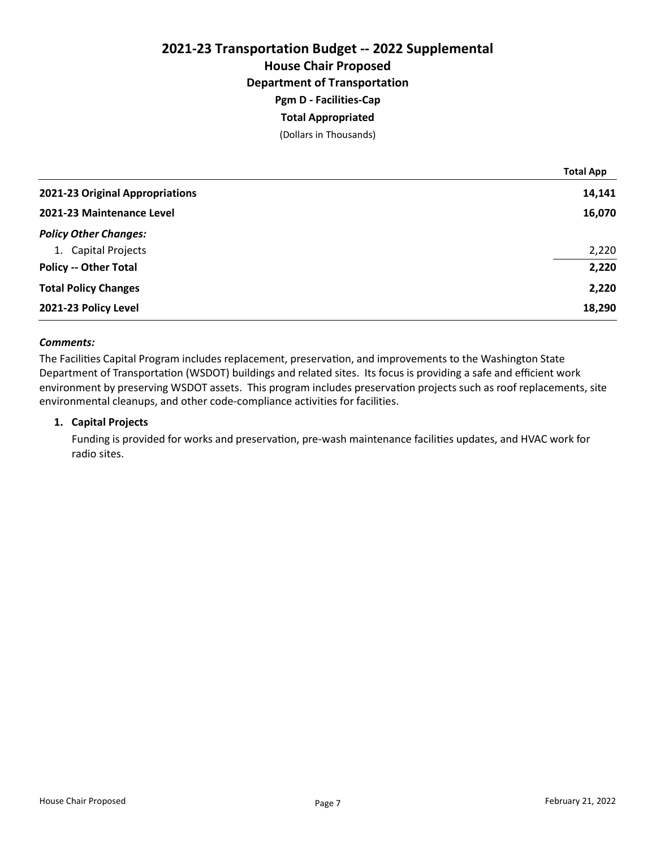# 2021-23 Transportation Budget -- 2022 Supplemental House Chair Proposed Department of Transportation Pgm D - Facilities-Cap Total Appropriated

(Dollars in Thousands)

|                                 | <b>Total App</b> |
|---------------------------------|------------------|
| 2021-23 Original Appropriations | 14,141           |
| 2021-23 Maintenance Level       | 16,070           |
| <b>Policy Other Changes:</b>    |                  |
| 1. Capital Projects             | 2,220            |
| <b>Policy -- Other Total</b>    | 2,220            |
| <b>Total Policy Changes</b>     | 2,220            |
| 2021-23 Policy Level            | 18,290           |

#### Comments:

The Facilities Capital Program includes replacement, preservation, and improvements to the Washington State Department of Transportation (WSDOT) buildings and related sites. Its focus is providing a safe and efficient work environment by preserving WSDOT assets. This program includes preservation projects such as roof replacements, site environmental cleanups, and other code-compliance activities for facilities.

#### 1. Capital Projects

Funding is provided for works and preservation, pre-wash maintenance facilities updates, and HVAC work for radio sites.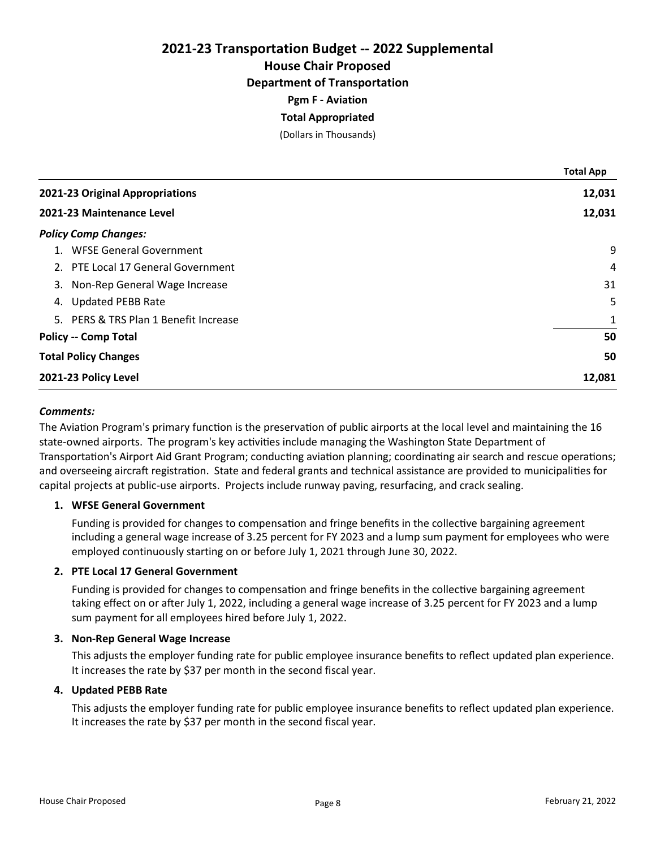House Chair Proposed

Department of Transportation

Pgm F - Aviation

## Total Appropriated

(Dollars in Thousands)

|                                       | <b>Total App</b> |
|---------------------------------------|------------------|
| 2021-23 Original Appropriations       | 12,031           |
| 2021-23 Maintenance Level             | 12,031           |
| <b>Policy Comp Changes:</b>           |                  |
| 1. WFSE General Government            | 9                |
| 2. PTE Local 17 General Government    | 4                |
| Non-Rep General Wage Increase<br>3.   | 31               |
| <b>Updated PEBB Rate</b><br>4.        | 5                |
| 5. PERS & TRS Plan 1 Benefit Increase | 1                |
| <b>Policy -- Comp Total</b>           | 50               |
| <b>Total Policy Changes</b>           | 50               |
| 2021-23 Policy Level                  | 12,081           |

## Comments:

The Aviation Program's primary function is the preservation of public airports at the local level and maintaining the 16 state-owned airports. The program's key activities include managing the Washington State Department of Transportation's Airport Aid Grant Program; conducting aviation planning; coordinating air search and rescue operations; and overseeing aircraft registration. State and federal grants and technical assistance are provided to municipalities for capital projects at public-use airports. Projects include runway paving, resurfacing, and crack sealing.

#### 1. WFSE General Government

Funding is provided for changes to compensation and fringe benefits in the collective bargaining agreement including a general wage increase of 3.25 percent for FY 2023 and a lump sum payment for employees who were employed continuously starting on or before July 1, 2021 through June 30, 2022.

## 2. PTE Local 17 General Government

Funding is provided for changes to compensation and fringe benefits in the collective bargaining agreement taking effect on or after July 1, 2022, including a general wage increase of 3.25 percent for FY 2023 and a lump sum payment for all employees hired before July 1, 2022.

#### 3. Non-Rep General Wage Increase

This adjusts the employer funding rate for public employee insurance benefits to reflect updated plan experience. It increases the rate by \$37 per month in the second fiscal year.

#### 4. Updated PEBB Rate

This adjusts the employer funding rate for public employee insurance benefits to reflect updated plan experience. It increases the rate by \$37 per month in the second fiscal year.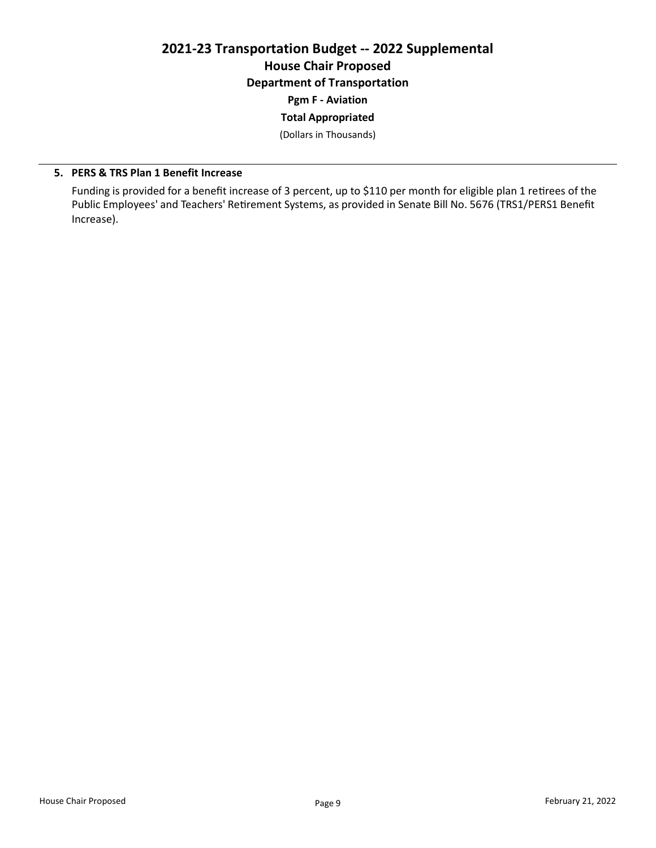# 2021-23 Transportation Budget -- 2022 Supplemental House Chair Proposed Department of Transportation

Pgm F - Aviation

Total Appropriated

(Dollars in Thousands)

## 5. PERS & TRS Plan 1 Benefit Increase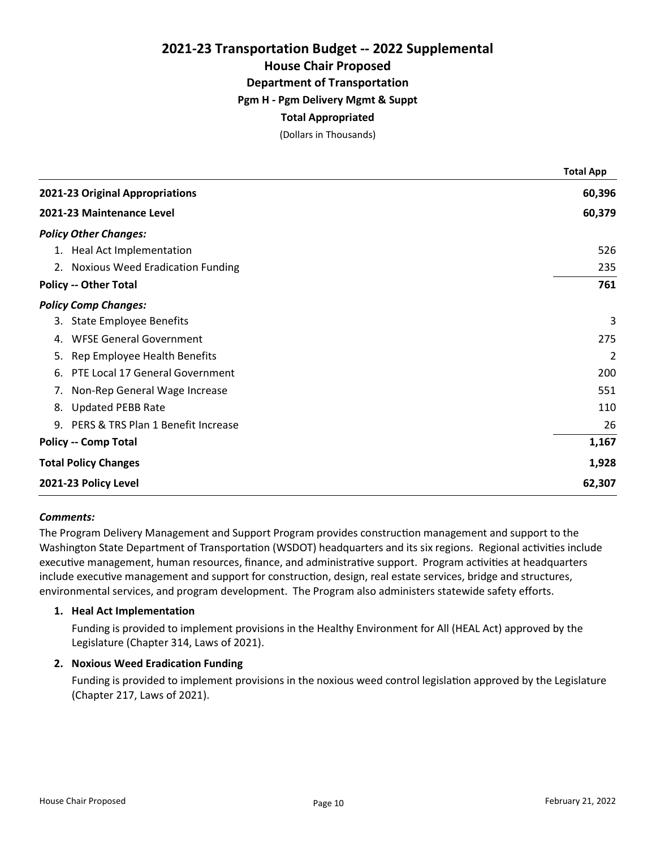House Chair Proposed

Department of Transportation

## Pgm H - Pgm Delivery Mgmt & Suppt

## Total Appropriated

(Dollars in Thousands)

|                                       | <b>Total App</b> |
|---------------------------------------|------------------|
| 2021-23 Original Appropriations       | 60,396           |
| 2021-23 Maintenance Level             | 60,379           |
| <b>Policy Other Changes:</b>          |                  |
| 1. Heal Act Implementation            | 526              |
| 2. Noxious Weed Eradication Funding   | 235              |
| <b>Policy -- Other Total</b>          | 761              |
| <b>Policy Comp Changes:</b>           |                  |
| 3. State Employee Benefits            | 3                |
| <b>WFSE General Government</b><br>4.  | 275              |
| 5. Rep Employee Health Benefits       | 2                |
| PTE Local 17 General Government<br>6. | 200              |
| 7. Non-Rep General Wage Increase      | 551              |
| 8. Updated PEBB Rate                  | 110              |
| 9. PERS & TRS Plan 1 Benefit Increase | 26               |
| <b>Policy -- Comp Total</b>           | 1,167            |
| <b>Total Policy Changes</b>           | 1,928            |
| 2021-23 Policy Level                  | 62,307           |

#### Comments:

The Program Delivery Management and Support Program provides construction management and support to the Washington State Department of Transportation (WSDOT) headquarters and its six regions. Regional activities include executive management, human resources, finance, and administrative support. Program activities at headquarters include executive management and support for construction, design, real estate services, bridge and structures, environmental services, and program development. The Program also administers statewide safety efforts.

#### 1. Heal Act Implementation

Funding is provided to implement provisions in the Healthy Environment for All (HEAL Act) approved by the Legislature (Chapter 314, Laws of 2021).

#### 2. Noxious Weed Eradication Funding

Funding is provided to implement provisions in the noxious weed control legislation approved by the Legislature (Chapter 217, Laws of 2021).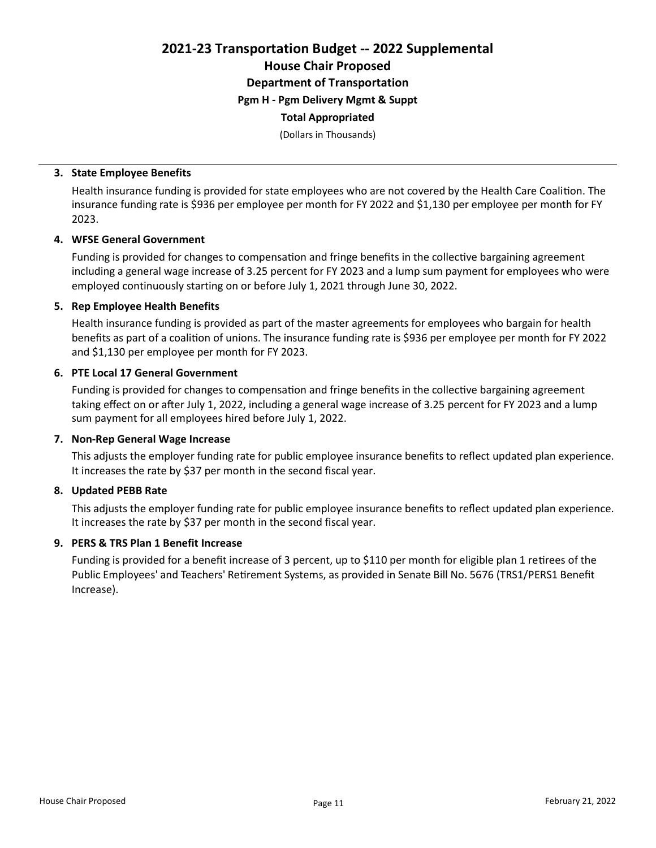2021-23 Transportation Budget -- 2022 Supplemental House Chair Proposed Department of Transportation Pgm H - Pgm Delivery Mgmt & Suppt

## Total Appropriated

(Dollars in Thousands)

#### 3. State Employee Benefits

Health insurance funding is provided for state employees who are not covered by the Health Care Coalition. The insurance funding rate is \$936 per employee per month for FY 2022 and \$1,130 per employee per month for FY 2023.

## 4. WFSE General Government

Funding is provided for changes to compensation and fringe benefits in the collective bargaining agreement including a general wage increase of 3.25 percent for FY 2023 and a lump sum payment for employees who were employed continuously starting on or before July 1, 2021 through June 30, 2022.

## 5. Rep Employee Health Benefits

Health insurance funding is provided as part of the master agreements for employees who bargain for health benefits as part of a coalition of unions. The insurance funding rate is \$936 per employee per month for FY 2022 and \$1,130 per employee per month for FY 2023.

## 6. PTE Local 17 General Government

Funding is provided for changes to compensation and fringe benefits in the collective bargaining agreement taking effect on or after July 1, 2022, including a general wage increase of 3.25 percent for FY 2023 and a lump sum payment for all employees hired before July 1, 2022.

## 7. Non-Rep General Wage Increase

This adjusts the employer funding rate for public employee insurance benefits to reflect updated plan experience. It increases the rate by \$37 per month in the second fiscal year.

## 8. Updated PEBB Rate

This adjusts the employer funding rate for public employee insurance benefits to reflect updated plan experience. It increases the rate by \$37 per month in the second fiscal year.

#### 9. PERS & TRS Plan 1 Benefit Increase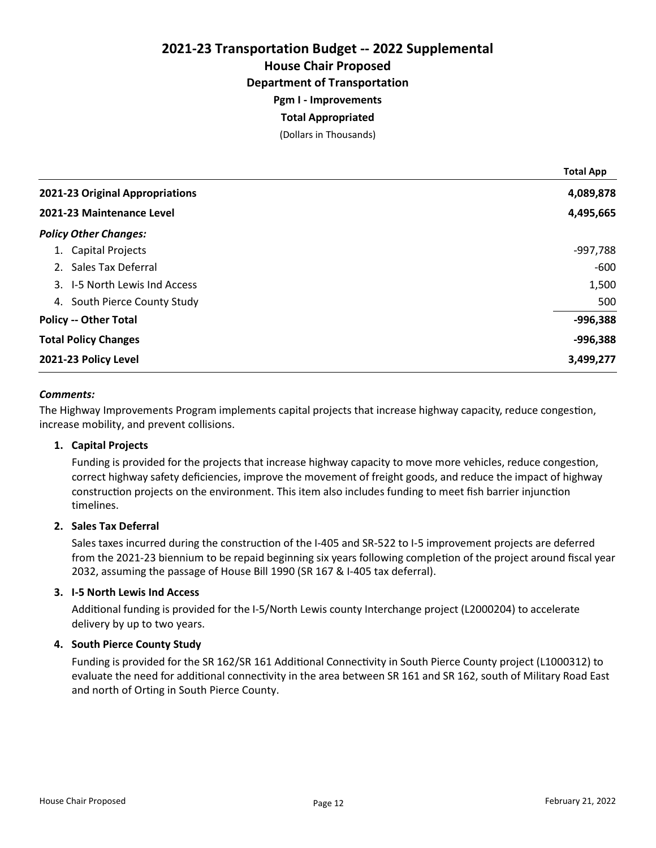House Chair Proposed

Department of Transportation

Pgm I - Improvements

## Total Appropriated

(Dollars in Thousands)

|                                 | <b>Total App</b> |
|---------------------------------|------------------|
| 2021-23 Original Appropriations | 4,089,878        |
| 2021-23 Maintenance Level       | 4,495,665        |
| <b>Policy Other Changes:</b>    |                  |
| 1. Capital Projects             | -997,788         |
| 2. Sales Tax Deferral           | $-600$           |
| 3. I-5 North Lewis Ind Access   | 1,500            |
| South Pierce County Study<br>4. | 500              |
| <b>Policy -- Other Total</b>    | $-996,388$       |
| <b>Total Policy Changes</b>     | $-996,388$       |
| 2021-23 Policy Level            | 3,499,277        |

## Comments:

The Highway Improvements Program implements capital projects that increase highway capacity, reduce congestion, increase mobility, and prevent collisions.

#### 1. Capital Projects

Funding is provided for the projects that increase highway capacity to move more vehicles, reduce congestion, correct highway safety deficiencies, improve the movement of freight goods, and reduce the impact of highway construction projects on the environment. This item also includes funding to meet fish barrier injunction timelines.

#### 2. Sales Tax Deferral

Sales taxes incurred during the construction of the I-405 and SR-522 to I-5 improvement projects are deferred from the 2021-23 biennium to be repaid beginning six years following completion of the project around fiscal year 2032, assuming the passage of House Bill 1990 (SR 167 & I-405 tax deferral).

#### 3. I-5 North Lewis Ind Access

Additional funding is provided for the I-5/North Lewis county Interchange project (L2000204) to accelerate delivery by up to two years.

#### 4. South Pierce County Study

Funding is provided for the SR 162/SR 161 Additional Connectivity in South Pierce County project (L1000312) to evaluate the need for additional connectivity in the area between SR 161 and SR 162, south of Military Road East and north of Orting in South Pierce County.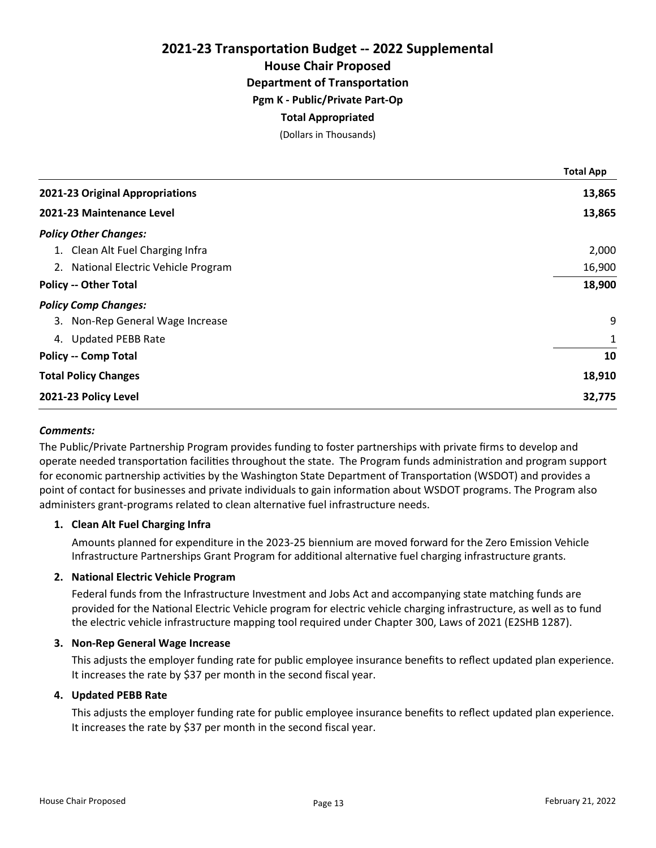House Chair Proposed

Department of Transportation

Pgm K - Public/Private Part-Op

## Total Appropriated

(Dollars in Thousands)

|                                      | <b>Total App</b> |
|--------------------------------------|------------------|
| 2021-23 Original Appropriations      | 13,865           |
| 2021-23 Maintenance Level            | 13,865           |
| <b>Policy Other Changes:</b>         |                  |
| 1. Clean Alt Fuel Charging Infra     | 2,000            |
| 2. National Electric Vehicle Program | 16,900           |
| <b>Policy -- Other Total</b>         | 18,900           |
| <b>Policy Comp Changes:</b>          |                  |
| 3. Non-Rep General Wage Increase     | 9                |
| <b>Updated PEBB Rate</b><br>4.       | 1                |
| <b>Policy -- Comp Total</b>          | 10               |
| <b>Total Policy Changes</b>          | 18,910           |
| 2021-23 Policy Level                 | 32,775           |

## Comments:

The Public/Private Partnership Program provides funding to foster partnerships with private firms to develop and operate needed transportation facilities throughout the state. The Program funds administration and program support for economic partnership activities by the Washington State Department of Transportation (WSDOT) and provides a point of contact for businesses and private individuals to gain information about WSDOT programs. The Program also administers grant-programs related to clean alternative fuel infrastructure needs.

#### 1. Clean Alt Fuel Charging Infra

Amounts planned for expenditure in the 2023-25 biennium are moved forward for the Zero Emission Vehicle Infrastructure Partnerships Grant Program for additional alternative fuel charging infrastructure grants.

#### 2. National Electric Vehicle Program

Federal funds from the Infrastructure Investment and Jobs Act and accompanying state matching funds are provided for the National Electric Vehicle program for electric vehicle charging infrastructure, as well as to fund the electric vehicle infrastructure mapping tool required under Chapter 300, Laws of 2021 (E2SHB 1287).

#### 3. Non-Rep General Wage Increase

This adjusts the employer funding rate for public employee insurance benefits to reflect updated plan experience. It increases the rate by \$37 per month in the second fiscal year.

#### 4. Updated PEBB Rate

This adjusts the employer funding rate for public employee insurance benefits to reflect updated plan experience. It increases the rate by \$37 per month in the second fiscal year.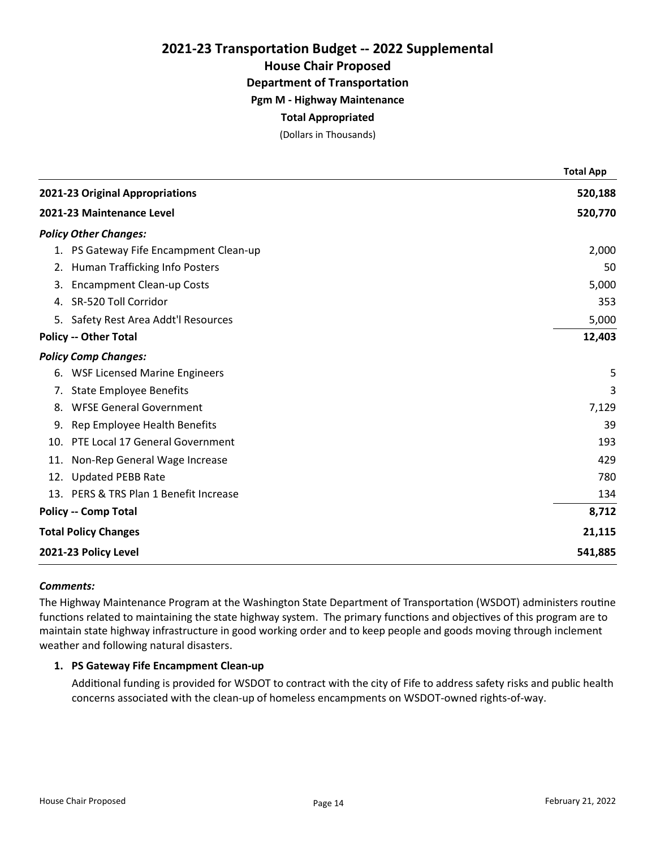House Chair Proposed

Department of Transportation

Pgm M - Highway Maintenance

## Total Appropriated

(Dollars in Thousands)

|                           |                                        | <b>Total App</b> |
|---------------------------|----------------------------------------|------------------|
|                           | 2021-23 Original Appropriations        | 520,188          |
| 2021-23 Maintenance Level |                                        | 520,770          |
|                           | <b>Policy Other Changes:</b>           |                  |
|                           | 1. PS Gateway Fife Encampment Clean-up | 2,000            |
|                           | 2. Human Trafficking Info Posters      | 50               |
|                           | 3. Encampment Clean-up Costs           | 5,000            |
|                           | 4. SR-520 Toll Corridor                | 353              |
|                           | 5. Safety Rest Area Addt'l Resources   | 5,000            |
|                           | <b>Policy -- Other Total</b>           | 12,403           |
|                           | <b>Policy Comp Changes:</b>            |                  |
| 6.                        | <b>WSF Licensed Marine Engineers</b>   | 5                |
| 7.                        | <b>State Employee Benefits</b>         | 3                |
| 8.                        | <b>WFSE General Government</b>         | 7,129            |
| 9.                        | Rep Employee Health Benefits           | 39               |
| 10.                       | PTE Local 17 General Government        | 193              |
| 11.                       | Non-Rep General Wage Increase          | 429              |
| 12.                       | <b>Updated PEBB Rate</b>               | 780              |
|                           | 13. PERS & TRS Plan 1 Benefit Increase | 134              |
|                           | <b>Policy -- Comp Total</b>            | 8,712            |
|                           | <b>Total Policy Changes</b>            | 21,115           |
|                           | 2021-23 Policy Level                   | 541,885          |

#### Comments:

The Highway Maintenance Program at the Washington State Department of Transportation (WSDOT) administers routine functions related to maintaining the state highway system. The primary functions and objectives of this program are to maintain state highway infrastructure in good working order and to keep people and goods moving through inclement weather and following natural disasters.

## 1. PS Gateway Fife Encampment Clean-up

Additional funding is provided for WSDOT to contract with the city of Fife to address safety risks and public health concerns associated with the clean-up of homeless encampments on WSDOT-owned rights-of-way.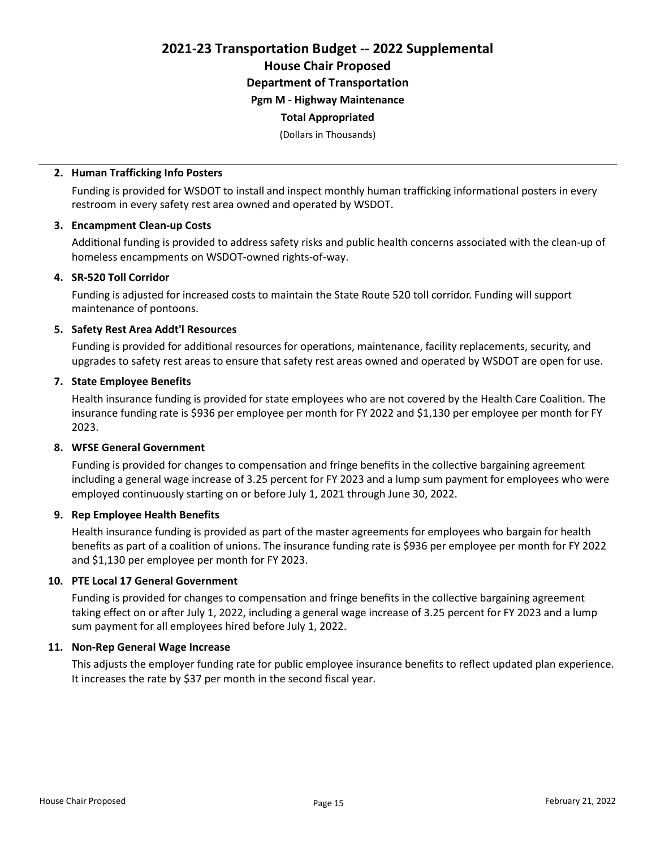House Chair Proposed Department of Transportation

Pgm M - Highway Maintenance

## Total Appropriated

(Dollars in Thousands)

## 2. Human Trafficking Info Posters

Funding is provided for WSDOT to install and inspect monthly human trafficking informational posters in every restroom in every safety rest area owned and operated by WSDOT.

## 3. Encampment Clean-up Costs

Additional funding is provided to address safety risks and public health concerns associated with the clean-up of homeless encampments on WSDOT-owned rights-of-way.

## 4. SR-520 Toll Corridor

Funding is adjusted for increased costs to maintain the State Route 520 toll corridor. Funding will support maintenance of pontoons.

## 5. Safety Rest Area Addt'l Resources

Funding is provided for additional resources for operations, maintenance, facility replacements, security, and upgrades to safety rest areas to ensure that safety rest areas owned and operated by WSDOT are open for use.

## 7. State Employee Benefits

Health insurance funding is provided for state employees who are not covered by the Health Care Coalition. The insurance funding rate is \$936 per employee per month for FY 2022 and \$1,130 per employee per month for FY 2023.

## 8. WFSE General Government

Funding is provided for changes to compensation and fringe benefits in the collective bargaining agreement including a general wage increase of 3.25 percent for FY 2023 and a lump sum payment for employees who were employed continuously starting on or before July 1, 2021 through June 30, 2022.

## 9. Rep Employee Health Benefits

Health insurance funding is provided as part of the master agreements for employees who bargain for health benefits as part of a coalition of unions. The insurance funding rate is \$936 per employee per month for FY 2022 and \$1,130 per employee per month for FY 2023.

## 10. PTE Local 17 General Government

Funding is provided for changes to compensation and fringe benefits in the collective bargaining agreement taking effect on or after July 1, 2022, including a general wage increase of 3.25 percent for FY 2023 and a lump sum payment for all employees hired before July 1, 2022.

## 11. Non-Rep General Wage Increase

This adjusts the employer funding rate for public employee insurance benefits to reflect updated plan experience. It increases the rate by \$37 per month in the second fiscal year.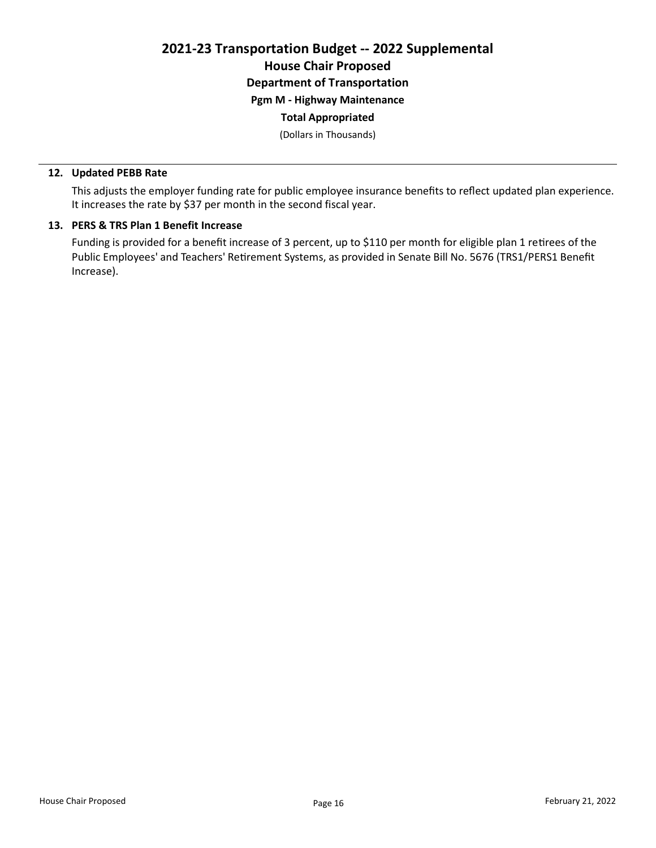2021-23 Transportation Budget -- 2022 Supplemental House Chair Proposed Department of Transportation

Pgm M - Highway Maintenance

## Total Appropriated

(Dollars in Thousands)

#### 12. Updated PEBB Rate

This adjusts the employer funding rate for public employee insurance benefits to reflect updated plan experience. It increases the rate by \$37 per month in the second fiscal year.

## 13. PERS & TRS Plan 1 Benefit Increase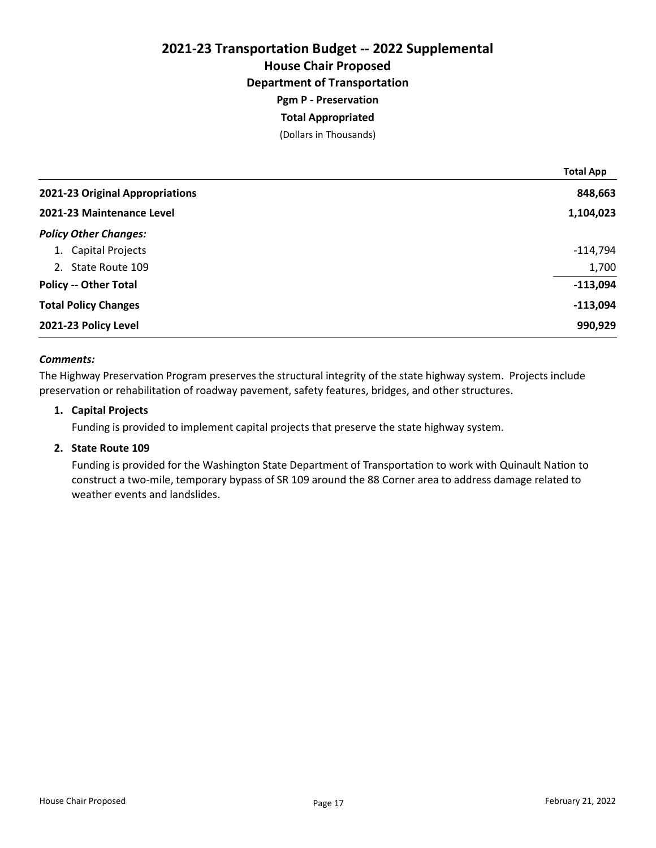## 2021-23 Transportation Budget -- 2022 Supplemental House Chair Proposed Department of Transportation Pgm P - Preservation Total Appropriated

# (Dollars in Thousands)

|                                 | <b>Total App</b> |
|---------------------------------|------------------|
| 2021-23 Original Appropriations | 848,663          |
| 2021-23 Maintenance Level       | 1,104,023        |
| <b>Policy Other Changes:</b>    |                  |
| 1. Capital Projects             | $-114,794$       |
| 2. State Route 109              | 1,700            |
| <b>Policy -- Other Total</b>    | $-113,094$       |
| <b>Total Policy Changes</b>     | $-113,094$       |
| 2021-23 Policy Level            | 990,929          |

#### Comments:

The Highway Preservation Program preserves the structural integrity of the state highway system. Projects include preservation or rehabilitation of roadway pavement, safety features, bridges, and other structures.

#### 1. Capital Projects

Funding is provided to implement capital projects that preserve the state highway system.

## 2. State Route 109

Funding is provided for the Washington State Department of Transportation to work with Quinault Nation to construct a two-mile, temporary bypass of SR 109 around the 88 Corner area to address damage related to weather events and landslides.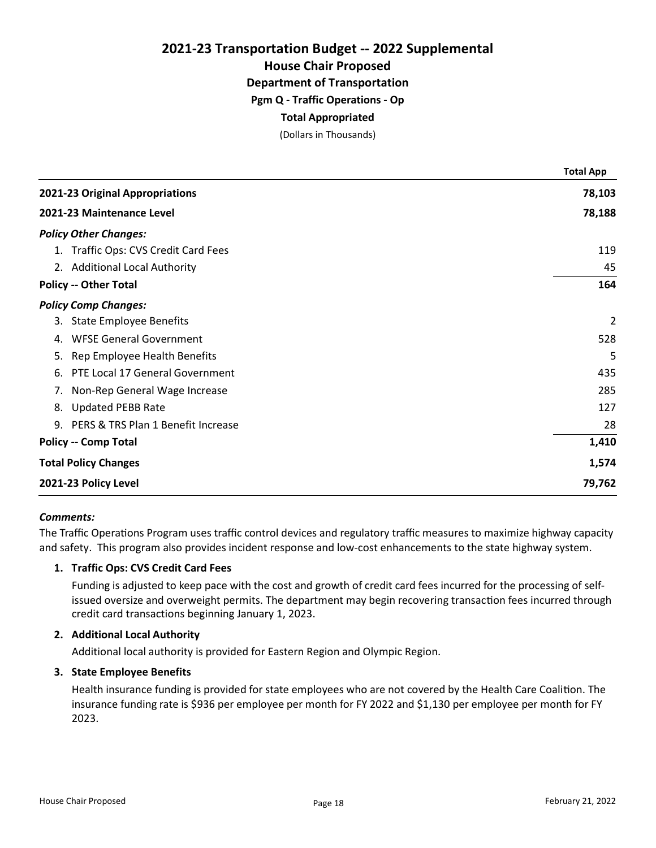House Chair Proposed

Department of Transportation

Pgm Q - Traffic Operations - Op

## Total Appropriated

(Dollars in Thousands)

|                                       | <b>Total App</b> |
|---------------------------------------|------------------|
| 2021-23 Original Appropriations       | 78,103           |
| 2021-23 Maintenance Level             | 78,188           |
| <b>Policy Other Changes:</b>          |                  |
| 1. Traffic Ops: CVS Credit Card Fees  | 119              |
| 2. Additional Local Authority         | 45               |
| <b>Policy -- Other Total</b>          | 164              |
| <b>Policy Comp Changes:</b>           |                  |
| 3. State Employee Benefits            | $\overline{2}$   |
| <b>WFSE General Government</b><br>4.  | 528              |
| 5. Rep Employee Health Benefits       | 5                |
| PTE Local 17 General Government<br>6. | 435              |
| 7. Non-Rep General Wage Increase      | 285              |
| 8. Updated PEBB Rate                  | 127              |
| 9. PERS & TRS Plan 1 Benefit Increase | 28               |
| <b>Policy -- Comp Total</b>           | 1,410            |
| <b>Total Policy Changes</b>           | 1,574            |
| 2021-23 Policy Level                  | 79,762           |

#### Comments:

The Traffic Operations Program uses traffic control devices and regulatory traffic measures to maximize highway capacity and safety. This program also provides incident response and low-cost enhancements to the state highway system.

## 1. Traffic Ops: CVS Credit Card Fees

Funding is adjusted to keep pace with the cost and growth of credit card fees incurred for the processing of selfissued oversize and overweight permits. The department may begin recovering transaction fees incurred through credit card transactions beginning January 1, 2023.

#### 2. Additional Local Authority

Additional local authority is provided for Eastern Region and Olympic Region.

#### 3. State Employee Benefits

Health insurance funding is provided for state employees who are not covered by the Health Care Coalition. The insurance funding rate is \$936 per employee per month for FY 2022 and \$1,130 per employee per month for FY 2023.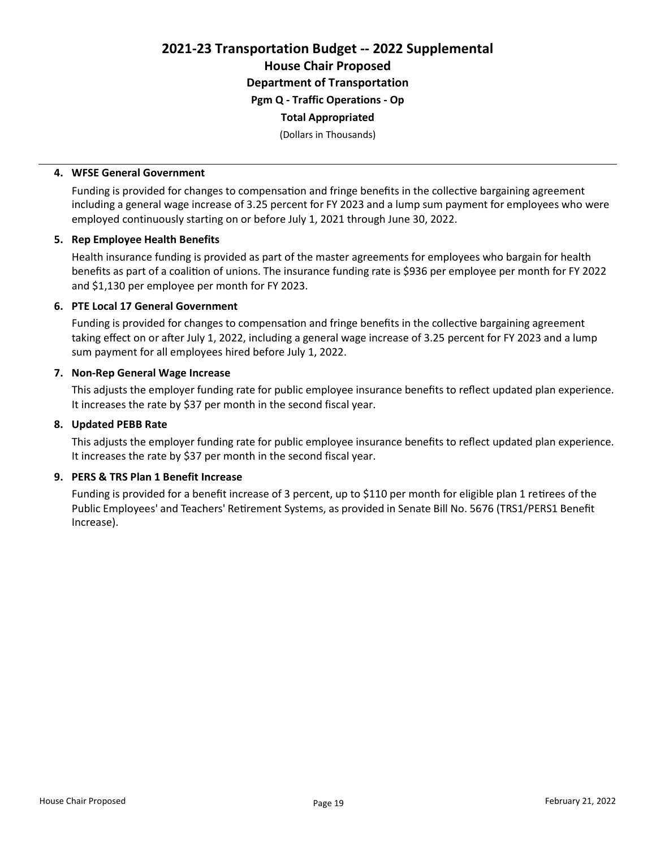2021-23 Transportation Budget -- 2022 Supplemental House Chair Proposed Department of Transportation Pgm Q - Traffic Operations - Op Total Appropriated

(Dollars in Thousands)

## 4. WFSE General Government

Funding is provided for changes to compensation and fringe benefits in the collective bargaining agreement including a general wage increase of 3.25 percent for FY 2023 and a lump sum payment for employees who were employed continuously starting on or before July 1, 2021 through June 30, 2022.

## 5. Rep Employee Health Benefits

Health insurance funding is provided as part of the master agreements for employees who bargain for health benefits as part of a coalition of unions. The insurance funding rate is \$936 per employee per month for FY 2022 and \$1,130 per employee per month for FY 2023.

## 6. PTE Local 17 General Government

Funding is provided for changes to compensation and fringe benefits in the collective bargaining agreement taking effect on or after July 1, 2022, including a general wage increase of 3.25 percent for FY 2023 and a lump sum payment for all employees hired before July 1, 2022.

## 7. Non-Rep General Wage Increase

This adjusts the employer funding rate for public employee insurance benefits to reflect updated plan experience. It increases the rate by \$37 per month in the second fiscal year.

## 8. Updated PEBB Rate

This adjusts the employer funding rate for public employee insurance benefits to reflect updated plan experience. It increases the rate by \$37 per month in the second fiscal year.

## 9. PERS & TRS Plan 1 Benefit Increase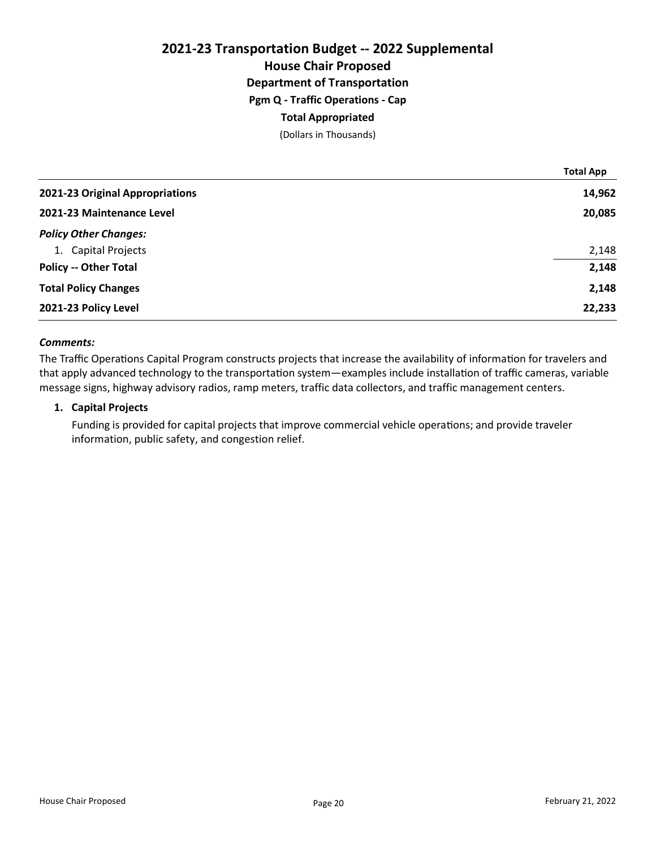## 2021-23 Transportation Budget -- 2022 Supplemental House Chair Proposed Department of Transportation Pgm Q - Traffic Operations - Cap Total Appropriated (Dollars in Thousands)

|                                 | TOTAL APP |
|---------------------------------|-----------|
| 2021-23 Original Appropriations | 14,962    |
| 2021-23 Maintenance Level       | 20,085    |
| <b>Policy Other Changes:</b>    |           |
| 1. Capital Projects             | 2,148     |
| <b>Policy -- Other Total</b>    | 2,148     |
| <b>Total Policy Changes</b>     | 2,148     |
| 2021-23 Policy Level            | 22,233    |

#### Comments:

The Traffic Operations Capital Program constructs projects that increase the availability of information for travelers and that apply advanced technology to the transportation system—examples include installation of traffic cameras, variable message signs, highway advisory radios, ramp meters, traffic data collectors, and traffic management centers.

#### 1. Capital Projects

Funding is provided for capital projects that improve commercial vehicle operations; and provide traveler information, public safety, and congestion relief.

Total App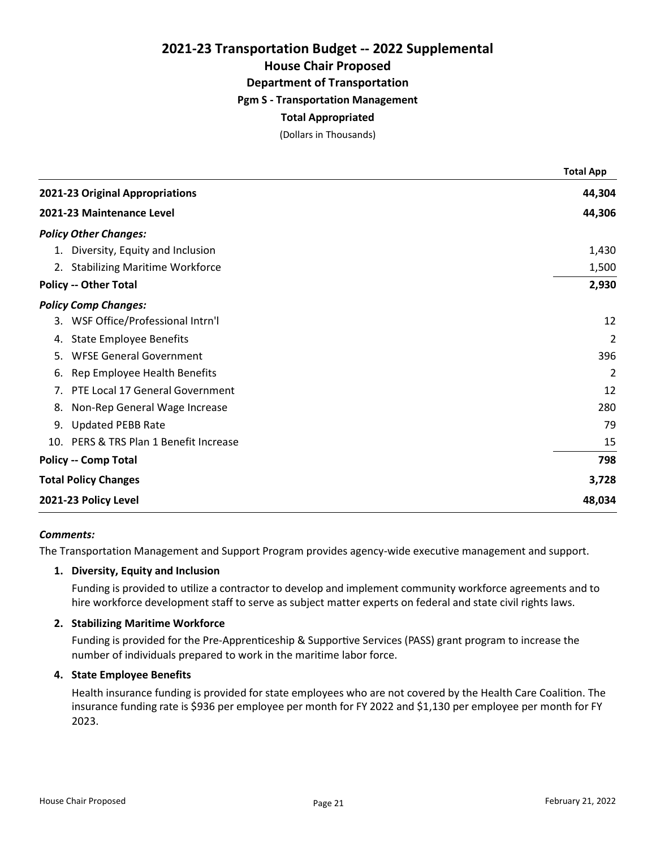## House Chair Proposed

Department of Transportation

## Pgm S - Transportation Management

## Total Appropriated

(Dollars in Thousands)

|                                        | <b>Total App</b> |
|----------------------------------------|------------------|
| 2021-23 Original Appropriations        | 44,304           |
| 2021-23 Maintenance Level              | 44,306           |
| <b>Policy Other Changes:</b>           |                  |
| 1. Diversity, Equity and Inclusion     | 1,430            |
| 2. Stabilizing Maritime Workforce      | 1,500            |
| <b>Policy -- Other Total</b>           | 2,930            |
| <b>Policy Comp Changes:</b>            |                  |
| WSF Office/Professional Intrn'l<br>3.  | 12               |
| <b>State Employee Benefits</b><br>4.   | $\overline{2}$   |
| <b>WFSE General Government</b><br>5.   | 396              |
| Rep Employee Health Benefits<br>6.     | $\overline{2}$   |
| PTE Local 17 General Government<br>7.  | 12               |
| Non-Rep General Wage Increase<br>8.    | 280              |
| <b>Updated PEBB Rate</b><br>9.         | 79               |
| 10. PERS & TRS Plan 1 Benefit Increase | 15               |
| <b>Policy -- Comp Total</b>            | 798              |
| <b>Total Policy Changes</b>            | 3,728            |
| 2021-23 Policy Level                   | 48,034           |

#### Comments:

The Transportation Management and Support Program provides agency-wide executive management and support.

## 1. Diversity, Equity and Inclusion

Funding is provided to utilize a contractor to develop and implement community workforce agreements and to hire workforce development staff to serve as subject matter experts on federal and state civil rights laws.

#### 2. Stabilizing Maritime Workforce

Funding is provided for the Pre-Apprenticeship & Supportive Services (PASS) grant program to increase the number of individuals prepared to work in the maritime labor force.

## 4. State Employee Benefits

Health insurance funding is provided for state employees who are not covered by the Health Care Coalition. The insurance funding rate is \$936 per employee per month for FY 2022 and \$1,130 per employee per month for FY 2023.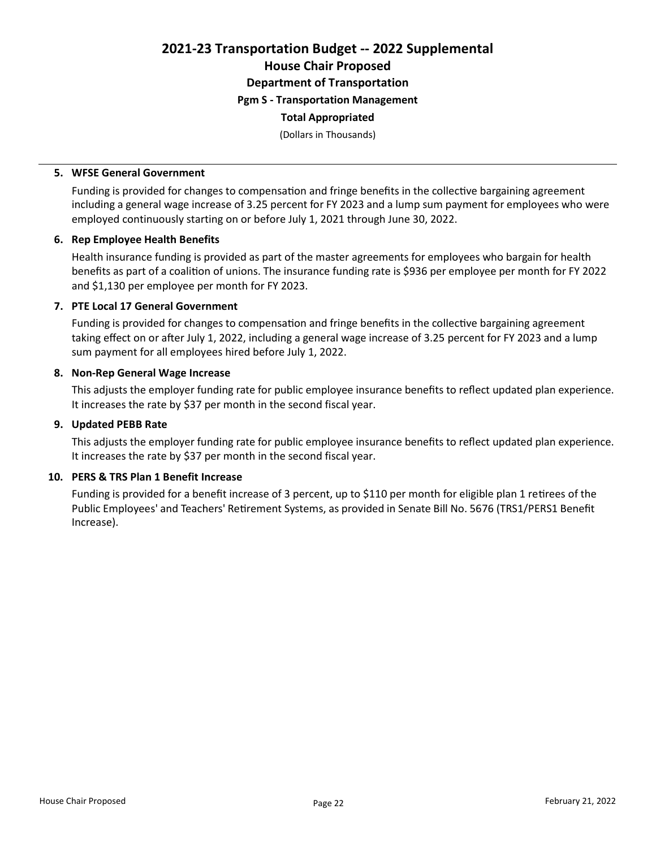2021-23 Transportation Budget -- 2022 Supplemental House Chair Proposed Department of Transportation

Pgm S - Transportation Management

### Total Appropriated

(Dollars in Thousands)

#### 5. WFSE General Government

Funding is provided for changes to compensation and fringe benefits in the collective bargaining agreement including a general wage increase of 3.25 percent for FY 2023 and a lump sum payment for employees who were employed continuously starting on or before July 1, 2021 through June 30, 2022.

## 6. Rep Employee Health Benefits

Health insurance funding is provided as part of the master agreements for employees who bargain for health benefits as part of a coalition of unions. The insurance funding rate is \$936 per employee per month for FY 2022 and \$1,130 per employee per month for FY 2023.

## 7. PTE Local 17 General Government

Funding is provided for changes to compensation and fringe benefits in the collective bargaining agreement taking effect on or after July 1, 2022, including a general wage increase of 3.25 percent for FY 2023 and a lump sum payment for all employees hired before July 1, 2022.

## 8. Non-Rep General Wage Increase

This adjusts the employer funding rate for public employee insurance benefits to reflect updated plan experience. It increases the rate by \$37 per month in the second fiscal year.

## 9. Updated PEBB Rate

This adjusts the employer funding rate for public employee insurance benefits to reflect updated plan experience. It increases the rate by \$37 per month in the second fiscal year.

## 10. PERS & TRS Plan 1 Benefit Increase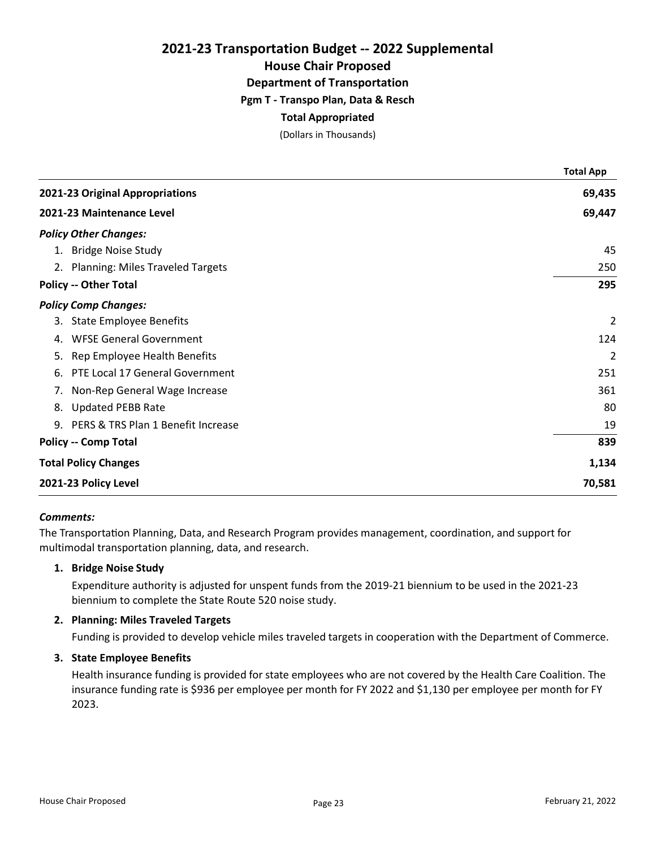House Chair Proposed

Department of Transportation

Pgm T - Transpo Plan, Data & Resch

## Total Appropriated

(Dollars in Thousands)

|                                       | <b>Total App</b> |
|---------------------------------------|------------------|
| 2021-23 Original Appropriations       | 69,435           |
| 2021-23 Maintenance Level             | 69,447           |
| <b>Policy Other Changes:</b>          |                  |
| 1. Bridge Noise Study                 | 45               |
| 2. Planning: Miles Traveled Targets   | 250              |
| <b>Policy -- Other Total</b>          | 295              |
| <b>Policy Comp Changes:</b>           |                  |
| 3. State Employee Benefits            | 2                |
| <b>WFSE General Government</b><br>4.  | 124              |
| 5. Rep Employee Health Benefits       | 2                |
| PTE Local 17 General Government<br>6. | 251              |
| 7. Non-Rep General Wage Increase      | 361              |
| 8. Updated PEBB Rate                  | 80               |
| 9. PERS & TRS Plan 1 Benefit Increase | 19               |
| <b>Policy -- Comp Total</b>           | 839              |
| <b>Total Policy Changes</b>           | 1,134            |
| 2021-23 Policy Level                  | 70,581           |

#### Comments:

The Transportation Planning, Data, and Research Program provides management, coordination, and support for multimodal transportation planning, data, and research.

#### 1. Bridge Noise Study

Expenditure authority is adjusted for unspent funds from the 2019-21 biennium to be used in the 2021-23 biennium to complete the State Route 520 noise study.

### 2. Planning: Miles Traveled Targets

Funding is provided to develop vehicle miles traveled targets in cooperation with the Department of Commerce.

#### 3. State Employee Benefits

Health insurance funding is provided for state employees who are not covered by the Health Care Coalition. The insurance funding rate is \$936 per employee per month for FY 2022 and \$1,130 per employee per month for FY 2023.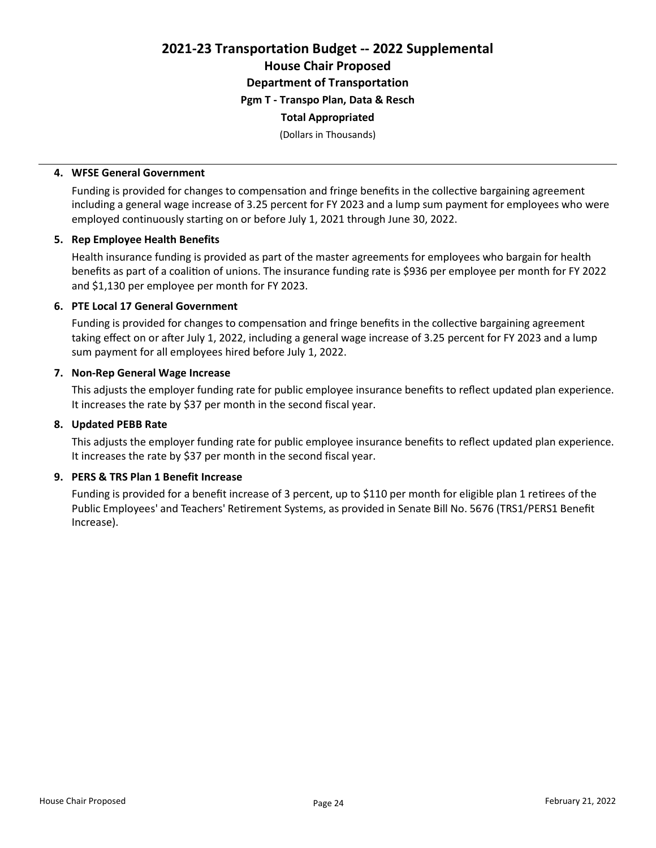2021-23 Transportation Budget -- 2022 Supplemental House Chair Proposed Department of Transportation Pgm T - Transpo Plan, Data & Resch

## Total Appropriated

(Dollars in Thousands)

#### 4. WFSE General Government

Funding is provided for changes to compensation and fringe benefits in the collective bargaining agreement including a general wage increase of 3.25 percent for FY 2023 and a lump sum payment for employees who were employed continuously starting on or before July 1, 2021 through June 30, 2022.

#### 5. Rep Employee Health Benefits

Health insurance funding is provided as part of the master agreements for employees who bargain for health benefits as part of a coalition of unions. The insurance funding rate is \$936 per employee per month for FY 2022 and \$1,130 per employee per month for FY 2023.

## 6. PTE Local 17 General Government

Funding is provided for changes to compensation and fringe benefits in the collective bargaining agreement taking effect on or after July 1, 2022, including a general wage increase of 3.25 percent for FY 2023 and a lump sum payment for all employees hired before July 1, 2022.

#### 7. Non-Rep General Wage Increase

This adjusts the employer funding rate for public employee insurance benefits to reflect updated plan experience. It increases the rate by \$37 per month in the second fiscal year.

#### 8. Updated PEBB Rate

This adjusts the employer funding rate for public employee insurance benefits to reflect updated plan experience. It increases the rate by \$37 per month in the second fiscal year.

#### 9. PERS & TRS Plan 1 Benefit Increase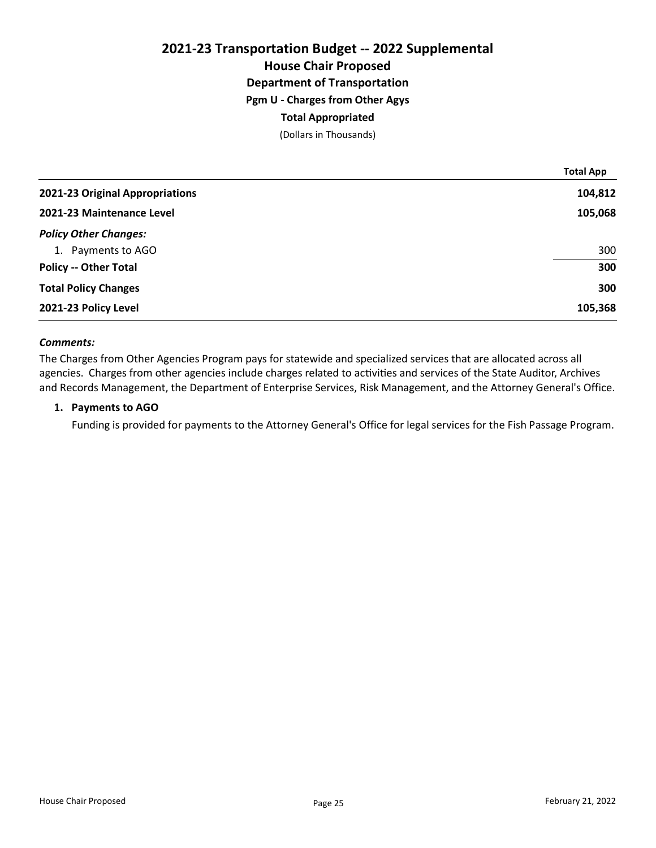## 2021-23 Transportation Budget -- 2022 Supplemental House Chair Proposed Department of Transportation Pgm U - Charges from Other Agys Total Appropriated (Dollars in Thousands)

|                                 | <b>Total App</b> |
|---------------------------------|------------------|
| 2021-23 Original Appropriations | 104,812          |
| 2021-23 Maintenance Level       | 105,068          |
| <b>Policy Other Changes:</b>    |                  |
| 1. Payments to AGO              | 300              |
| <b>Policy -- Other Total</b>    | 300              |
| <b>Total Policy Changes</b>     | 300              |
| 2021-23 Policy Level            | 105,368          |

#### Comments:

The Charges from Other Agencies Program pays for statewide and specialized services that are allocated across all agencies. Charges from other agencies include charges related to activities and services of the State Auditor, Archives and Records Management, the Department of Enterprise Services, Risk Management, and the Attorney General's Office.

#### 1. Payments to AGO

Funding is provided for payments to the Attorney General's Office for legal services for the Fish Passage Program.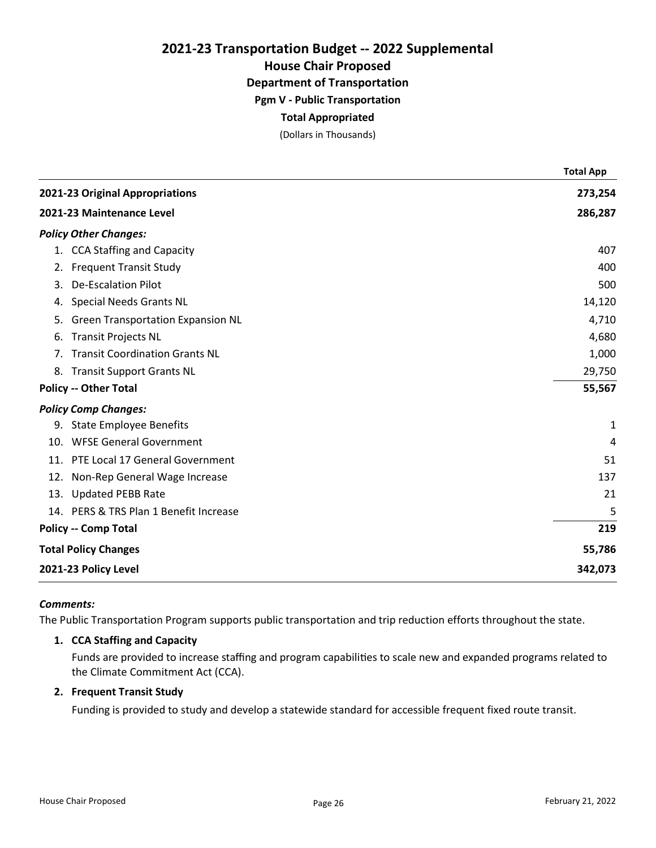House Chair Proposed

Department of Transportation

Pgm V - Public Transportation

## Total Appropriated

(Dollars in Thousands)

|     |                                          | <b>Total App</b> |
|-----|------------------------------------------|------------------|
|     | 2021-23 Original Appropriations          | 273,254          |
|     | 2021-23 Maintenance Level                | 286,287          |
|     | <b>Policy Other Changes:</b>             |                  |
|     | 1. CCA Staffing and Capacity             | 407              |
|     | 2. Frequent Transit Study                | 400              |
| 3.  | <b>De-Escalation Pilot</b>               | 500              |
| 4.  | <b>Special Needs Grants NL</b>           | 14,120           |
| 5.  | <b>Green Transportation Expansion NL</b> | 4,710            |
| 6.  | <b>Transit Projects NL</b>               | 4,680            |
| 7.  | <b>Transit Coordination Grants NL</b>    | 1,000            |
|     | 8. Transit Support Grants NL             | 29,750           |
|     | <b>Policy -- Other Total</b>             | 55,567           |
|     | <b>Policy Comp Changes:</b>              |                  |
|     | 9. State Employee Benefits               | 1                |
| 10. | <b>WFSE General Government</b>           | 4                |
|     | 11. PTE Local 17 General Government      | 51               |
|     | 12. Non-Rep General Wage Increase        | 137              |
|     | 13. Updated PEBB Rate                    | 21               |
|     | 14. PERS & TRS Plan 1 Benefit Increase   | 5                |
|     | <b>Policy -- Comp Total</b>              | 219              |
|     | <b>Total Policy Changes</b>              | 55,786           |
|     | 2021-23 Policy Level                     | 342,073          |

#### Comments:

The Public Transportation Program supports public transportation and trip reduction efforts throughout the state.

## 1. CCA Staffing and Capacity

Funds are provided to increase staffing and program capabilities to scale new and expanded programs related to the Climate Commitment Act (CCA).

## 2. Frequent Transit Study

Funding is provided to study and develop a statewide standard for accessible frequent fixed route transit.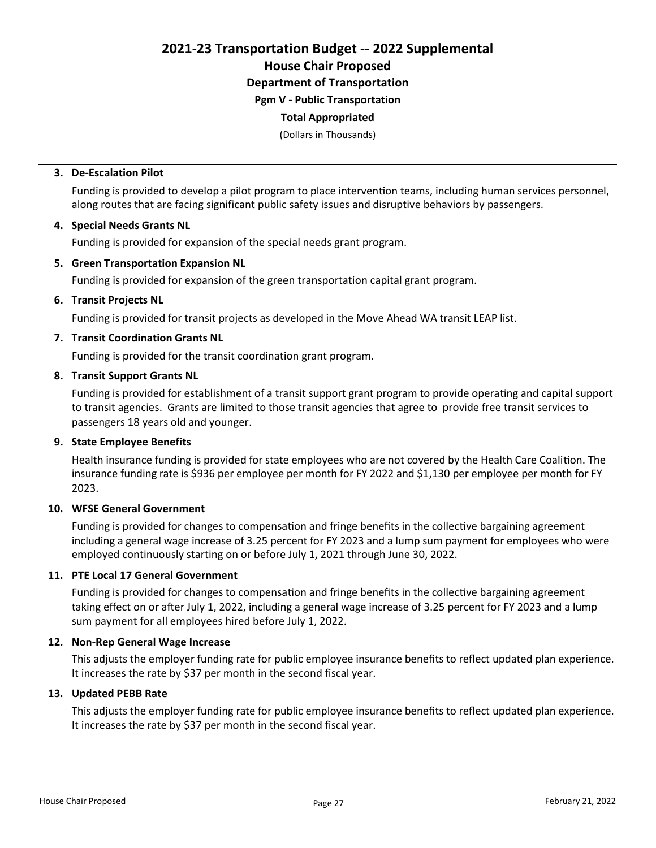2021-23 Transportation Budget -- 2022 Supplemental House Chair Proposed

Department of Transportation

Pgm V - Public Transportation

## Total Appropriated

(Dollars in Thousands)

## 3. De-Escalation Pilot

Funding is provided to develop a pilot program to place intervention teams, including human services personnel, along routes that are facing significant public safety issues and disruptive behaviors by passengers.

## 4. Special Needs Grants NL

Funding is provided for expansion of the special needs grant program.

## 5. Green Transportation Expansion NL

Funding is provided for expansion of the green transportation capital grant program.

## 6. Transit Projects NL

Funding is provided for transit projects as developed in the Move Ahead WA transit LEAP list.

## 7. Transit Coordination Grants NL

Funding is provided for the transit coordination grant program.

## 8. Transit Support Grants NL

Funding is provided for establishment of a transit support grant program to provide operating and capital support to transit agencies. Grants are limited to those transit agencies that agree to provide free transit services to passengers 18 years old and younger.

## 9. State Employee Benefits

Health insurance funding is provided for state employees who are not covered by the Health Care Coalition. The insurance funding rate is \$936 per employee per month for FY 2022 and \$1,130 per employee per month for FY 2023.

## 10. WFSE General Government

Funding is provided for changes to compensation and fringe benefits in the collective bargaining agreement including a general wage increase of 3.25 percent for FY 2023 and a lump sum payment for employees who were employed continuously starting on or before July 1, 2021 through June 30, 2022.

## 11. PTE Local 17 General Government

Funding is provided for changes to compensation and fringe benefits in the collective bargaining agreement taking effect on or after July 1, 2022, including a general wage increase of 3.25 percent for FY 2023 and a lump sum payment for all employees hired before July 1, 2022.

## 12. Non-Rep General Wage Increase

This adjusts the employer funding rate for public employee insurance benefits to reflect updated plan experience. It increases the rate by \$37 per month in the second fiscal year.

## 13. Updated PEBB Rate

This adjusts the employer funding rate for public employee insurance benefits to reflect updated plan experience. It increases the rate by \$37 per month in the second fiscal year.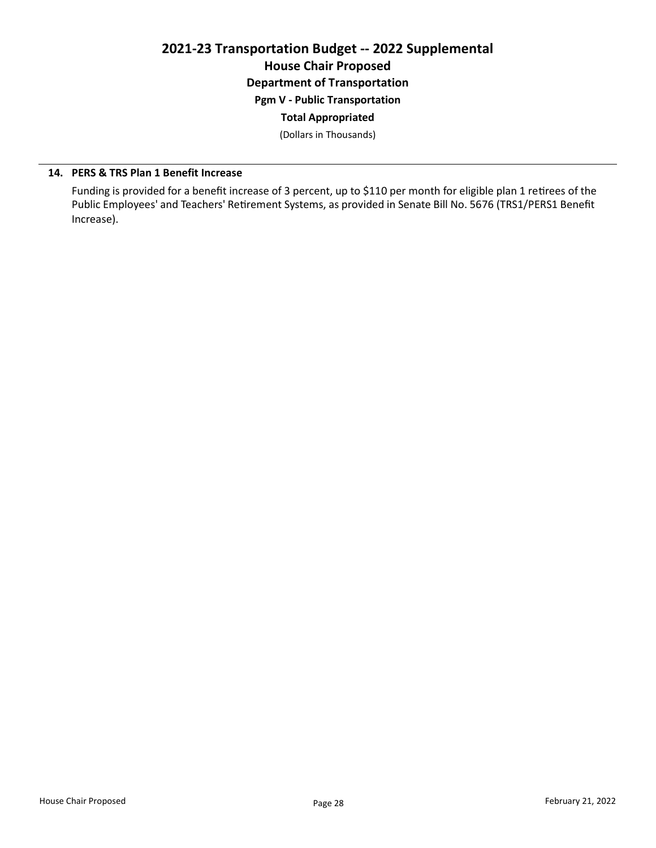## 2021-23 Transportation Budget -- 2022 Supplemental House Chair Proposed Department of Transportation

Pgm V - Public Transportation

# Total Appropriated

(Dollars in Thousands)

## 14. PERS & TRS Plan 1 Benefit Increase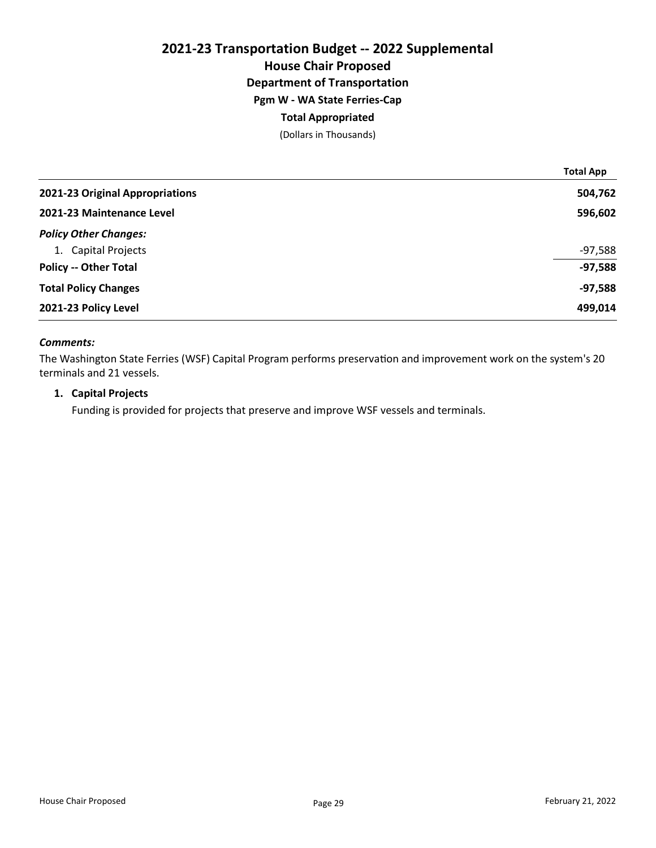## 2021-23 Transportation Budget -- 2022 Supplemental House Chair Proposed Department of Transportation Pgm W - WA State Ferries-Cap Total Appropriated (Dollars in Thousands)

|                                 | <b>Total App</b> |
|---------------------------------|------------------|
| 2021-23 Original Appropriations | 504,762          |
| 2021-23 Maintenance Level       | 596,602          |
| <b>Policy Other Changes:</b>    |                  |
| 1. Capital Projects             | $-97,588$        |
| <b>Policy -- Other Total</b>    | $-97,588$        |
| <b>Total Policy Changes</b>     | $-97,588$        |
| 2021-23 Policy Level            | 499,014          |

### Comments:

The Washington State Ferries (WSF) Capital Program performs preservation and improvement work on the system's 20 terminals and 21 vessels.

## 1. Capital Projects

Funding is provided for projects that preserve and improve WSF vessels and terminals.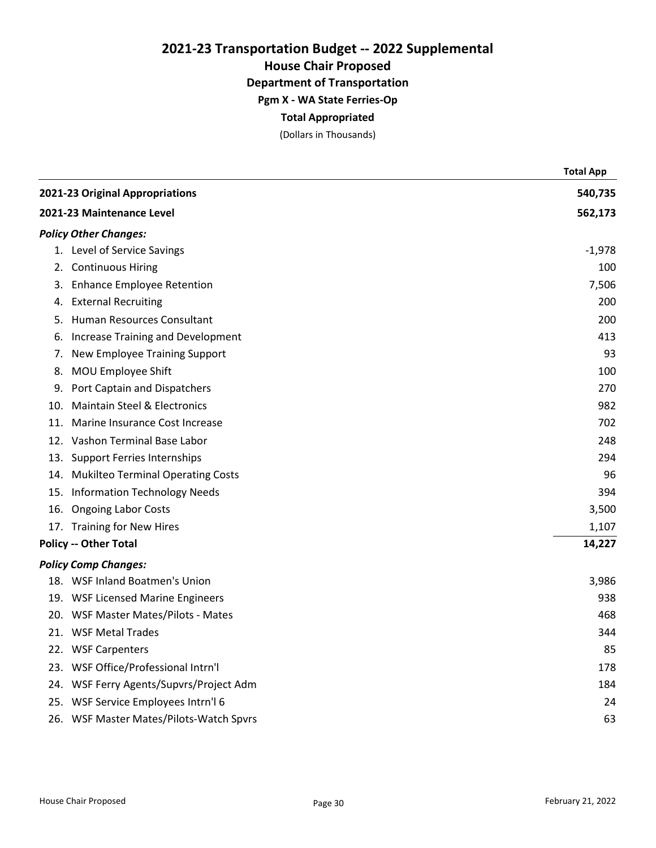House Chair Proposed

Department of Transportation

Pgm X - WA State Ferries-Op

## Total Appropriated

(Dollars in Thousands)

|     |                                          | <b>Total App</b> |
|-----|------------------------------------------|------------------|
|     | 2021-23 Original Appropriations          | 540,735          |
|     | 2021-23 Maintenance Level                | 562,173          |
|     | <b>Policy Other Changes:</b>             |                  |
|     | 1. Level of Service Savings              | $-1,978$         |
| 2.  | <b>Continuous Hiring</b>                 | 100              |
| 3.  | <b>Enhance Employee Retention</b>        | 7,506            |
| 4.  | <b>External Recruiting</b>               | 200              |
| 5.  | Human Resources Consultant               | 200              |
| 6.  | <b>Increase Training and Development</b> | 413              |
| 7.  | New Employee Training Support            | 93               |
| 8.  | MOU Employee Shift                       | 100              |
| 9.  | Port Captain and Dispatchers             | 270              |
| 10. | <b>Maintain Steel &amp; Electronics</b>  | 982              |
| 11. | Marine Insurance Cost Increase           | 702              |
|     | 12. Vashon Terminal Base Labor           | 248              |
| 13. | <b>Support Ferries Internships</b>       | 294              |
| 14. | <b>Mukilteo Terminal Operating Costs</b> | 96               |
| 15. | <b>Information Technology Needs</b>      | 394              |
| 16. | <b>Ongoing Labor Costs</b>               | 3,500            |
|     | 17. Training for New Hires               | 1,107            |
|     | <b>Policy -- Other Total</b>             | 14,227           |
|     | <b>Policy Comp Changes:</b>              |                  |
|     | 18. WSF Inland Boatmen's Union           | 3,986            |
|     | 19. WSF Licensed Marine Engineers        | 938              |
|     | 20. WSF Master Mates/Pilots - Mates      | 468              |
|     | 21. WSF Metal Trades                     | 344              |
|     | 22. WSF Carpenters                       | 85               |
|     | 23. WSF Office/Professional Intrn'l      | 178              |
|     | 24. WSF Ferry Agents/Supvrs/Project Adm  | 184              |
|     | 25. WSF Service Employees Intrn'l 6      | 24               |
|     | 26. WSF Master Mates/Pilots-Watch Spvrs  | 63               |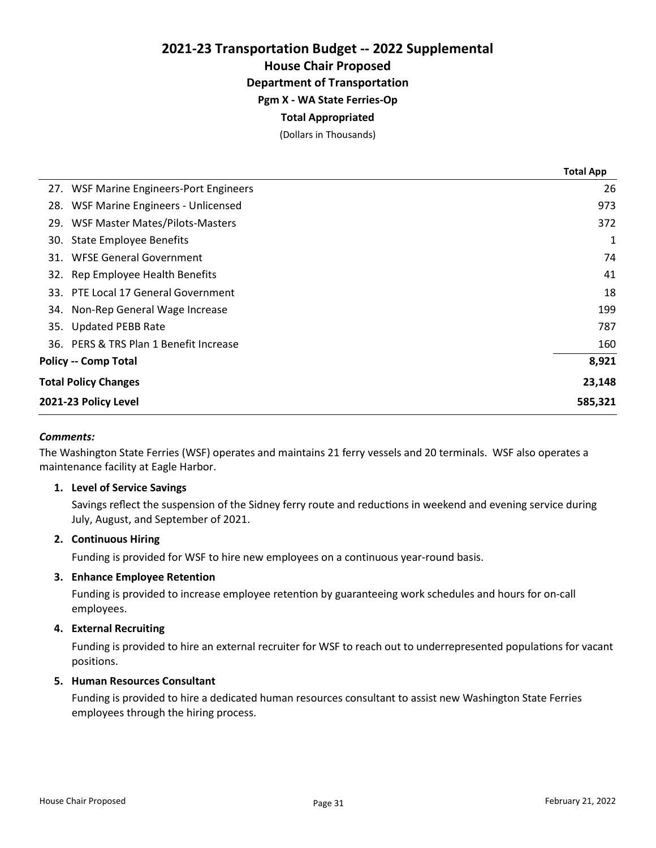## 2021-23 Transportation Budget -- 2022 Supplemental House Chair Proposed Department of Transportation Pgm X - WA State Ferries-Op

## Total Appropriated

(Dollars in Thousands)

|                                         | <b>Total App</b> |
|-----------------------------------------|------------------|
| 27. WSF Marine Engineers-Port Engineers | 26               |
| 28. WSF Marine Engineers - Unlicensed   | 973              |
| 29. WSF Master Mates/Pilots-Masters     | 372              |
| 30. State Employee Benefits             | 1                |
| 31. WFSE General Government             | 74               |
| 32. Rep Employee Health Benefits        | 41               |
| 33. PTE Local 17 General Government     | 18               |
| 34. Non-Rep General Wage Increase       | 199              |
| 35. Updated PEBB Rate                   | 787              |
| 36. PERS & TRS Plan 1 Benefit Increase  | 160              |
| <b>Policy -- Comp Total</b>             | 8,921            |
| <b>Total Policy Changes</b>             | 23,148           |
| 2021-23 Policy Level                    | 585,321          |

#### Comments:

The Washington State Ferries (WSF) operates and maintains 21 ferry vessels and 20 terminals. WSF also operates a maintenance facility at Eagle Harbor.

#### 1. Level of Service Savings

Savings reflect the suspension of the Sidney ferry route and reductions in weekend and evening service during July, August, and September of 2021.

#### 2. Continuous Hiring

Funding is provided for WSF to hire new employees on a continuous year-round basis.

#### 3. Enhance Employee Retention

Funding is provided to increase employee retention by guaranteeing work schedules and hours for on-call employees.

#### 4. External Recruiting

Funding is provided to hire an external recruiter for WSF to reach out to underrepresented populations for vacant positions.

#### 5. Human Resources Consultant

Funding is provided to hire a dedicated human resources consultant to assist new Washington State Ferries employees through the hiring process.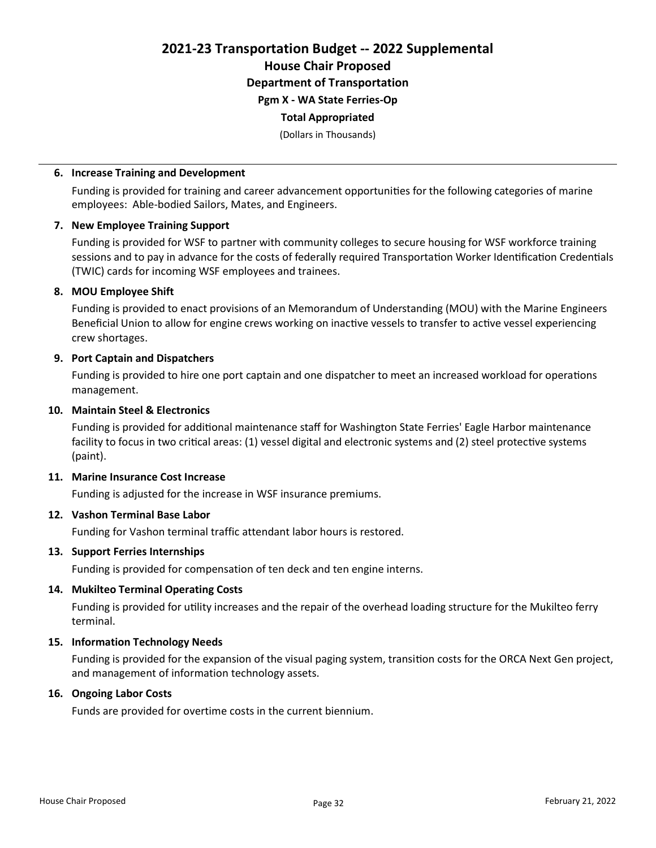2021-23 Transportation Budget -- 2022 Supplemental House Chair Proposed Department of Transportation Pgm X - WA State Ferries-Op

#### Total Appropriated

(Dollars in Thousands)

#### 6. Increase Training and Development

Funding is provided for training and career advancement opportunities for the following categories of marine employees: Able-bodied Sailors, Mates, and Engineers.

#### 7. New Employee Training Support

Funding is provided for WSF to partner with community colleges to secure housing for WSF workforce training sessions and to pay in advance for the costs of federally required Transportation Worker Identification Credentials (TWIC) cards for incoming WSF employees and trainees.

#### 8. MOU Employee Shift

Funding is provided to enact provisions of an Memorandum of Understanding (MOU) with the Marine Engineers Beneficial Union to allow for engine crews working on inactive vessels to transfer to active vessel experiencing crew shortages.

## 9. Port Captain and Dispatchers

Funding is provided to hire one port captain and one dispatcher to meet an increased workload for operations management.

## 10. Maintain Steel & Electronics

Funding is provided for additional maintenance staff for Washington State Ferries' Eagle Harbor maintenance facility to focus in two critical areas: (1) vessel digital and electronic systems and (2) steel protective systems (paint).

### 11. Marine Insurance Cost Increase

Funding is adjusted for the increase in WSF insurance premiums.

### 12. Vashon Terminal Base Labor

Funding for Vashon terminal traffic attendant labor hours is restored.

#### 13. Support Ferries Internships

Funding is provided for compensation of ten deck and ten engine interns.

#### 14. Mukilteo Terminal Operating Costs

Funding is provided for utility increases and the repair of the overhead loading structure for the Mukilteo ferry terminal.

## 15. Information Technology Needs

Funding is provided for the expansion of the visual paging system, transition costs for the ORCA Next Gen project, and management of information technology assets.

#### 16. Ongoing Labor Costs

Funds are provided for overtime costs in the current biennium.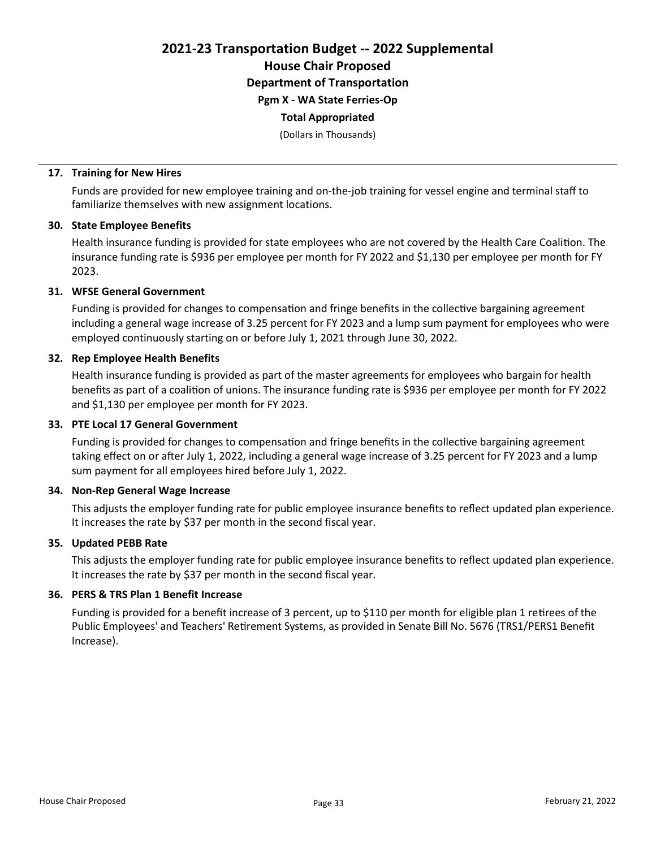2021-23 Transportation Budget -- 2022 Supplemental House Chair Proposed

Department of Transportation

Pgm X - WA State Ferries-Op

### Total Appropriated

(Dollars in Thousands)

## 17. Training for New Hires

Funds are provided for new employee training and on-the-job training for vessel engine and terminal staff to familiarize themselves with new assignment locations.

## 30. State Employee Benefits

Health insurance funding is provided for state employees who are not covered by the Health Care Coalition. The insurance funding rate is \$936 per employee per month for FY 2022 and \$1,130 per employee per month for FY 2023.

## 31. WFSE General Government

Funding is provided for changes to compensation and fringe benefits in the collective bargaining agreement including a general wage increase of 3.25 percent for FY 2023 and a lump sum payment for employees who were employed continuously starting on or before July 1, 2021 through June 30, 2022.

## 32. Rep Employee Health Benefits

Health insurance funding is provided as part of the master agreements for employees who bargain for health benefits as part of a coalition of unions. The insurance funding rate is \$936 per employee per month for FY 2022 and \$1,130 per employee per month for FY 2023.

### 33. PTE Local 17 General Government

Funding is provided for changes to compensation and fringe benefits in the collective bargaining agreement taking effect on or after July 1, 2022, including a general wage increase of 3.25 percent for FY 2023 and a lump sum payment for all employees hired before July 1, 2022.

#### 34. Non-Rep General Wage Increase

This adjusts the employer funding rate for public employee insurance benefits to reflect updated plan experience. It increases the rate by \$37 per month in the second fiscal year.

## 35. Updated PEBB Rate

This adjusts the employer funding rate for public employee insurance benefits to reflect updated plan experience. It increases the rate by \$37 per month in the second fiscal year.

## 36. PERS & TRS Plan 1 Benefit Increase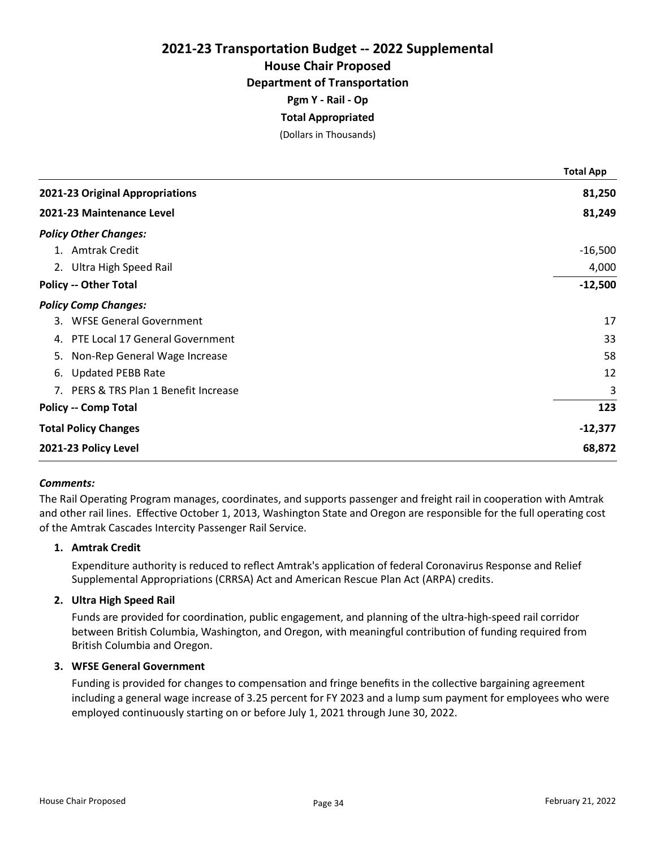## 2021-23 Transportation Budget -- 2022 Supplemental House Chair Proposed

# Department of Transportation

Pgm Y - Rail - Op

# Total Appropriated

(Dollars in Thousands)

|    |                                       | <b>Total App</b> |
|----|---------------------------------------|------------------|
|    | 2021-23 Original Appropriations       | 81,250           |
|    | 2021-23 Maintenance Level             | 81,249           |
|    | <b>Policy Other Changes:</b>          |                  |
|    | 1. Amtrak Credit                      | $-16,500$        |
|    | 2. Ultra High Speed Rail              | 4,000            |
|    | <b>Policy -- Other Total</b>          | $-12,500$        |
|    | <b>Policy Comp Changes:</b>           |                  |
|    | 3. WFSE General Government            | 17               |
| 4. | PTE Local 17 General Government       | 33               |
| 5. | Non-Rep General Wage Increase         | 58               |
| 6. | <b>Updated PEBB Rate</b>              | 12               |
|    | 7. PERS & TRS Plan 1 Benefit Increase | 3                |
|    | <b>Policy -- Comp Total</b>           | 123              |
|    | <b>Total Policy Changes</b>           | $-12,377$        |
|    | 2021-23 Policy Level                  | 68,872           |

## Comments:

The Rail Operating Program manages, coordinates, and supports passenger and freight rail in cooperation with Amtrak and other rail lines. Effective October 1, 2013, Washington State and Oregon are responsible for the full operating cost of the Amtrak Cascades Intercity Passenger Rail Service.

## 1. Amtrak Credit

Expenditure authority is reduced to reflect Amtrak's application of federal Coronavirus Response and Relief Supplemental Appropriations (CRRSA) Act and American Rescue Plan Act (ARPA) credits.

## 2. Ultra High Speed Rail

Funds are provided for coordination, public engagement, and planning of the ultra-high-speed rail corridor between British Columbia, Washington, and Oregon, with meaningful contribution of funding required from British Columbia and Oregon.

#### 3. WFSE General Government

Funding is provided for changes to compensation and fringe benefits in the collective bargaining agreement including a general wage increase of 3.25 percent for FY 2023 and a lump sum payment for employees who were employed continuously starting on or before July 1, 2021 through June 30, 2022.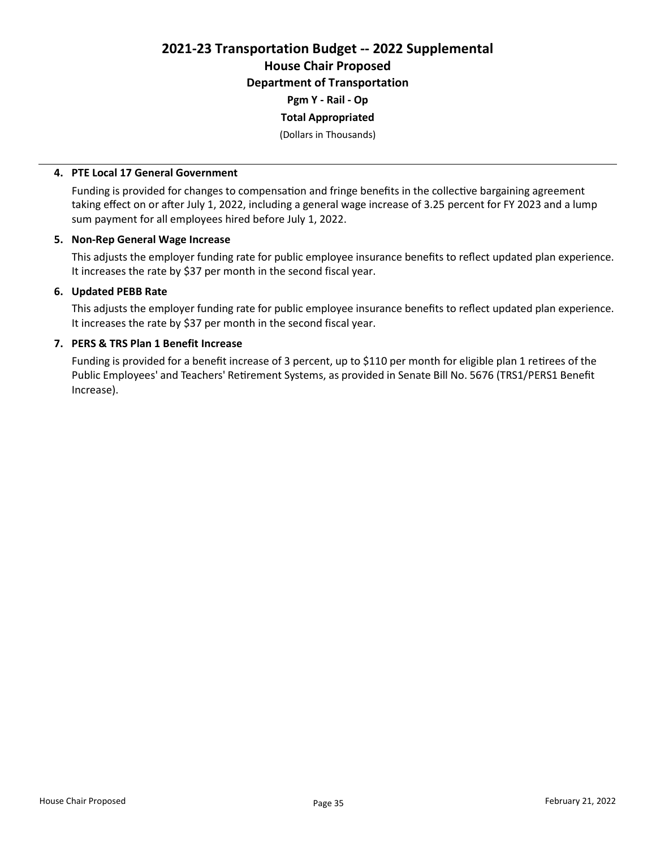2021-23 Transportation Budget -- 2022 Supplemental House Chair Proposed Department of Transportation Pgm Y - Rail - Op

Total Appropriated

(Dollars in Thousands)

#### 4. PTE Local 17 General Government

Funding is provided for changes to compensation and fringe benefits in the collective bargaining agreement taking effect on or after July 1, 2022, including a general wage increase of 3.25 percent for FY 2023 and a lump sum payment for all employees hired before July 1, 2022.

#### 5. Non-Rep General Wage Increase

This adjusts the employer funding rate for public employee insurance benefits to reflect updated plan experience. It increases the rate by \$37 per month in the second fiscal year.

## 6. Updated PEBB Rate

This adjusts the employer funding rate for public employee insurance benefits to reflect updated plan experience. It increases the rate by \$37 per month in the second fiscal year.

### 7. PERS & TRS Plan 1 Benefit Increase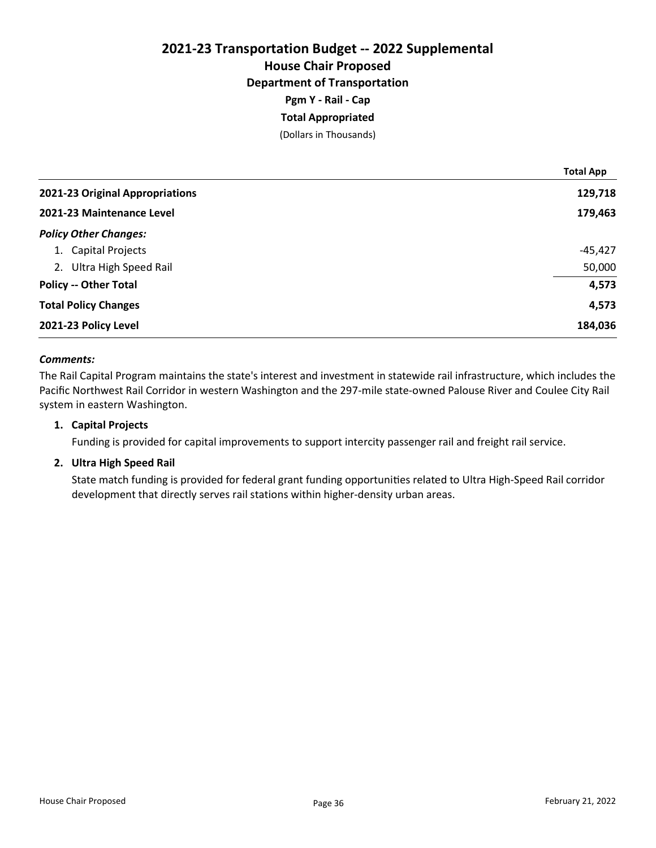## 2021-23 Transportation Budget -- 2022 Supplemental House Chair Proposed Department of Transportation Pgm Y - Rail - Cap Total Appropriated

(Dollars in Thousands)

|                                 | <b>Total App</b> |
|---------------------------------|------------------|
| 2021-23 Original Appropriations | 129,718          |
| 2021-23 Maintenance Level       | 179,463          |
| <b>Policy Other Changes:</b>    |                  |
| 1. Capital Projects             | $-45,427$        |
| 2. Ultra High Speed Rail        | 50,000           |
| <b>Policy -- Other Total</b>    | 4,573            |
| <b>Total Policy Changes</b>     | 4,573            |
| 2021-23 Policy Level            | 184,036          |

#### Comments:

The Rail Capital Program maintains the state's interest and investment in statewide rail infrastructure, which includes the Pacific Northwest Rail Corridor in western Washington and the 297-mile state-owned Palouse River and Coulee City Rail system in eastern Washington.

### 1. Capital Projects

Funding is provided for capital improvements to support intercity passenger rail and freight rail service.

#### 2. Ultra High Speed Rail

State match funding is provided for federal grant funding opportunities related to Ultra High-Speed Rail corridor development that directly serves rail stations within higher-density urban areas.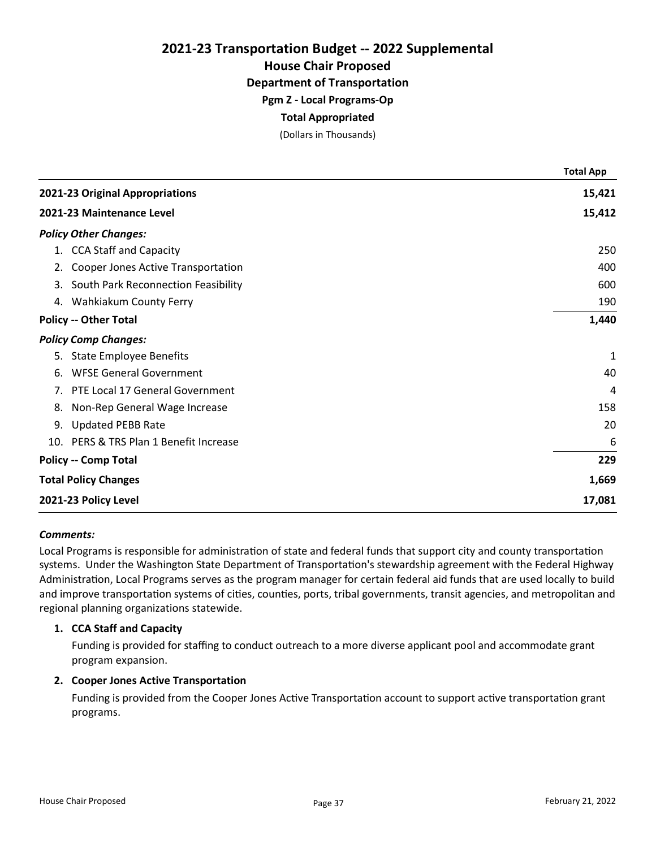House Chair Proposed

Department of Transportation

Pgm Z - Local Programs-Op

## Total Appropriated

(Dollars in Thousands)

|                                           | <b>Total App</b> |
|-------------------------------------------|------------------|
| 2021-23 Original Appropriations           | 15,421           |
| 2021-23 Maintenance Level                 | 15,412           |
| <b>Policy Other Changes:</b>              |                  |
| 1. CCA Staff and Capacity                 | 250              |
| Cooper Jones Active Transportation<br>2.  | 400              |
| South Park Reconnection Feasibility<br>3. | 600              |
| 4. Wahkiakum County Ferry                 | 190              |
| <b>Policy -- Other Total</b>              | 1,440            |
| <b>Policy Comp Changes:</b>               |                  |
| 5. State Employee Benefits                | 1                |
| <b>WFSE General Government</b><br>6.      | 40               |
| 7. PTE Local 17 General Government        | 4                |
| Non-Rep General Wage Increase<br>8.       | 158              |
| <b>Updated PEBB Rate</b><br>9.            | 20               |
| 10. PERS & TRS Plan 1 Benefit Increase    | 6                |
| <b>Policy -- Comp Total</b>               | 229              |
| <b>Total Policy Changes</b>               | 1,669            |
| 2021-23 Policy Level                      | 17,081           |

#### Comments:

Local Programs is responsible for administration of state and federal funds that support city and county transportation systems. Under the Washington State Department of Transportation's stewardship agreement with the Federal Highway Administration, Local Programs serves as the program manager for certain federal aid funds that are used locally to build and improve transportation systems of cities, counties, ports, tribal governments, transit agencies, and metropolitan and regional planning organizations statewide.

#### 1. CCA Staff and Capacity

Funding is provided for staffing to conduct outreach to a more diverse applicant pool and accommodate grant program expansion.

## 2. Cooper Jones Active Transportation

Funding is provided from the Cooper Jones Active Transportation account to support active transportation grant programs.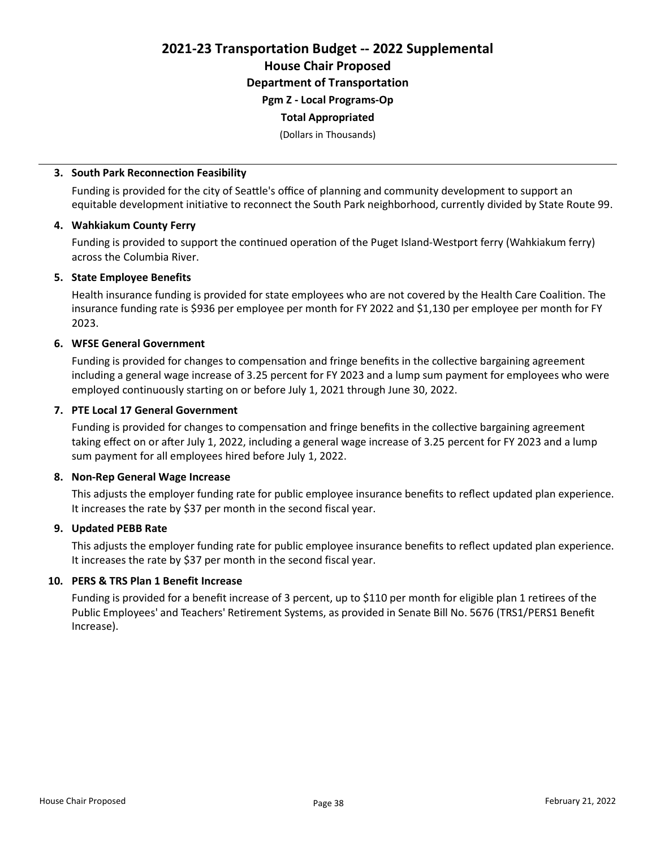2021-23 Transportation Budget -- 2022 Supplemental House Chair Proposed Department of Transportation Pgm Z - Local Programs-Op

#### Total Appropriated

(Dollars in Thousands)

#### 3. South Park Reconnection Feasibility

Funding is provided for the city of Seattle's office of planning and community development to support an equitable development initiative to reconnect the South Park neighborhood, currently divided by State Route 99.

#### 4. Wahkiakum County Ferry

Funding is provided to support the continued operation of the Puget Island-Westport ferry (Wahkiakum ferry) across the Columbia River.

#### 5. State Employee Benefits

Health insurance funding is provided for state employees who are not covered by the Health Care Coalition. The insurance funding rate is \$936 per employee per month for FY 2022 and \$1,130 per employee per month for FY 2023.

#### 6. WFSE General Government

Funding is provided for changes to compensation and fringe benefits in the collective bargaining agreement including a general wage increase of 3.25 percent for FY 2023 and a lump sum payment for employees who were employed continuously starting on or before July 1, 2021 through June 30, 2022.

#### 7. PTE Local 17 General Government

Funding is provided for changes to compensation and fringe benefits in the collective bargaining agreement taking effect on or after July 1, 2022, including a general wage increase of 3.25 percent for FY 2023 and a lump sum payment for all employees hired before July 1, 2022.

#### 8. Non-Rep General Wage Increase

This adjusts the employer funding rate for public employee insurance benefits to reflect updated plan experience. It increases the rate by \$37 per month in the second fiscal year.

#### 9. Updated PEBB Rate

This adjusts the employer funding rate for public employee insurance benefits to reflect updated plan experience. It increases the rate by \$37 per month in the second fiscal year.

#### 10. PERS & TRS Plan 1 Benefit Increase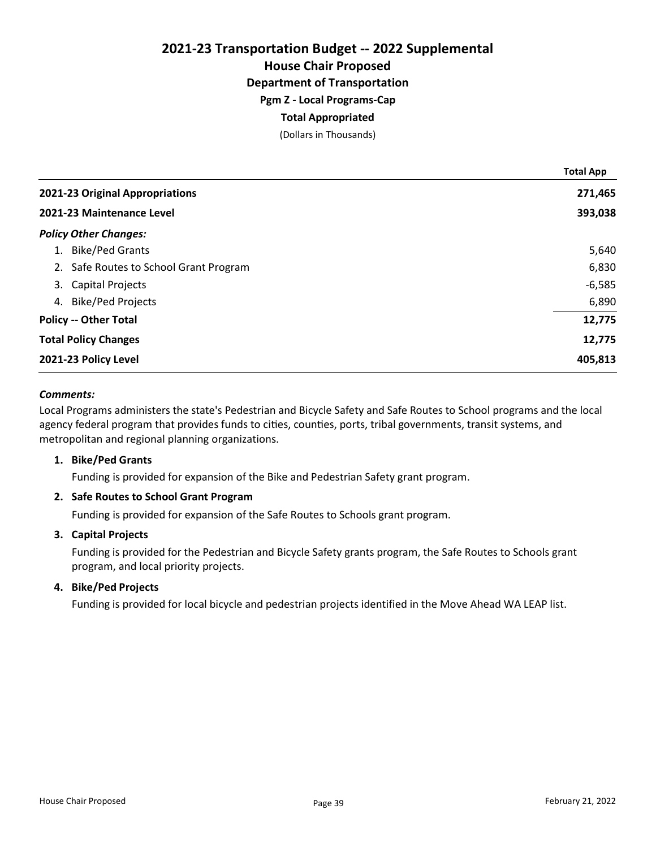House Chair Proposed

Department of Transportation

Pgm Z - Local Programs-Cap

## Total Appropriated

(Dollars in Thousands)

|    |                                        | <b>Total App</b> |
|----|----------------------------------------|------------------|
|    | 2021-23 Original Appropriations        | 271,465          |
|    | 2021-23 Maintenance Level              | 393,038          |
|    | <b>Policy Other Changes:</b>           |                  |
| 1. | <b>Bike/Ped Grants</b>                 | 5,640            |
|    | 2. Safe Routes to School Grant Program | 6,830            |
| 3. | <b>Capital Projects</b>                | $-6,585$         |
| 4. | <b>Bike/Ped Projects</b>               | 6,890            |
|    | <b>Policy -- Other Total</b>           | 12,775           |
|    | <b>Total Policy Changes</b>            | 12,775           |
|    | 2021-23 Policy Level                   | 405,813          |

## Comments:

Local Programs administers the state's Pedestrian and Bicycle Safety and Safe Routes to School programs and the local agency federal program that provides funds to cities, counties, ports, tribal governments, transit systems, and metropolitan and regional planning organizations.

## 1. Bike/Ped Grants

Funding is provided for expansion of the Bike and Pedestrian Safety grant program.

## 2. Safe Routes to School Grant Program

Funding is provided for expansion of the Safe Routes to Schools grant program.

## 3. Capital Projects

Funding is provided for the Pedestrian and Bicycle Safety grants program, the Safe Routes to Schools grant program, and local priority projects.

## 4. Bike/Ped Projects

Funding is provided for local bicycle and pedestrian projects identified in the Move Ahead WA LEAP list.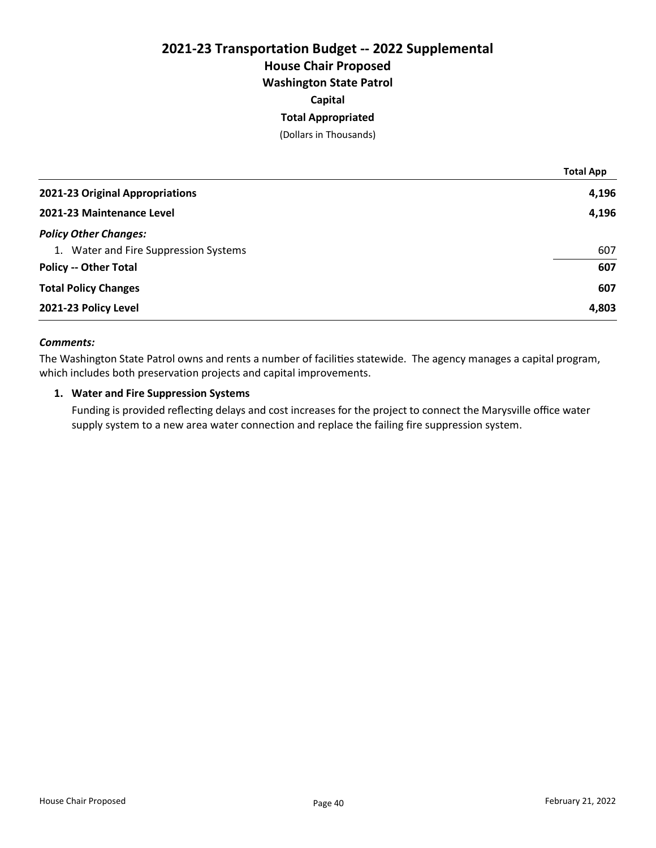## 2021-23 Transportation Budget -- 2022 Supplemental House Chair Proposed Washington State Patrol Capital

## Total Appropriated

(Dollars in Thousands)

|                                       | <b>Total App</b> |
|---------------------------------------|------------------|
| 2021-23 Original Appropriations       | 4,196            |
| 2021-23 Maintenance Level             | 4,196            |
| <b>Policy Other Changes:</b>          |                  |
| 1. Water and Fire Suppression Systems | 607              |
| <b>Policy -- Other Total</b>          | 607              |
| <b>Total Policy Changes</b>           | 607              |
| 2021-23 Policy Level                  | 4,803            |

### Comments:

The Washington State Patrol owns and rents a number of facilities statewide. The agency manages a capital program, which includes both preservation projects and capital improvements.

## 1. Water and Fire Suppression Systems

Funding is provided reflecting delays and cost increases for the project to connect the Marysville office water supply system to a new area water connection and replace the failing fire suppression system.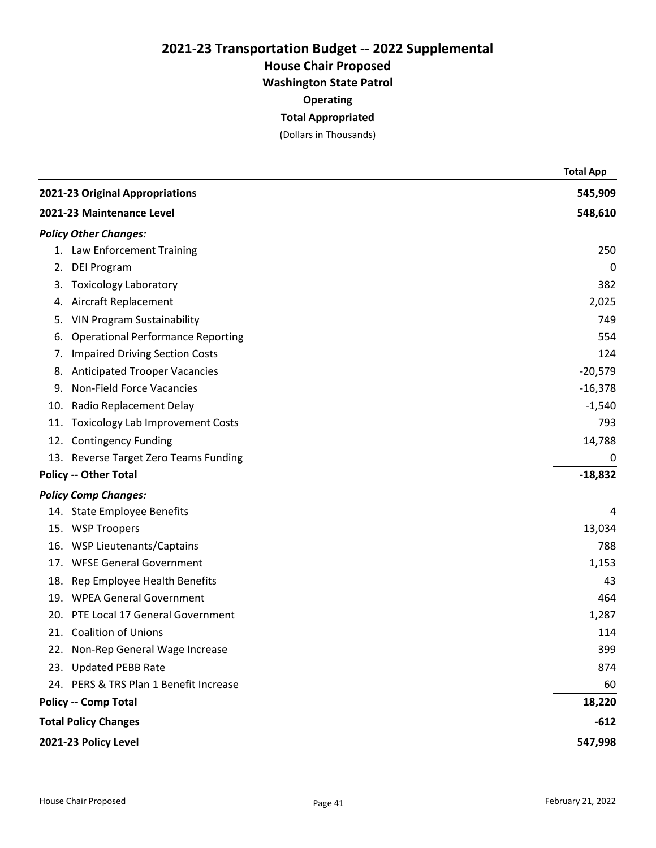House Chair Proposed

Washington State Patrol

**Operating** 

## Total Appropriated

(Dollars in Thousands)

|                           |                                          | <b>Total App</b> |
|---------------------------|------------------------------------------|------------------|
|                           | 2021-23 Original Appropriations          | 545,909          |
| 2021-23 Maintenance Level |                                          | 548,610          |
|                           | <b>Policy Other Changes:</b>             |                  |
|                           | 1. Law Enforcement Training              | 250              |
| 2.                        | <b>DEI Program</b>                       | 0                |
| 3.                        | <b>Toxicology Laboratory</b>             | 382              |
| 4.                        | Aircraft Replacement                     | 2,025            |
| 5.                        | <b>VIN Program Sustainability</b>        | 749              |
| 6.                        | <b>Operational Performance Reporting</b> | 554              |
| 7.                        | <b>Impaired Driving Section Costs</b>    | 124              |
| 8.                        | <b>Anticipated Trooper Vacancies</b>     | $-20,579$        |
| 9.                        | <b>Non-Field Force Vacancies</b>         | $-16,378$        |
| 10.                       | Radio Replacement Delay                  | $-1,540$         |
| 11.                       | <b>Toxicology Lab Improvement Costs</b>  | 793              |
|                           | 12. Contingency Funding                  | 14,788           |
|                           | 13. Reverse Target Zero Teams Funding    | 0                |
|                           | <b>Policy -- Other Total</b>             | $-18,832$        |
|                           | <b>Policy Comp Changes:</b>              |                  |
|                           | 14. State Employee Benefits              | 4                |
|                           | 15. WSP Troopers                         | 13,034           |
| 16.                       | <b>WSP Lieutenants/Captains</b>          | 788              |
| 17.                       | <b>WFSE General Government</b>           | 1,153            |
| 18.                       | Rep Employee Health Benefits             | 43               |
|                           | 19. WPEA General Government              | 464              |
| 20.                       | PTE Local 17 General Government          | 1,287            |
|                           | 21. Coalition of Unions                  | 114              |
|                           | 22. Non-Rep General Wage Increase        | 399              |
|                           | 23. Updated PEBB Rate                    | 874              |
|                           | 24. PERS & TRS Plan 1 Benefit Increase   | 60               |
|                           | <b>Policy -- Comp Total</b>              | 18,220           |
|                           | <b>Total Policy Changes</b>              | $-612$           |
| 2021-23 Policy Level      |                                          | 547,998          |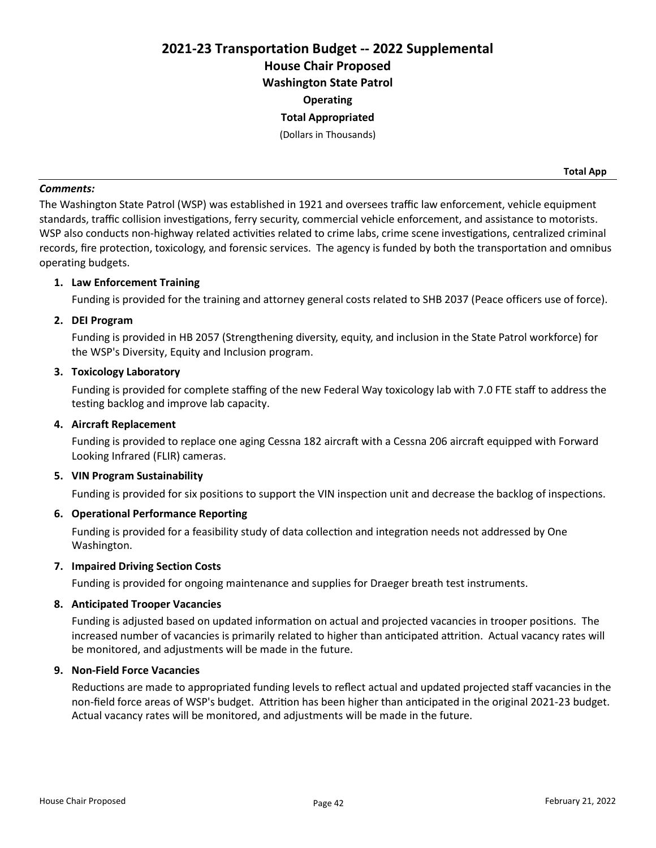# 2021-23 Transportation Budget -- 2022 Supplemental House Chair Proposed Washington State Patrol **Operating** Total Appropriated

(Dollars in Thousands)

#### Comments:

The Washington State Patrol (WSP) was established in 1921 and oversees traffic law enforcement, vehicle equipment standards, traffic collision investigations, ferry security, commercial vehicle enforcement, and assistance to motorists. WSP also conducts non-highway related activities related to crime labs, crime scene investigations, centralized criminal records, fire protection, toxicology, and forensic services. The agency is funded by both the transportation and omnibus operating budgets.

## 1. Law Enforcement Training

Funding is provided for the training and attorney general costs related to SHB 2037 (Peace officers use of force).

#### 2. DEI Program

Funding is provided in HB 2057 (Strengthening diversity, equity, and inclusion in the State Patrol workforce) for the WSP's Diversity, Equity and Inclusion program.

### 3. Toxicology Laboratory

Funding is provided for complete staffing of the new Federal Way toxicology lab with 7.0 FTE staff to address the testing backlog and improve lab capacity.

### 4. Aircraft Replacement

Funding is provided to replace one aging Cessna 182 aircraft with a Cessna 206 aircraft equipped with Forward Looking Infrared (FLIR) cameras.

#### 5. VIN Program Sustainability

Funding is provided for six positions to support the VIN inspection unit and decrease the backlog of inspections.

#### 6. Operational Performance Reporting

Funding is provided for a feasibility study of data collection and integration needs not addressed by One Washington.

#### 7. Impaired Driving Section Costs

Funding is provided for ongoing maintenance and supplies for Draeger breath test instruments.

#### 8. Anticipated Trooper Vacancies

Funding is adjusted based on updated information on actual and projected vacancies in trooper positions. The increased number of vacancies is primarily related to higher than anticipated attrition. Actual vacancy rates will be monitored, and adjustments will be made in the future.

## 9. Non-Field Force Vacancies

Reductions are made to appropriated funding levels to reflect actual and updated projected staff vacancies in the non-field force areas of WSP's budget. Attrition has been higher than anticipated in the original 2021-23 budget. Actual vacancy rates will be monitored, and adjustments will be made in the future.

Total App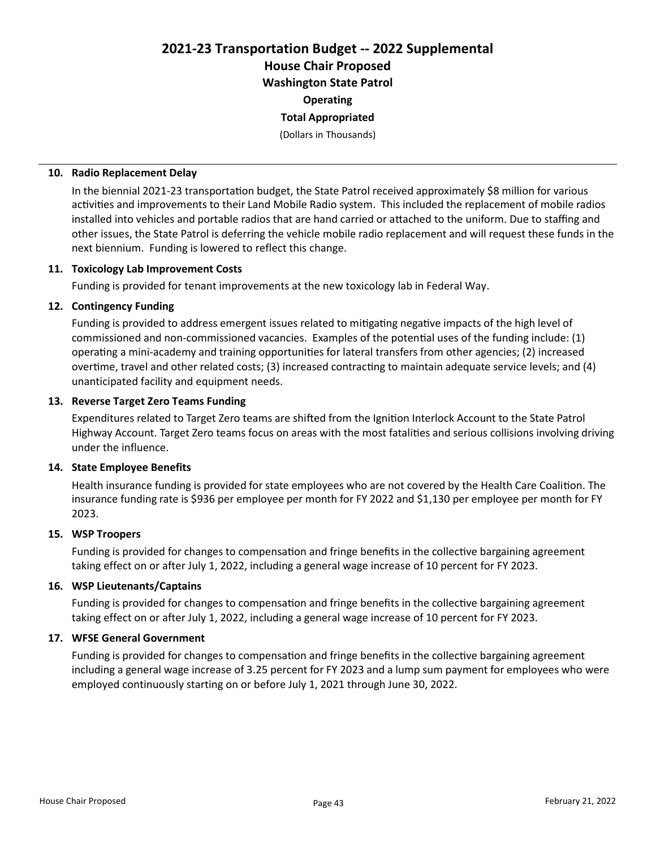2021-23 Transportation Budget -- 2022 Supplemental House Chair Proposed Washington State Patrol **Operating** 

## Total Appropriated

(Dollars in Thousands)

#### 10. Radio Replacement Delay

In the biennial 2021-23 transportation budget, the State Patrol received approximately \$8 million for various activities and improvements to their Land Mobile Radio system. This included the replacement of mobile radios installed into vehicles and portable radios that are hand carried or attached to the uniform. Due to staffing and other issues, the State Patrol is deferring the vehicle mobile radio replacement and will request these funds in the next biennium. Funding is lowered to reflect this change.

#### 11. Toxicology Lab Improvement Costs

Funding is provided for tenant improvements at the new toxicology lab in Federal Way.

## 12. Contingency Funding

Funding is provided to address emergent issues related to mitigating negative impacts of the high level of commissioned and non-commissioned vacancies. Examples of the potential uses of the funding include: (1) operating a mini-academy and training opportunities for lateral transfers from other agencies; (2) increased overtime, travel and other related costs; (3) increased contracting to maintain adequate service levels; and (4) unanticipated facility and equipment needs.

#### 13. Reverse Target Zero Teams Funding

Expenditures related to Target Zero teams are shifted from the Ignition Interlock Account to the State Patrol Highway Account. Target Zero teams focus on areas with the most fatalities and serious collisions involving driving under the influence.

#### 14. State Employee Benefits

Health insurance funding is provided for state employees who are not covered by the Health Care Coalition. The insurance funding rate is \$936 per employee per month for FY 2022 and \$1,130 per employee per month for FY 2023.

#### 15. WSP Troopers

Funding is provided for changes to compensation and fringe benefits in the collective bargaining agreement taking effect on or after July 1, 2022, including a general wage increase of 10 percent for FY 2023.

#### 16. WSP Lieutenants/Captains

Funding is provided for changes to compensation and fringe benefits in the collective bargaining agreement taking effect on or after July 1, 2022, including a general wage increase of 10 percent for FY 2023.

#### 17. WFSE General Government

Funding is provided for changes to compensation and fringe benefits in the collective bargaining agreement including a general wage increase of 3.25 percent for FY 2023 and a lump sum payment for employees who were employed continuously starting on or before July 1, 2021 through June 30, 2022.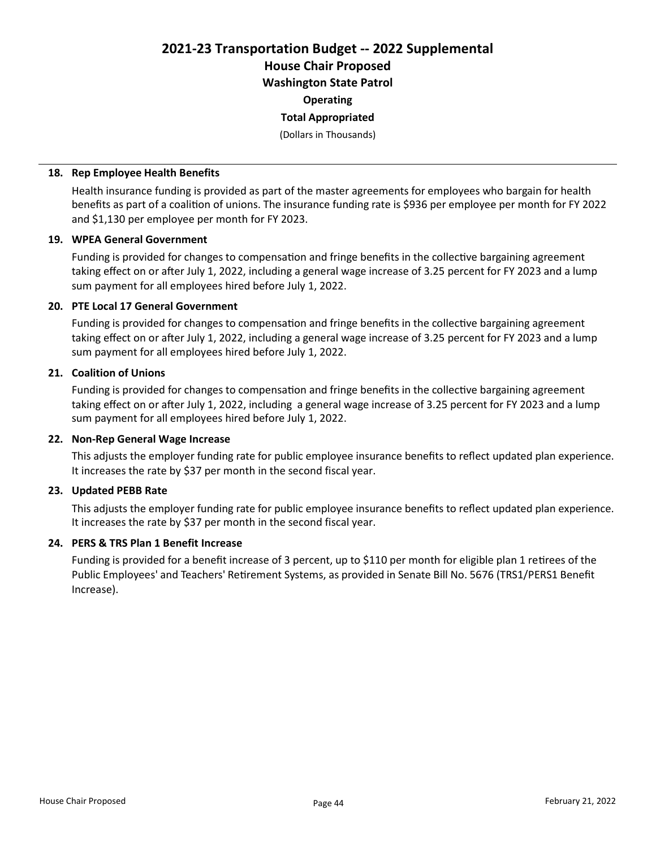2021-23 Transportation Budget -- 2022 Supplemental House Chair Proposed Washington State Patrol

**Operating** 

## Total Appropriated

(Dollars in Thousands)

### 18. Rep Employee Health Benefits

Health insurance funding is provided as part of the master agreements for employees who bargain for health benefits as part of a coalition of unions. The insurance funding rate is \$936 per employee per month for FY 2022 and \$1,130 per employee per month for FY 2023.

## 19. WPEA General Government

Funding is provided for changes to compensation and fringe benefits in the collective bargaining agreement taking effect on or after July 1, 2022, including a general wage increase of 3.25 percent for FY 2023 and a lump sum payment for all employees hired before July 1, 2022.

## 20. PTE Local 17 General Government

Funding is provided for changes to compensation and fringe benefits in the collective bargaining agreement taking effect on or after July 1, 2022, including a general wage increase of 3.25 percent for FY 2023 and a lump sum payment for all employees hired before July 1, 2022.

## 21. Coalition of Unions

Funding is provided for changes to compensation and fringe benefits in the collective bargaining agreement taking effect on or after July 1, 2022, including a general wage increase of 3.25 percent for FY 2023 and a lump sum payment for all employees hired before July 1, 2022.

## 22. Non-Rep General Wage Increase

This adjusts the employer funding rate for public employee insurance benefits to reflect updated plan experience. It increases the rate by \$37 per month in the second fiscal year.

## 23. Updated PEBB Rate

This adjusts the employer funding rate for public employee insurance benefits to reflect updated plan experience. It increases the rate by \$37 per month in the second fiscal year.

## 24. PERS & TRS Plan 1 Benefit Increase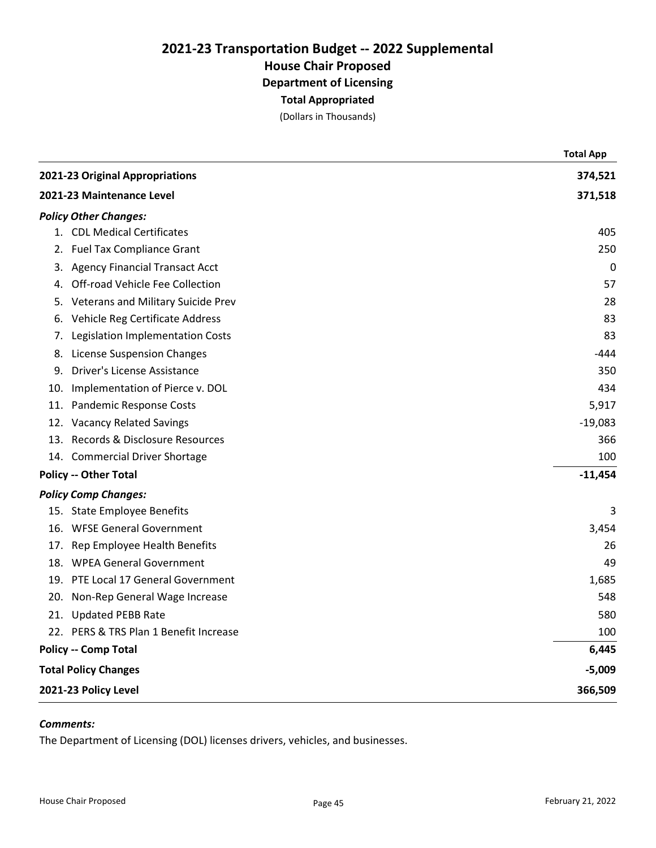(Dollars in Thousands)

|     |                                        | <b>Total App</b> |
|-----|----------------------------------------|------------------|
|     | 2021-23 Original Appropriations        | 374,521          |
|     | 2021-23 Maintenance Level              | 371,518          |
|     | <b>Policy Other Changes:</b>           |                  |
|     | 1. CDL Medical Certificates            | 405              |
|     | 2. Fuel Tax Compliance Grant           | 250              |
|     | 3. Agency Financial Transact Acct      | 0                |
|     | 4. Off-road Vehicle Fee Collection     | 57               |
| 5.  | Veterans and Military Suicide Prev     | 28               |
|     | 6. Vehicle Reg Certificate Address     | 83               |
| 7.  | Legislation Implementation Costs       | 83               |
| 8.  | <b>License Suspension Changes</b>      | -444             |
| 9.  | Driver's License Assistance            | 350              |
| 10. | Implementation of Pierce v. DOL        | 434              |
|     | 11. Pandemic Response Costs            | 5,917            |
|     | 12. Vacancy Related Savings            | $-19,083$        |
|     | 13. Records & Disclosure Resources     | 366              |
|     | 14. Commercial Driver Shortage         | 100              |
|     | <b>Policy -- Other Total</b>           | $-11,454$        |
|     | <b>Policy Comp Changes:</b>            |                  |
|     | 15. State Employee Benefits            | 3                |
|     | 16. WFSE General Government            | 3,454            |
|     | 17. Rep Employee Health Benefits       | 26               |
|     | 18. WPEA General Government            | 49               |
|     | 19. PTE Local 17 General Government    | 1,685            |
|     | 20. Non-Rep General Wage Increase      | 548              |
|     | 21. Updated PEBB Rate                  | 580              |
|     | 22. PERS & TRS Plan 1 Benefit Increase | 100              |
|     | <b>Policy -- Comp Total</b>            | 6,445            |
|     | <b>Total Policy Changes</b>            | $-5,009$         |
|     | 2021-23 Policy Level                   | 366,509          |
|     |                                        |                  |

## Comments:

The Department of Licensing (DOL) licenses drivers, vehicles, and businesses.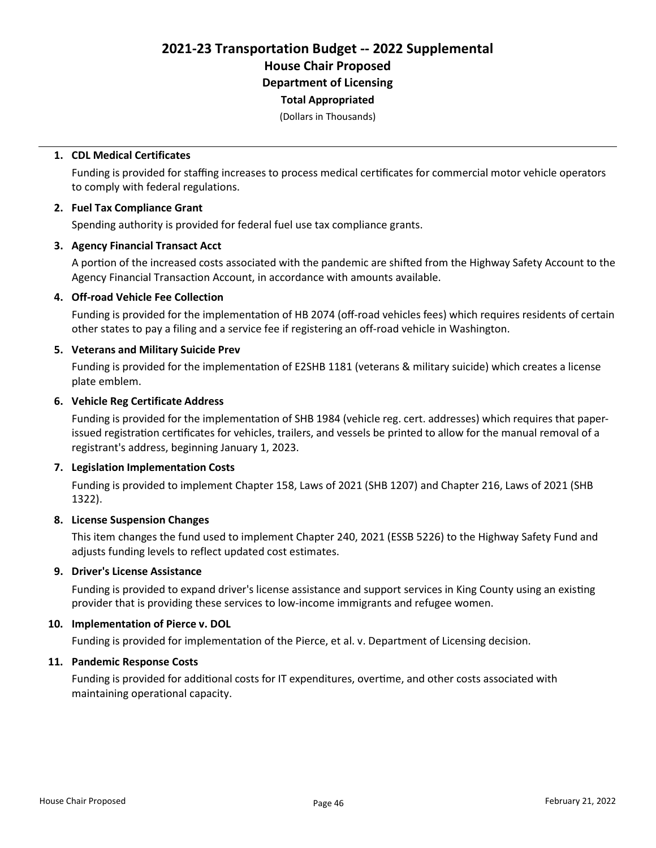(Dollars in Thousands)

#### 1. CDL Medical Certificates

Funding is provided for staffing increases to process medical certificates for commercial motor vehicle operators to comply with federal regulations.

#### 2. Fuel Tax Compliance Grant

Spending authority is provided for federal fuel use tax compliance grants.

#### 3. Agency Financial Transact Acct

A portion of the increased costs associated with the pandemic are shifted from the Highway Safety Account to the Agency Financial Transaction Account, in accordance with amounts available.

#### 4. Off-road Vehicle Fee Collection

Funding is provided for the implementation of HB 2074 (off-road vehicles fees) which requires residents of certain other states to pay a filing and a service fee if registering an off-road vehicle in Washington.

#### 5. Veterans and Military Suicide Prev

Funding is provided for the implementation of E2SHB 1181 (veterans & military suicide) which creates a license plate emblem.

#### 6. Vehicle Reg Certificate Address

Funding is provided for the implementation of SHB 1984 (vehicle reg. cert. addresses) which requires that paperissued registration certificates for vehicles, trailers, and vessels be printed to allow for the manual removal of a registrant's address, beginning January 1, 2023.

#### 7. Legislation Implementation Costs

Funding is provided to implement Chapter 158, Laws of 2021 (SHB 1207) and Chapter 216, Laws of 2021 (SHB 1322).

#### 8. License Suspension Changes

This item changes the fund used to implement Chapter 240, 2021 (ESSB 5226) to the Highway Safety Fund and adjusts funding levels to reflect updated cost estimates.

## 9. Driver's License Assistance

Funding is provided to expand driver's license assistance and support services in King County using an existing provider that is providing these services to low-income immigrants and refugee women.

## 10. Implementation of Pierce v. DOL

Funding is provided for implementation of the Pierce, et al. v. Department of Licensing decision.

## 11. Pandemic Response Costs

Funding is provided for additional costs for IT expenditures, overtime, and other costs associated with maintaining operational capacity.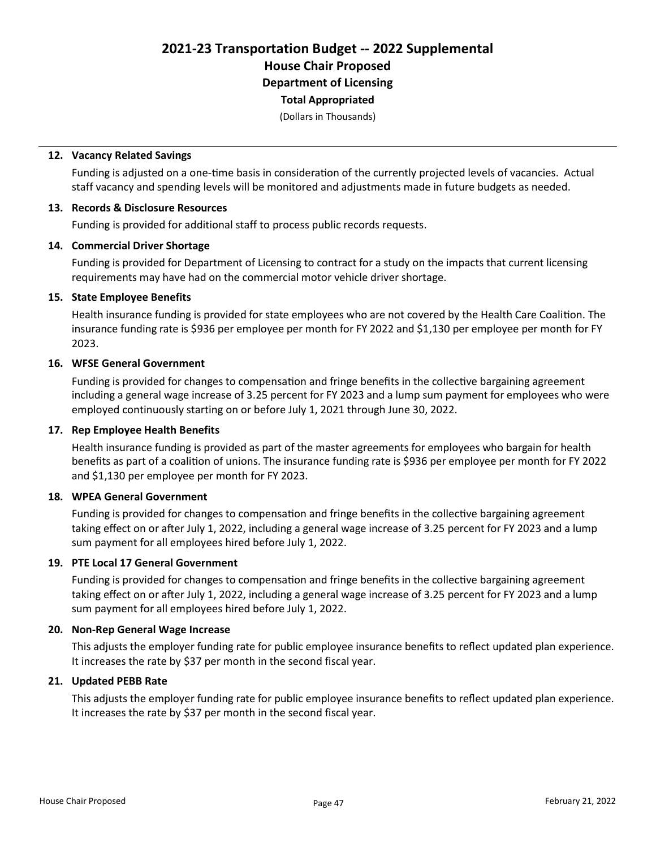(Dollars in Thousands)

#### 12. Vacancy Related Savings

Funding is adjusted on a one-time basis in consideration of the currently projected levels of vacancies. Actual staff vacancy and spending levels will be monitored and adjustments made in future budgets as needed.

#### 13. Records & Disclosure Resources

Funding is provided for additional staff to process public records requests.

### 14. Commercial Driver Shortage

Funding is provided for Department of Licensing to contract for a study on the impacts that current licensing requirements may have had on the commercial motor vehicle driver shortage.

#### 15. State Employee Benefits

Health insurance funding is provided for state employees who are not covered by the Health Care Coalition. The insurance funding rate is \$936 per employee per month for FY 2022 and \$1,130 per employee per month for FY 2023.

## 16. WFSE General Government

Funding is provided for changes to compensation and fringe benefits in the collective bargaining agreement including a general wage increase of 3.25 percent for FY 2023 and a lump sum payment for employees who were employed continuously starting on or before July 1, 2021 through June 30, 2022.

#### 17. Rep Employee Health Benefits

Health insurance funding is provided as part of the master agreements for employees who bargain for health benefits as part of a coalition of unions. The insurance funding rate is \$936 per employee per month for FY 2022 and \$1,130 per employee per month for FY 2023.

#### 18. WPEA General Government

Funding is provided for changes to compensation and fringe benefits in the collective bargaining agreement taking effect on or after July 1, 2022, including a general wage increase of 3.25 percent for FY 2023 and a lump sum payment for all employees hired before July 1, 2022.

#### 19. PTE Local 17 General Government

Funding is provided for changes to compensation and fringe benefits in the collective bargaining agreement taking effect on or after July 1, 2022, including a general wage increase of 3.25 percent for FY 2023 and a lump sum payment for all employees hired before July 1, 2022.

#### 20. Non-Rep General Wage Increase

This adjusts the employer funding rate for public employee insurance benefits to reflect updated plan experience. It increases the rate by \$37 per month in the second fiscal year.

#### 21. Updated PEBB Rate

This adjusts the employer funding rate for public employee insurance benefits to reflect updated plan experience. It increases the rate by \$37 per month in the second fiscal year.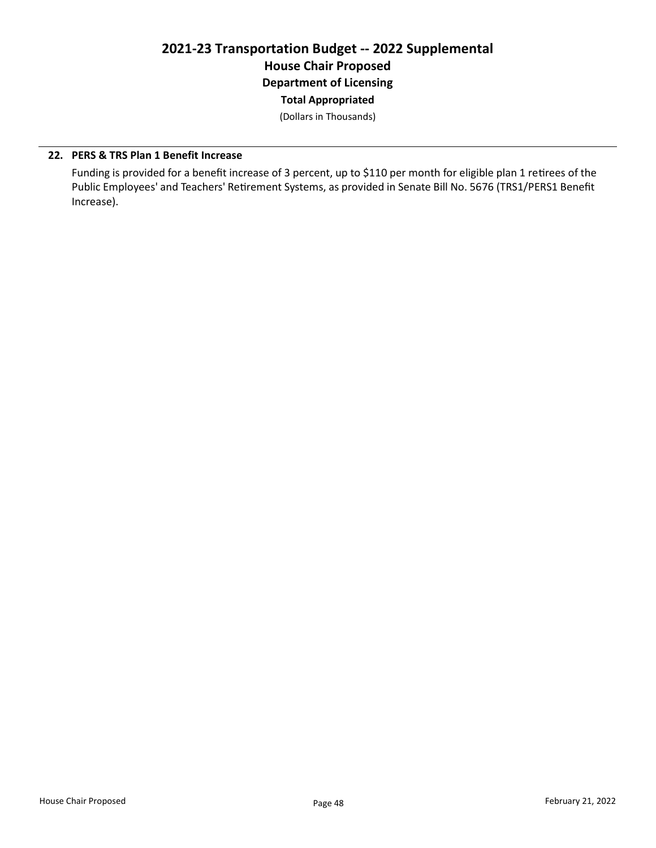(Dollars in Thousands)

## 22. PERS & TRS Plan 1 Benefit Increase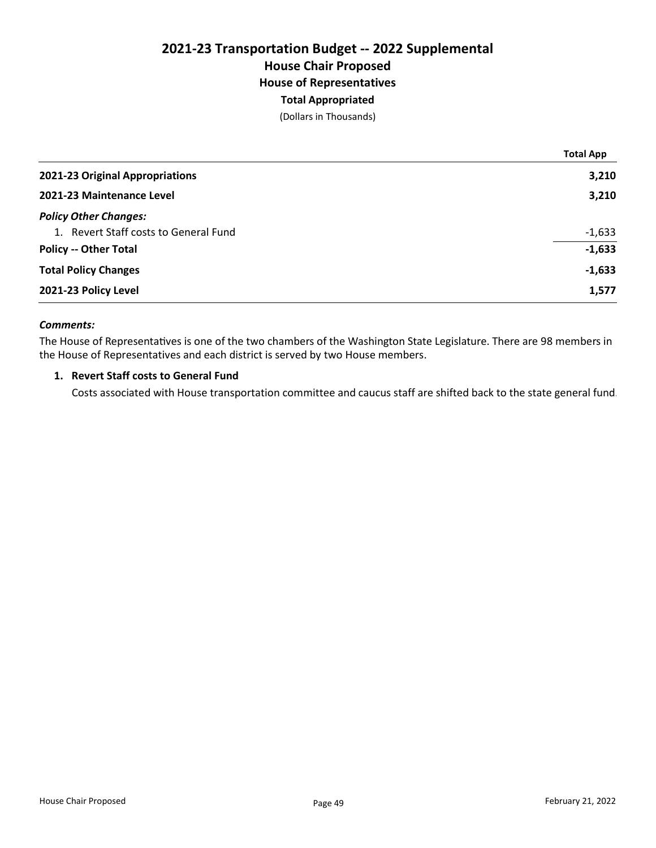## 2021-23 Transportation Budget -- 2022 Supplemental House Chair Proposed House of Representatives Total Appropriated

(Dollars in Thousands)

|                                       | <b>Total App</b> |
|---------------------------------------|------------------|
| 2021-23 Original Appropriations       | 3,210            |
| 2021-23 Maintenance Level             | 3,210            |
| <b>Policy Other Changes:</b>          |                  |
| 1. Revert Staff costs to General Fund | $-1,633$         |
| <b>Policy -- Other Total</b>          | $-1,633$         |
| <b>Total Policy Changes</b>           | $-1,633$         |
| 2021-23 Policy Level                  | 1,577            |

## Comments:

The House of Representatives is one of the two chambers of the Washington State Legislature. There are 98 members in the House of Representatives and each district is served by two House members.

## 1. Revert Staff costs to General Fund

Costs associated with House transportation committee and caucus staff are shifted back to the state general fund.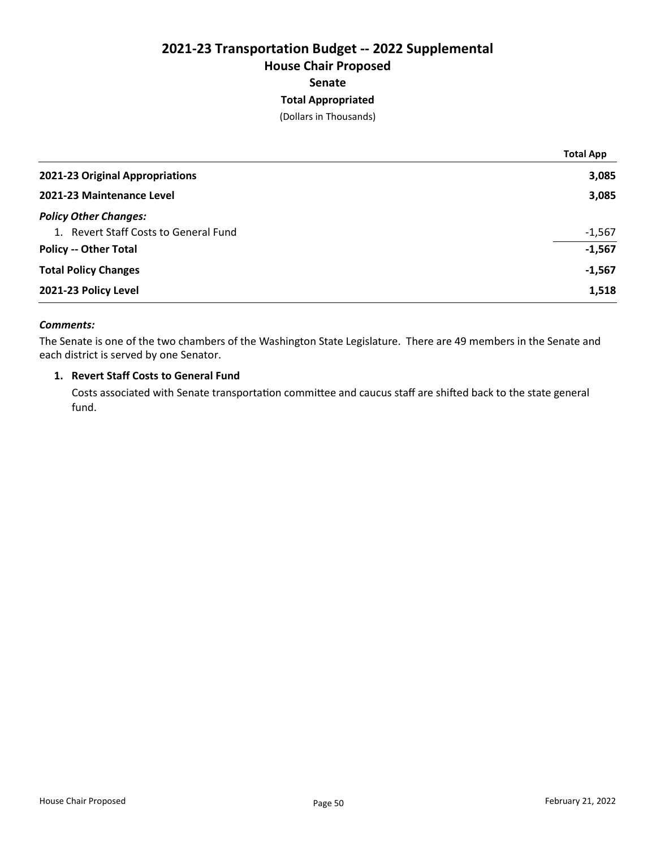## 2021-23 Transportation Budget -- 2022 Supplemental House Chair Proposed Senate Total Appropriated

(Dollars in Thousands)

|                                       | <b>Total App</b> |
|---------------------------------------|------------------|
| 2021-23 Original Appropriations       | 3,085            |
| 2021-23 Maintenance Level             | 3,085            |
| <b>Policy Other Changes:</b>          |                  |
| 1. Revert Staff Costs to General Fund | $-1,567$         |
| <b>Policy -- Other Total</b>          | $-1,567$         |
| <b>Total Policy Changes</b>           | $-1,567$         |
| 2021-23 Policy Level                  | 1,518            |
|                                       |                  |

## Comments:

The Senate is one of the two chambers of the Washington State Legislature. There are 49 members in the Senate and each district is served by one Senator.

#### 1. Revert Staff Costs to General Fund

Costs associated with Senate transportation committee and caucus staff are shifted back to the state general fund.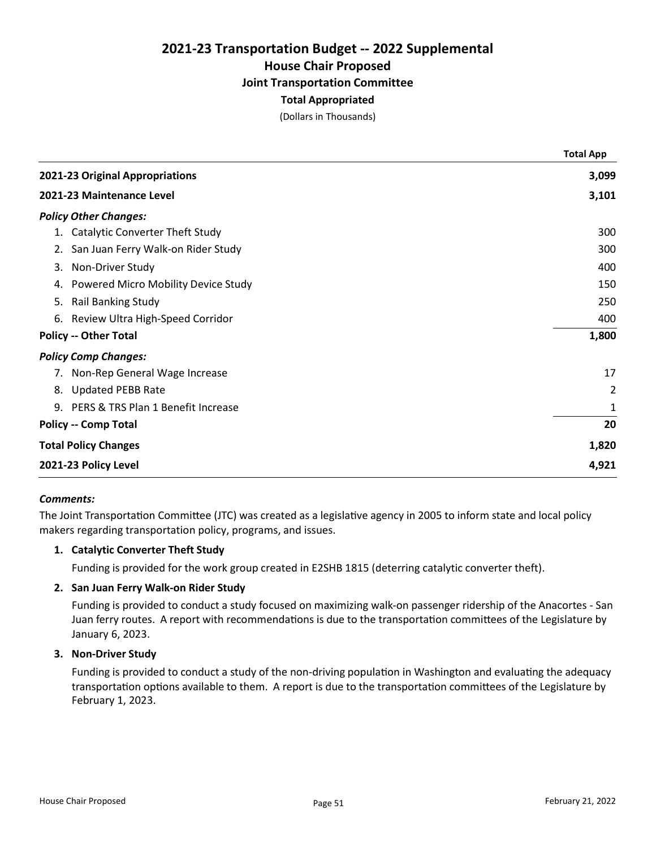## 2021-23 Transportation Budget -- 2022 Supplemental House Chair Proposed Joint Transportation Committee Total Appropriated

(Dollars in Thousands)

|                                        | <b>Total App</b> |
|----------------------------------------|------------------|
| 2021-23 Original Appropriations        | 3,099            |
| 2021-23 Maintenance Level              | 3,101            |
| <b>Policy Other Changes:</b>           |                  |
| 1. Catalytic Converter Theft Study     | 300              |
| 2. San Juan Ferry Walk-on Rider Study  | 300              |
| 3. Non-Driver Study                    | 400              |
| 4. Powered Micro Mobility Device Study | 150              |
| 5. Rail Banking Study                  | 250              |
| 6. Review Ultra High-Speed Corridor    | 400              |
| <b>Policy -- Other Total</b>           | 1,800            |
| <b>Policy Comp Changes:</b>            |                  |
| 7. Non-Rep General Wage Increase       | 17               |
| 8. Updated PEBB Rate                   | 2                |
| 9. PERS & TRS Plan 1 Benefit Increase  | 1                |
| <b>Policy -- Comp Total</b>            | 20               |
| <b>Total Policy Changes</b>            | 1,820            |
| 2021-23 Policy Level                   | 4,921            |

#### Comments:

The Joint Transportation Committee (JTC) was created as a legislative agency in 2005 to inform state and local policy makers regarding transportation policy, programs, and issues.

## 1. Catalytic Converter Theft Study

Funding is provided for the work group created in E2SHB 1815 (deterring catalytic converter theft).

### 2. San Juan Ferry Walk-on Rider Study

Funding is provided to conduct a study focused on maximizing walk-on passenger ridership of the Anacortes - San Juan ferry routes. A report with recommendations is due to the transportation committees of the Legislature by January 6, 2023.

## 3. Non-Driver Study

Funding is provided to conduct a study of the non-driving population in Washington and evaluating the adequacy transportation options available to them. A report is due to the transportation committees of the Legislature by February 1, 2023.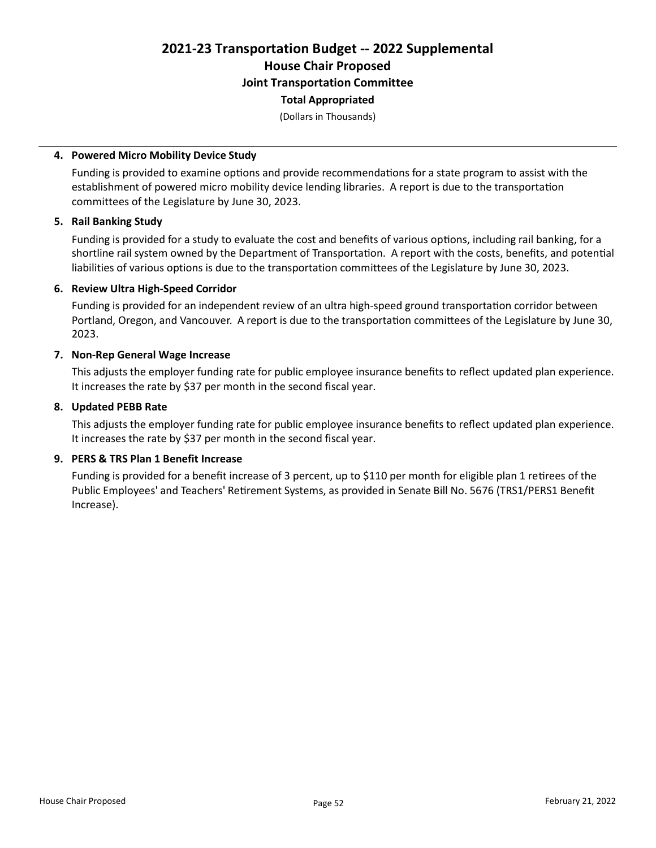# 2021-23 Transportation Budget -- 2022 Supplemental House Chair Proposed Joint Transportation Committee

## Total Appropriated

(Dollars in Thousands)

### 4. Powered Micro Mobility Device Study

Funding is provided to examine options and provide recommendations for a state program to assist with the establishment of powered micro mobility device lending libraries. A report is due to the transportation committees of the Legislature by June 30, 2023.

#### 5. Rail Banking Study

Funding is provided for a study to evaluate the cost and benefits of various options, including rail banking, for a shortline rail system owned by the Department of Transportation. A report with the costs, benefits, and potential liabilities of various options is due to the transportation committees of the Legislature by June 30, 2023.

### 6. Review Ultra High-Speed Corridor

Funding is provided for an independent review of an ultra high-speed ground transportation corridor between Portland, Oregon, and Vancouver. A report is due to the transportation committees of the Legislature by June 30, 2023.

#### 7. Non-Rep General Wage Increase

This adjusts the employer funding rate for public employee insurance benefits to reflect updated plan experience. It increases the rate by \$37 per month in the second fiscal year.

## 8. Updated PEBB Rate

This adjusts the employer funding rate for public employee insurance benefits to reflect updated plan experience. It increases the rate by \$37 per month in the second fiscal year.

## 9. PERS & TRS Plan 1 Benefit Increase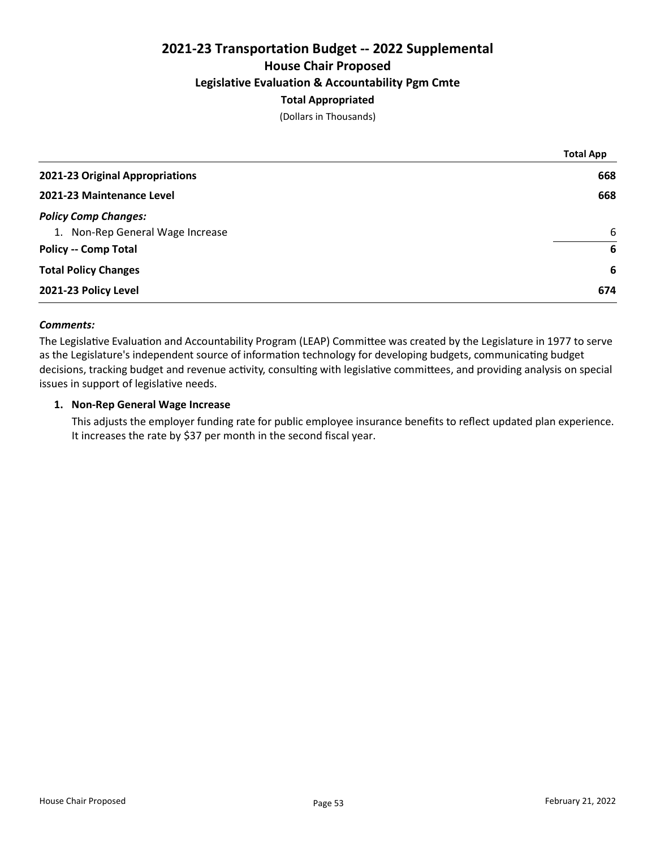## 2021-23 Transportation Budget -- 2022 Supplemental House Chair Proposed Legislative Evaluation & Accountability Pgm Cmte Total Appropriated

(Dollars in Thousands)

|                                  | <b>Total App</b> |
|----------------------------------|------------------|
| 2021-23 Original Appropriations  | 668              |
| 2021-23 Maintenance Level        | 668              |
| <b>Policy Comp Changes:</b>      |                  |
| 1. Non-Rep General Wage Increase | 6                |
| <b>Policy -- Comp Total</b>      | 6                |
| <b>Total Policy Changes</b>      | 6                |
| 2021-23 Policy Level             | 674              |
|                                  |                  |

## Comments:

The Legislative Evaluation and Accountability Program (LEAP) Committee was created by the Legislature in 1977 to serve as the Legislature's independent source of information technology for developing budgets, communicating budget decisions, tracking budget and revenue activity, consulting with legislative committees, and providing analysis on special issues in support of legislative needs.

## 1. Non-Rep General Wage Increase

This adjusts the employer funding rate for public employee insurance benefits to reflect updated plan experience. It increases the rate by \$37 per month in the second fiscal year.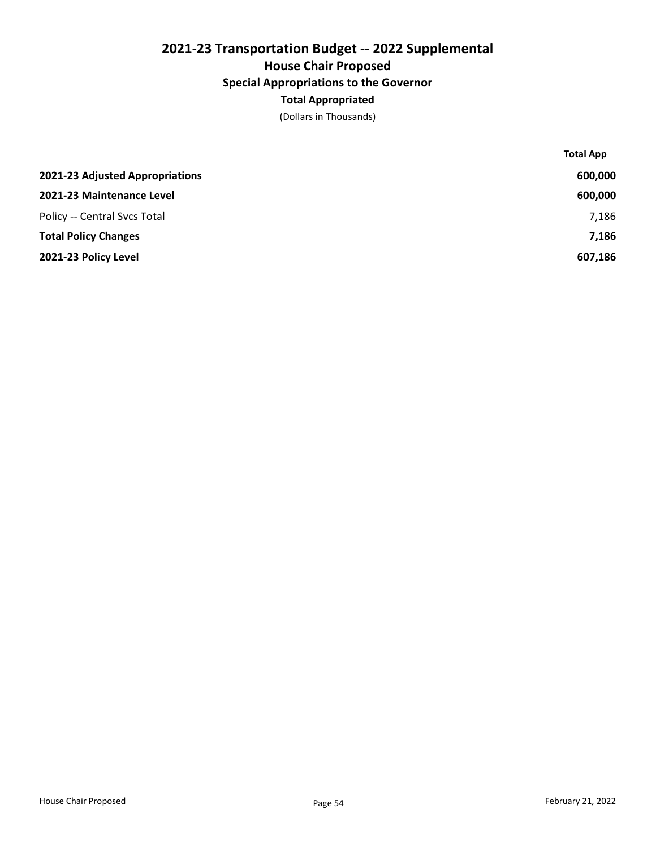## 2021-23 Transportation Budget -- 2022 Supplemental House Chair Proposed Special Appropriations to the Governor Total Appropriated

(Dollars in Thousands)

|                                 | <b>Total App</b> |
|---------------------------------|------------------|
| 2021-23 Adjusted Appropriations | 600,000          |
| 2021-23 Maintenance Level       | 600,000          |
| Policy -- Central Svcs Total    | 7,186            |
| <b>Total Policy Changes</b>     | 7,186            |
| 2021-23 Policy Level            | 607,186          |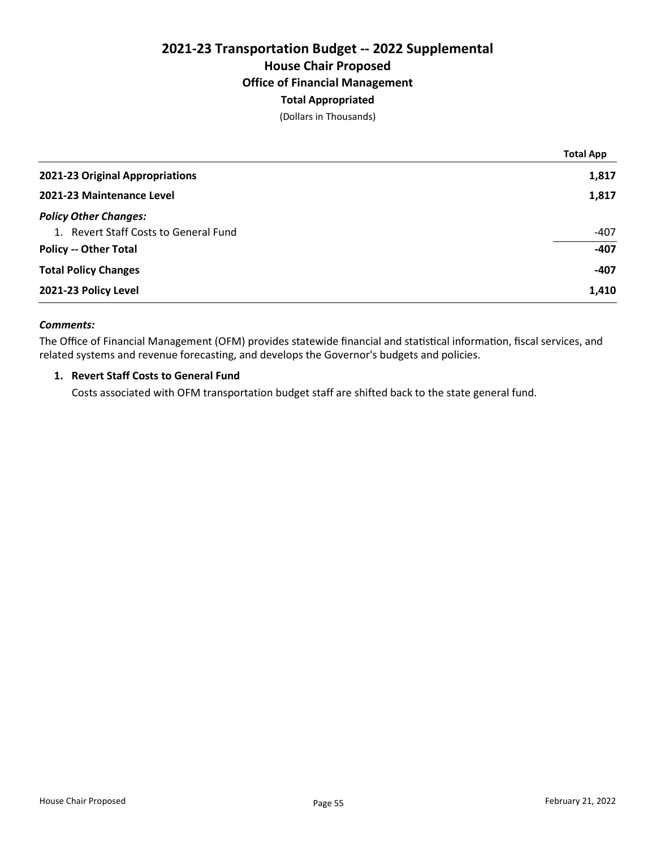## 2021-23 Transportation Budget -- 2022 Supplemental House Chair Proposed Office of Financial Management Total Appropriated

(Dollars in Thousands)

|                                       | <b>Total App</b> |
|---------------------------------------|------------------|
| 2021-23 Original Appropriations       | 1,817            |
| 2021-23 Maintenance Level             | 1,817            |
| <b>Policy Other Changes:</b>          |                  |
| 1. Revert Staff Costs to General Fund | $-407$           |
| <b>Policy -- Other Total</b>          | $-407$           |
| <b>Total Policy Changes</b>           | $-407$           |
| 2021-23 Policy Level                  | 1,410            |

## Comments:

The Office of Financial Management (OFM) provides statewide financial and statistical information, fiscal services, and related systems and revenue forecasting, and develops the Governor's budgets and policies.

## 1. Revert Staff Costs to General Fund

Costs associated with OFM transportation budget staff are shifted back to the state general fund.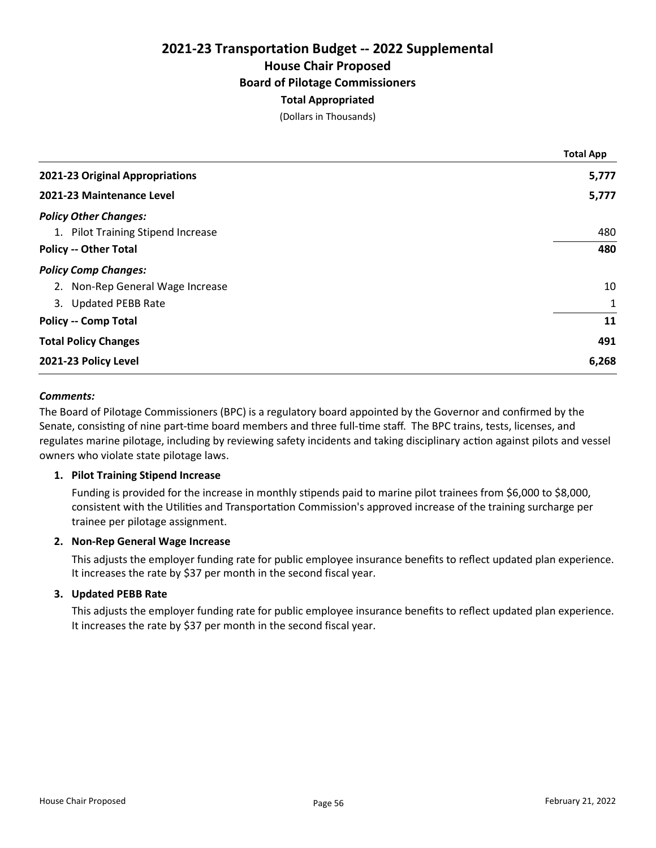## 2021-23 Transportation Budget -- 2022 Supplemental House Chair Proposed Board of Pilotage Commissioners Total Appropriated

(Dollars in Thousands)

|                                    | <b>Total App</b> |
|------------------------------------|------------------|
| 2021-23 Original Appropriations    | 5,777            |
| 2021-23 Maintenance Level          | 5,777            |
| <b>Policy Other Changes:</b>       |                  |
| 1. Pilot Training Stipend Increase | 480              |
| <b>Policy -- Other Total</b>       | 480              |
| <b>Policy Comp Changes:</b>        |                  |
| 2. Non-Rep General Wage Increase   | 10               |
| 3. Updated PEBB Rate               | 1                |
| <b>Policy -- Comp Total</b>        | 11               |
| <b>Total Policy Changes</b>        | 491              |
| 2021-23 Policy Level               | 6,268            |

#### Comments:

The Board of Pilotage Commissioners (BPC) is a regulatory board appointed by the Governor and confirmed by the Senate, consisting of nine part-time board members and three full-time staff. The BPC trains, tests, licenses, and regulates marine pilotage, including by reviewing safety incidents and taking disciplinary action against pilots and vessel owners who violate state pilotage laws.

#### 1. Pilot Training Stipend Increase

Funding is provided for the increase in monthly stipends paid to marine pilot trainees from \$6,000 to \$8,000, consistent with the Utilities and Transportation Commission's approved increase of the training surcharge per trainee per pilotage assignment.

#### 2. Non-Rep General Wage Increase

This adjusts the employer funding rate for public employee insurance benefits to reflect updated plan experience. It increases the rate by \$37 per month in the second fiscal year.

#### 3. Updated PEBB Rate

This adjusts the employer funding rate for public employee insurance benefits to reflect updated plan experience. It increases the rate by \$37 per month in the second fiscal year.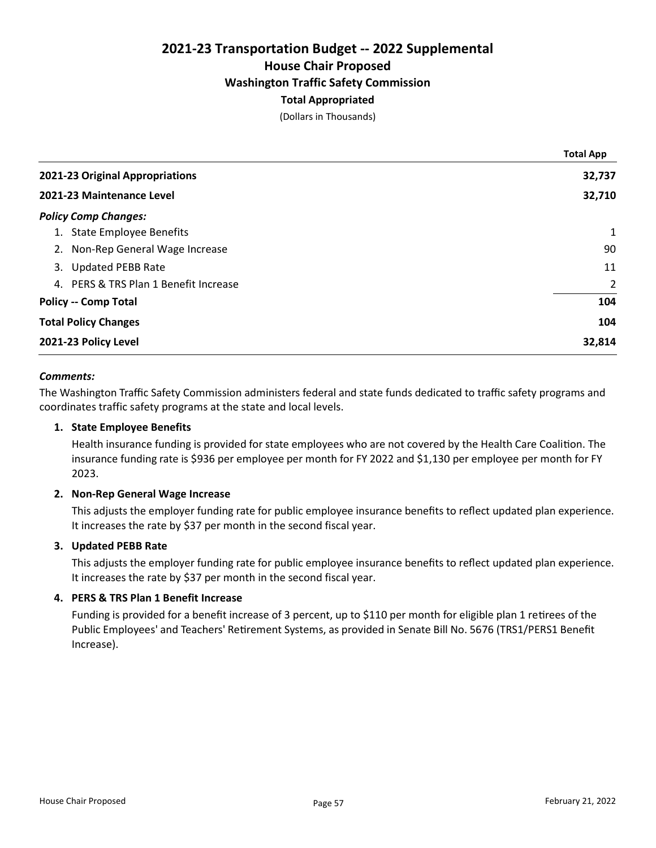## 2021-23 Transportation Budget -- 2022 Supplemental House Chair Proposed Washington Traffic Safety Commission Total Appropriated

(Dollars in Thousands)

|    |                                       | <b>Total App</b> |
|----|---------------------------------------|------------------|
|    | 2021-23 Original Appropriations       | 32,737           |
|    | 2021-23 Maintenance Level             | 32,710           |
|    | <b>Policy Comp Changes:</b>           |                  |
|    | 1. State Employee Benefits            | $\mathbf{1}$     |
|    | 2. Non-Rep General Wage Increase      | 90               |
| 3. | <b>Updated PEBB Rate</b>              | 11               |
|    | 4. PERS & TRS Plan 1 Benefit Increase | 2                |
|    | <b>Policy -- Comp Total</b>           | 104              |
|    | <b>Total Policy Changes</b>           | 104              |
|    | 2021-23 Policy Level                  | 32,814           |

#### Comments:

The Washington Traffic Safety Commission administers federal and state funds dedicated to traffic safety programs and coordinates traffic safety programs at the state and local levels.

### 1. State Employee Benefits

Health insurance funding is provided for state employees who are not covered by the Health Care Coalition. The insurance funding rate is \$936 per employee per month for FY 2022 and \$1,130 per employee per month for FY 2023.

#### 2. Non-Rep General Wage Increase

This adjusts the employer funding rate for public employee insurance benefits to reflect updated plan experience. It increases the rate by \$37 per month in the second fiscal year.

## 3. Updated PEBB Rate

This adjusts the employer funding rate for public employee insurance benefits to reflect updated plan experience. It increases the rate by \$37 per month in the second fiscal year.

## 4. PERS & TRS Plan 1 Benefit Increase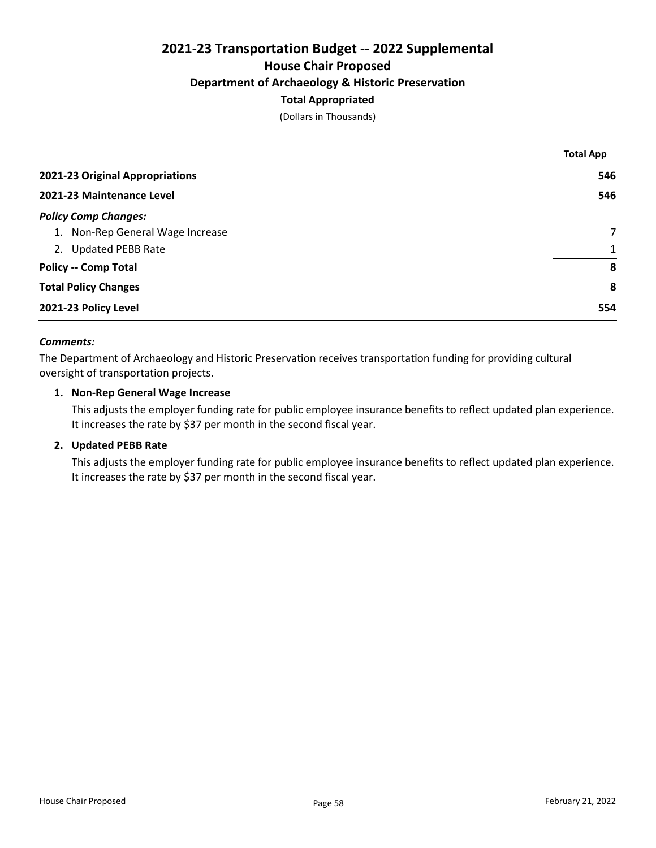## 2021-23 Transportation Budget -- 2022 Supplemental House Chair Proposed Department of Archaeology & Historic Preservation Total Appropriated

(Dollars in Thousands)

|                                  | <b>Total App</b> |
|----------------------------------|------------------|
| 2021-23 Original Appropriations  | 546              |
| 2021-23 Maintenance Level        | 546              |
| <b>Policy Comp Changes:</b>      |                  |
| 1. Non-Rep General Wage Increase | $\overline{7}$   |
| 2. Updated PEBB Rate             | $\mathbf{1}$     |
| <b>Policy -- Comp Total</b>      | 8                |
| <b>Total Policy Changes</b>      | 8                |
| 2021-23 Policy Level             | 554              |

## Comments:

The Department of Archaeology and Historic Preservation receives transportation funding for providing cultural oversight of transportation projects.

## 1. Non-Rep General Wage Increase

This adjusts the employer funding rate for public employee insurance benefits to reflect updated plan experience. It increases the rate by \$37 per month in the second fiscal year.

#### 2. Updated PEBB Rate

This adjusts the employer funding rate for public employee insurance benefits to reflect updated plan experience. It increases the rate by \$37 per month in the second fiscal year.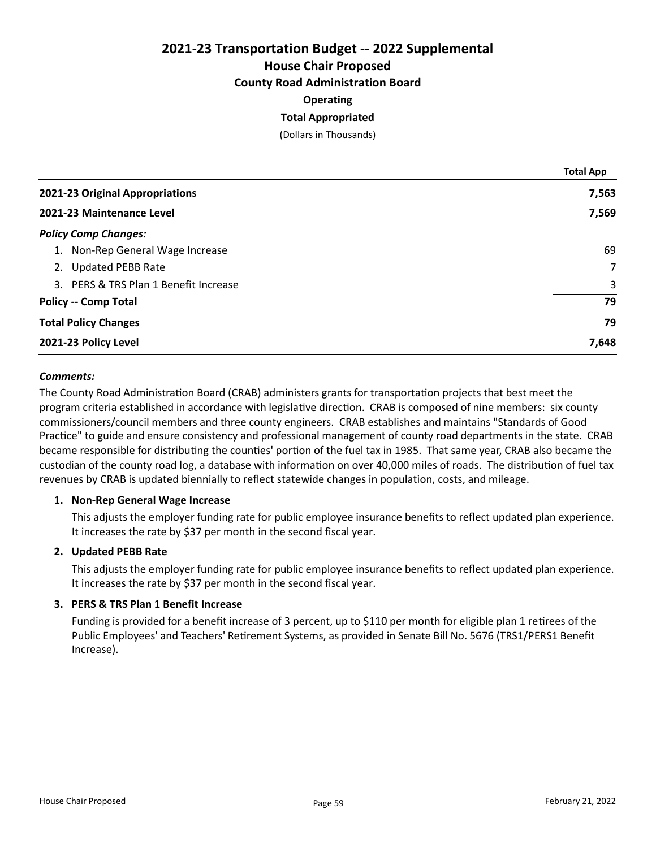## 2021-23 Transportation Budget -- 2022 Supplemental House Chair Proposed County Road Administration Board

## **Operating**

## Total Appropriated

(Dollars in Thousands)

|                                       | <b>Total App</b> |
|---------------------------------------|------------------|
| 2021-23 Original Appropriations       | 7,563            |
| 2021-23 Maintenance Level             | 7,569            |
| <b>Policy Comp Changes:</b>           |                  |
| 1. Non-Rep General Wage Increase      | 69               |
| 2. Updated PEBB Rate                  | $\overline{7}$   |
| 3. PERS & TRS Plan 1 Benefit Increase | 3                |
| <b>Policy -- Comp Total</b>           | 79               |
| <b>Total Policy Changes</b>           | 79               |
| 2021-23 Policy Level                  | 7,648            |

## Comments:

The County Road Administration Board (CRAB) administers grants for transportation projects that best meet the program criteria established in accordance with legislative direction. CRAB is composed of nine members: six county commissioners/council members and three county engineers. CRAB establishes and maintains "Standards of Good Practice" to guide and ensure consistency and professional management of county road departments in the state. CRAB became responsible for distributing the counties' portion of the fuel tax in 1985. That same year, CRAB also became the custodian of the county road log, a database with information on over 40,000 miles of roads. The distribution of fuel tax revenues by CRAB is updated biennially to reflect statewide changes in population, costs, and mileage.

#### 1. Non-Rep General Wage Increase

This adjusts the employer funding rate for public employee insurance benefits to reflect updated plan experience. It increases the rate by \$37 per month in the second fiscal year.

## 2. Updated PEBB Rate

This adjusts the employer funding rate for public employee insurance benefits to reflect updated plan experience. It increases the rate by \$37 per month in the second fiscal year.

## 3. PERS & TRS Plan 1 Benefit Increase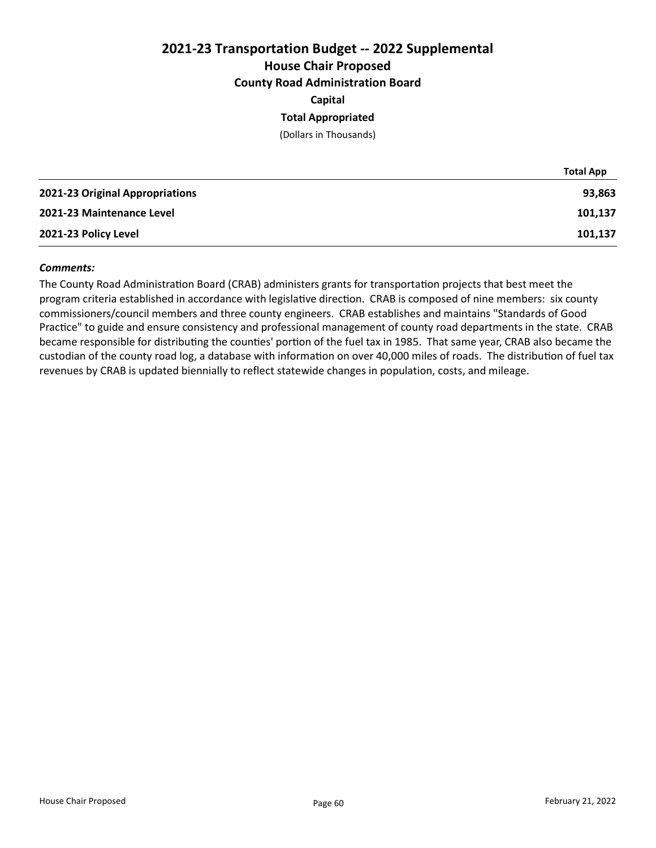## 2021-23 Transportation Budget -- 2022 Supplemental House Chair Proposed County Road Administration Board

Capital

## Total Appropriated

(Dollars in Thousands)

|                                 | <b>Total App</b> |
|---------------------------------|------------------|
| 2021-23 Original Appropriations | 93,863           |
| 2021-23 Maintenance Level       | 101,137          |
| 2021-23 Policy Level            | 101,137          |

#### Comments:

The County Road Administration Board (CRAB) administers grants for transportation projects that best meet the program criteria established in accordance with legislative direction. CRAB is composed of nine members: six county commissioners/council members and three county engineers. CRAB establishes and maintains "Standards of Good Practice" to guide and ensure consistency and professional management of county road departments in the state. CRAB became responsible for distributing the counties' portion of the fuel tax in 1985. That same year, CRAB also became the custodian of the county road log, a database with information on over 40,000 miles of roads. The distribution of fuel tax revenues by CRAB is updated biennially to reflect statewide changes in population, costs, and mileage.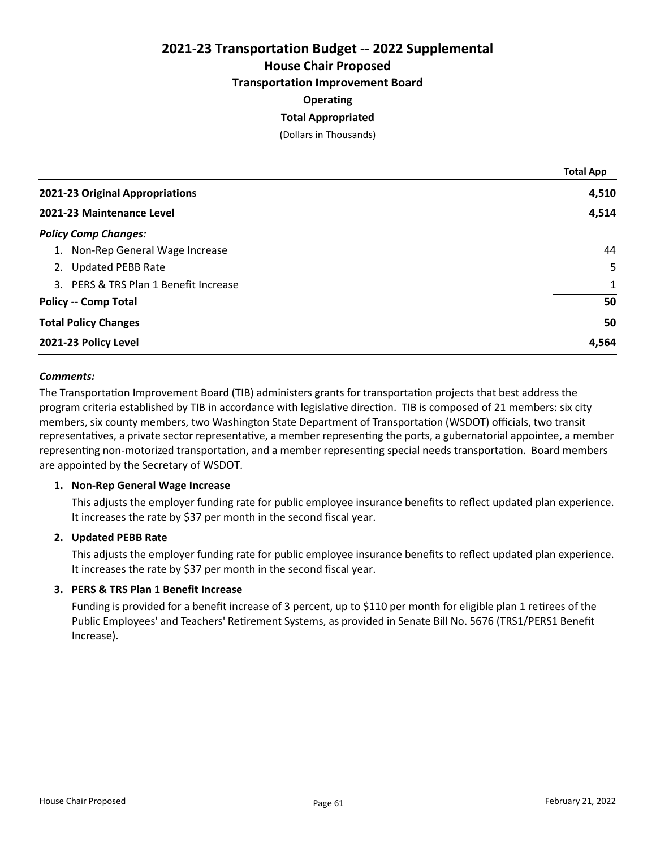House Chair Proposed

Transportation Improvement Board

## **Operating**

## Total Appropriated

(Dollars in Thousands)

|                                       | <b>Total App</b> |
|---------------------------------------|------------------|
| 2021-23 Original Appropriations       | 4,510            |
| 2021-23 Maintenance Level             | 4,514            |
| <b>Policy Comp Changes:</b>           |                  |
| 1. Non-Rep General Wage Increase      | 44               |
| 2. Updated PEBB Rate                  | 5                |
| 3. PERS & TRS Plan 1 Benefit Increase | $\mathbf{1}$     |
| <b>Policy -- Comp Total</b>           | 50               |
| <b>Total Policy Changes</b>           | 50               |
| 2021-23 Policy Level                  | 4,564            |

## Comments:

The Transportation Improvement Board (TIB) administers grants for transportation projects that best address the program criteria established by TIB in accordance with legislative direction. TIB is composed of 21 members: six city members, six county members, two Washington State Department of Transportation (WSDOT) officials, two transit representatives, a private sector representative, a member representing the ports, a gubernatorial appointee, a member representing non-motorized transportation, and a member representing special needs transportation. Board members are appointed by the Secretary of WSDOT.

## 1. Non-Rep General Wage Increase

This adjusts the employer funding rate for public employee insurance benefits to reflect updated plan experience. It increases the rate by \$37 per month in the second fiscal year.

## 2. Updated PEBB Rate

This adjusts the employer funding rate for public employee insurance benefits to reflect updated plan experience. It increases the rate by \$37 per month in the second fiscal year.

## 3. PERS & TRS Plan 1 Benefit Increase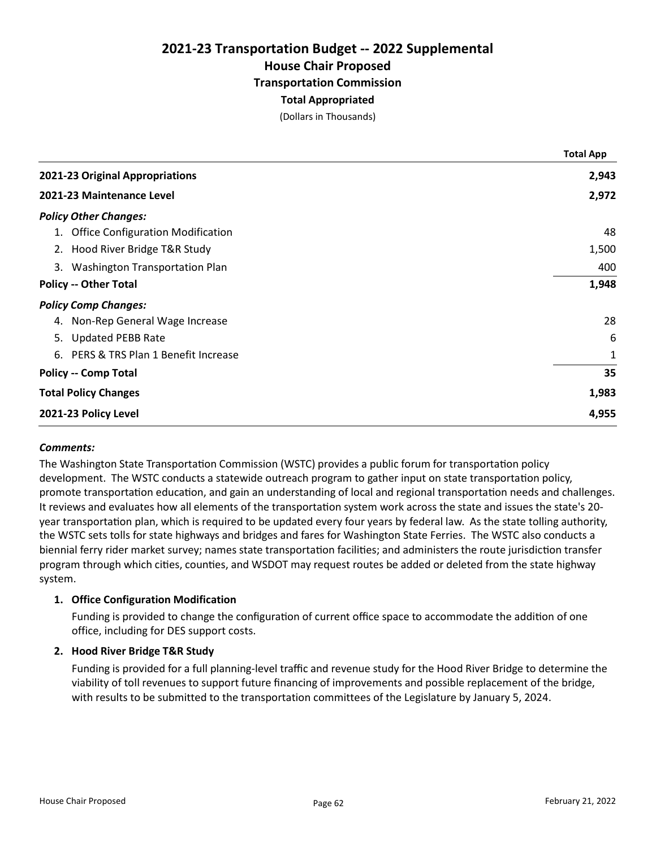## 2021-23 Transportation Budget -- 2022 Supplemental House Chair Proposed Transportation Commission Total Appropriated

(Dollars in Thousands)

|    |                                      | <b>Total App</b> |
|----|--------------------------------------|------------------|
|    | 2021-23 Original Appropriations      | 2,943            |
|    | 2021-23 Maintenance Level            | 2,972            |
|    | <b>Policy Other Changes:</b>         |                  |
|    | 1. Office Configuration Modification | 48               |
|    | 2. Hood River Bridge T&R Study       | 1,500            |
| 3. | Washington Transportation Plan       | 400              |
|    | <b>Policy -- Other Total</b>         | 1,948            |
|    | <b>Policy Comp Changes:</b>          |                  |
|    | 4. Non-Rep General Wage Increase     | 28               |
|    | 5. Updated PEBB Rate                 | 6                |
| 6. | PERS & TRS Plan 1 Benefit Increase   | 1                |
|    | <b>Policy -- Comp Total</b>          | 35               |
|    | <b>Total Policy Changes</b>          | 1,983            |
|    | 2021-23 Policy Level                 | 4,955            |

## Comments:

The Washington State Transportation Commission (WSTC) provides a public forum for transportation policy development. The WSTC conducts a statewide outreach program to gather input on state transportation policy, promote transportation education, and gain an understanding of local and regional transportation needs and challenges. It reviews and evaluates how all elements of the transportation system work across the state and issues the state's 20year transportation plan, which is required to be updated every four years by federal law. As the state tolling authority, the WSTC sets tolls for state highways and bridges and fares for Washington State Ferries. The WSTC also conducts a biennial ferry rider market survey; names state transportation facilities; and administers the route jurisdiction transfer program through which cities, counties, and WSDOT may request routes be added or deleted from the state highway system.

## 1. Office Configuration Modification

Funding is provided to change the configuration of current office space to accommodate the addition of one office, including for DES support costs.

## 2. Hood River Bridge T&R Study

Funding is provided for a full planning-level traffic and revenue study for the Hood River Bridge to determine the viability of toll revenues to support future financing of improvements and possible replacement of the bridge, with results to be submitted to the transportation committees of the Legislature by January 5, 2024.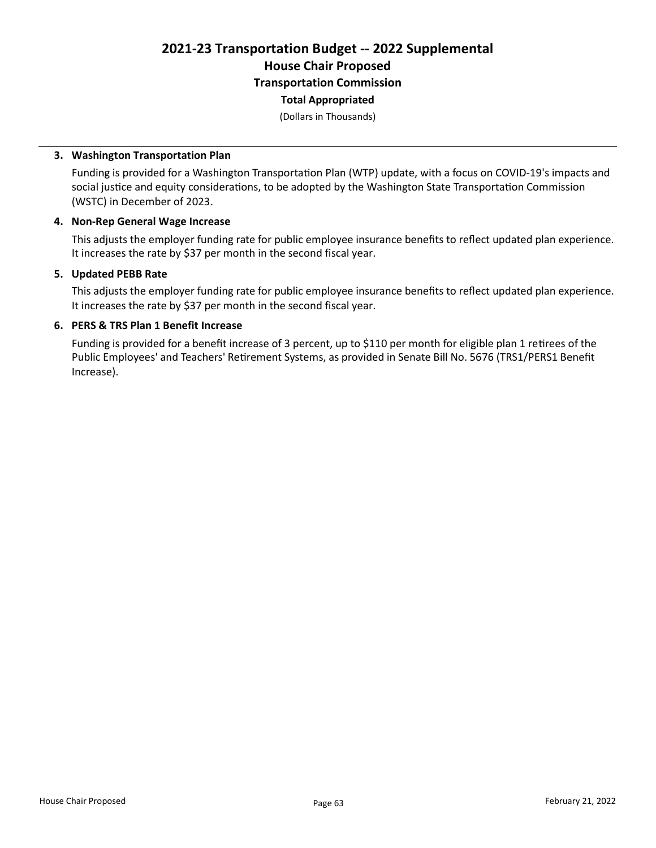## 2021-23 Transportation Budget -- 2022 Supplemental House Chair Proposed Transportation Commission Total Appropriated

(Dollars in Thousands)

#### 3. Washington Transportation Plan

Funding is provided for a Washington Transportation Plan (WTP) update, with a focus on COVID-19's impacts and social justice and equity considerations, to be adopted by the Washington State Transportation Commission (WSTC) in December of 2023.

#### 4. Non-Rep General Wage Increase

This adjusts the employer funding rate for public employee insurance benefits to reflect updated plan experience. It increases the rate by \$37 per month in the second fiscal year.

#### 5. Updated PEBB Rate

This adjusts the employer funding rate for public employee insurance benefits to reflect updated plan experience. It increases the rate by \$37 per month in the second fiscal year.

#### 6. PERS & TRS Plan 1 Benefit Increase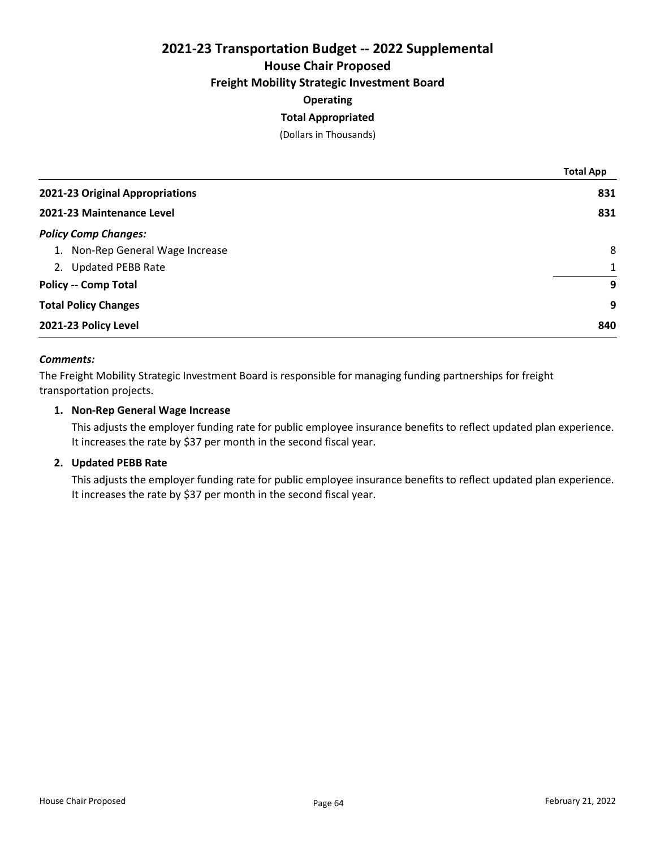House Chair Proposed

## Freight Mobility Strategic Investment Board

## **Operating**

## Total Appropriated

(Dollars in Thousands)

|                                  | <b>Total App</b> |
|----------------------------------|------------------|
| 2021-23 Original Appropriations  | 831              |
| 2021-23 Maintenance Level        | 831              |
| <b>Policy Comp Changes:</b>      |                  |
| 1. Non-Rep General Wage Increase | 8                |
| 2. Updated PEBB Rate             | $\mathbf{1}$     |
| <b>Policy -- Comp Total</b>      | 9                |
| <b>Total Policy Changes</b>      | 9                |
| 2021-23 Policy Level             | 840              |

## Comments:

The Freight Mobility Strategic Investment Board is responsible for managing funding partnerships for freight transportation projects.

## 1. Non-Rep General Wage Increase

This adjusts the employer funding rate for public employee insurance benefits to reflect updated plan experience. It increases the rate by \$37 per month in the second fiscal year.

## 2. Updated PEBB Rate

This adjusts the employer funding rate for public employee insurance benefits to reflect updated plan experience. It increases the rate by \$37 per month in the second fiscal year.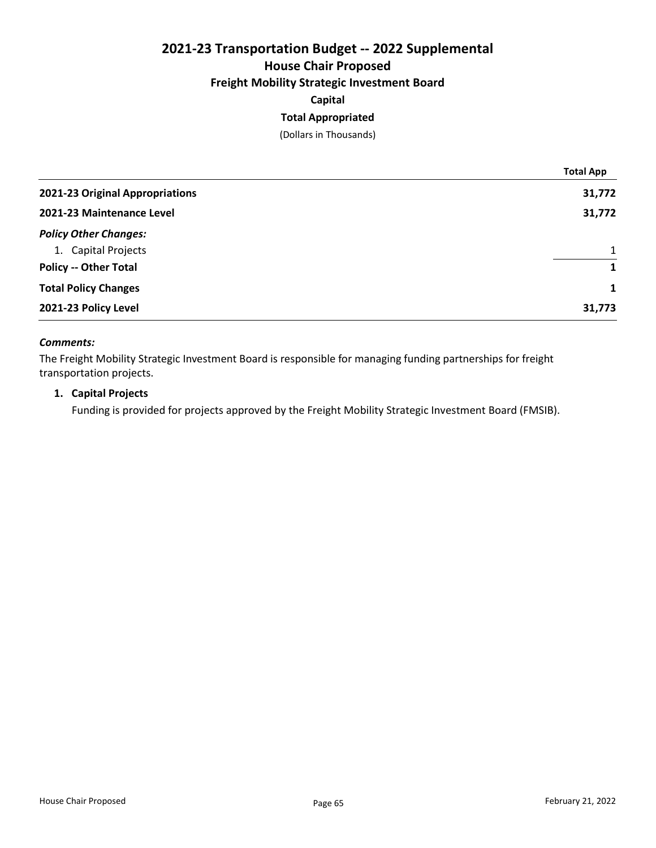## 2021-23 Transportation Budget -- 2022 Supplemental House Chair Proposed

## Freight Mobility Strategic Investment Board

Capital

## Total Appropriated

(Dollars in Thousands)

|                                 | <b>Total App</b> |
|---------------------------------|------------------|
| 2021-23 Original Appropriations | 31,772           |
| 2021-23 Maintenance Level       | 31,772           |
| <b>Policy Other Changes:</b>    |                  |
| 1. Capital Projects             | $\mathbf{1}$     |
| <b>Policy -- Other Total</b>    | 1                |
| <b>Total Policy Changes</b>     | 1                |
| 2021-23 Policy Level            | 31,773           |

## Comments:

The Freight Mobility Strategic Investment Board is responsible for managing funding partnerships for freight transportation projects.

## 1. Capital Projects

Funding is provided for projects approved by the Freight Mobility Strategic Investment Board (FMSIB).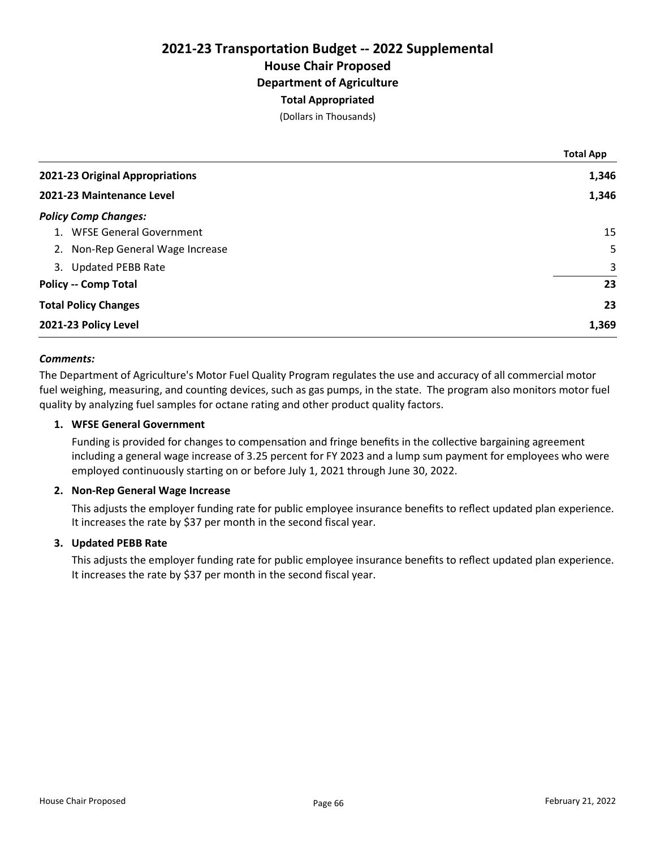(Dollars in Thousands)

|                                  | <b>Total App</b> |
|----------------------------------|------------------|
| 2021-23 Original Appropriations  | 1,346            |
| 2021-23 Maintenance Level        | 1,346            |
| <b>Policy Comp Changes:</b>      |                  |
| 1. WFSE General Government       | 15               |
| 2. Non-Rep General Wage Increase | 5                |
| 3. Updated PEBB Rate             | 3                |
| <b>Policy -- Comp Total</b>      | 23               |
| <b>Total Policy Changes</b>      | 23               |
| 2021-23 Policy Level             | 1,369            |

## Comments:

The Department of Agriculture's Motor Fuel Quality Program regulates the use and accuracy of all commercial motor fuel weighing, measuring, and counting devices, such as gas pumps, in the state. The program also monitors motor fuel quality by analyzing fuel samples for octane rating and other product quality factors.

### 1. WFSE General Government

Funding is provided for changes to compensation and fringe benefits in the collective bargaining agreement including a general wage increase of 3.25 percent for FY 2023 and a lump sum payment for employees who were employed continuously starting on or before July 1, 2021 through June 30, 2022.

#### 2. Non-Rep General Wage Increase

This adjusts the employer funding rate for public employee insurance benefits to reflect updated plan experience. It increases the rate by \$37 per month in the second fiscal year.

#### 3. Updated PEBB Rate

This adjusts the employer funding rate for public employee insurance benefits to reflect updated plan experience. It increases the rate by \$37 per month in the second fiscal year.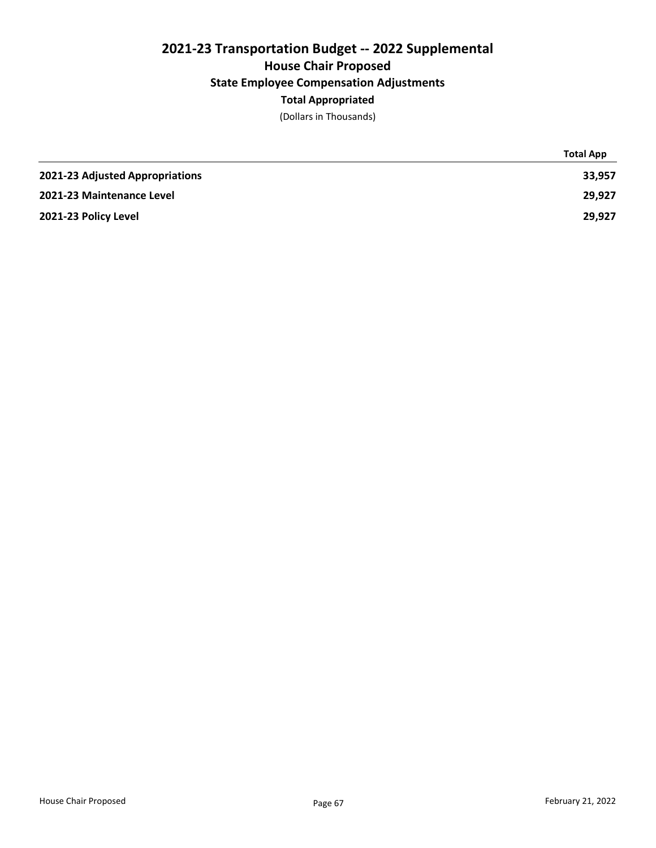## 2021-23 Transportation Budget -- 2022 Supplemental House Chair Proposed State Employee Compensation Adjustments Total Appropriated

(Dollars in Thousands)

|                                 | <b>Total App</b> |
|---------------------------------|------------------|
| 2021-23 Adjusted Appropriations | 33,957           |
| 2021-23 Maintenance Level       | 29.927           |
| 2021-23 Policy Level            | 29,927           |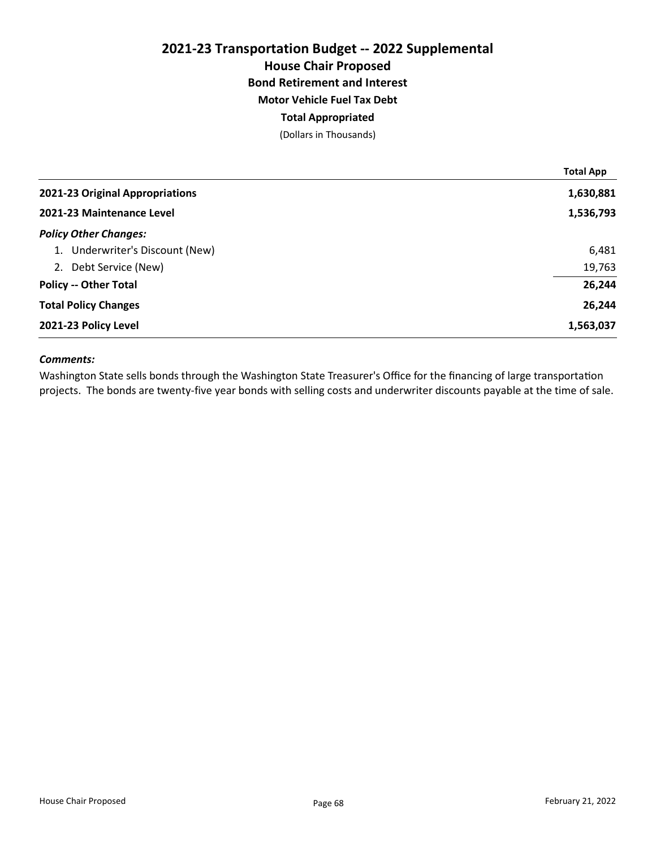## 2021-23 Transportation Budget -- 2022 Supplemental House Chair Proposed Bond Retirement and Interest Motor Vehicle Fuel Tax Debt Total Appropriated

(Dollars in Thousands)

|                                 | <b>Total App</b> |
|---------------------------------|------------------|
| 2021-23 Original Appropriations | 1,630,881        |
| 2021-23 Maintenance Level       | 1,536,793        |
| <b>Policy Other Changes:</b>    |                  |
| 1. Underwriter's Discount (New) | 6,481            |
| 2. Debt Service (New)           | 19,763           |
| <b>Policy -- Other Total</b>    | 26,244           |
| <b>Total Policy Changes</b>     | 26,244           |
| 2021-23 Policy Level            | 1,563,037        |

## Comments:

Washington State sells bonds through the Washington State Treasurer's Office for the financing of large transportation projects. The bonds are twenty-five year bonds with selling costs and underwriter discounts payable at the time of sale.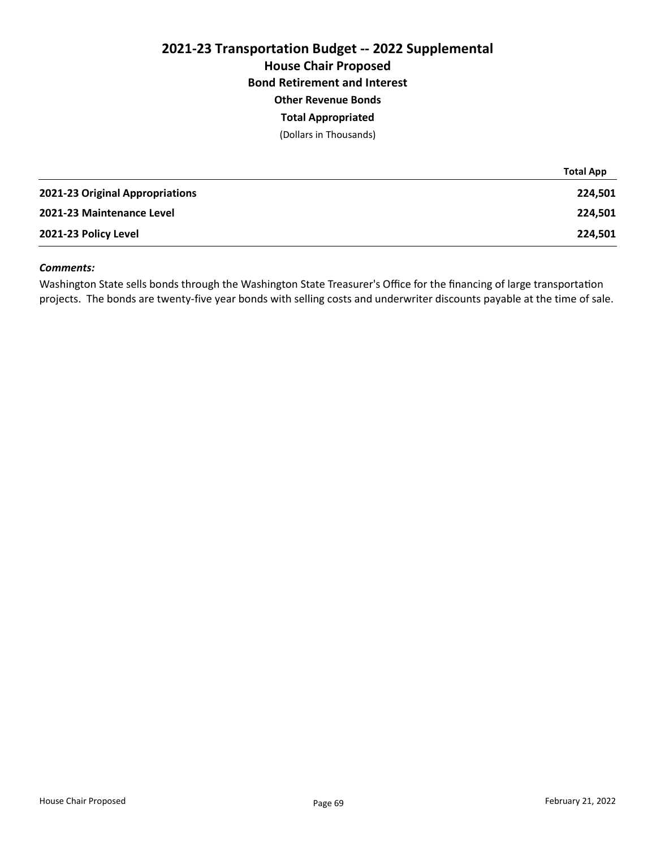# 2021-23 Transportation Budget -- 2022 Supplemental House Chair Proposed Bond Retirement and Interest Other Revenue Bonds

## Total Appropriated

(Dollars in Thousands)

|                                 | <b>Total App</b> |
|---------------------------------|------------------|
| 2021-23 Original Appropriations | 224,501          |
| 2021-23 Maintenance Level       | 224,501          |
| 2021-23 Policy Level            | 224,501          |

#### Comments:

Washington State sells bonds through the Washington State Treasurer's Office for the financing of large transportation projects. The bonds are twenty-five year bonds with selling costs and underwriter discounts payable at the time of sale.